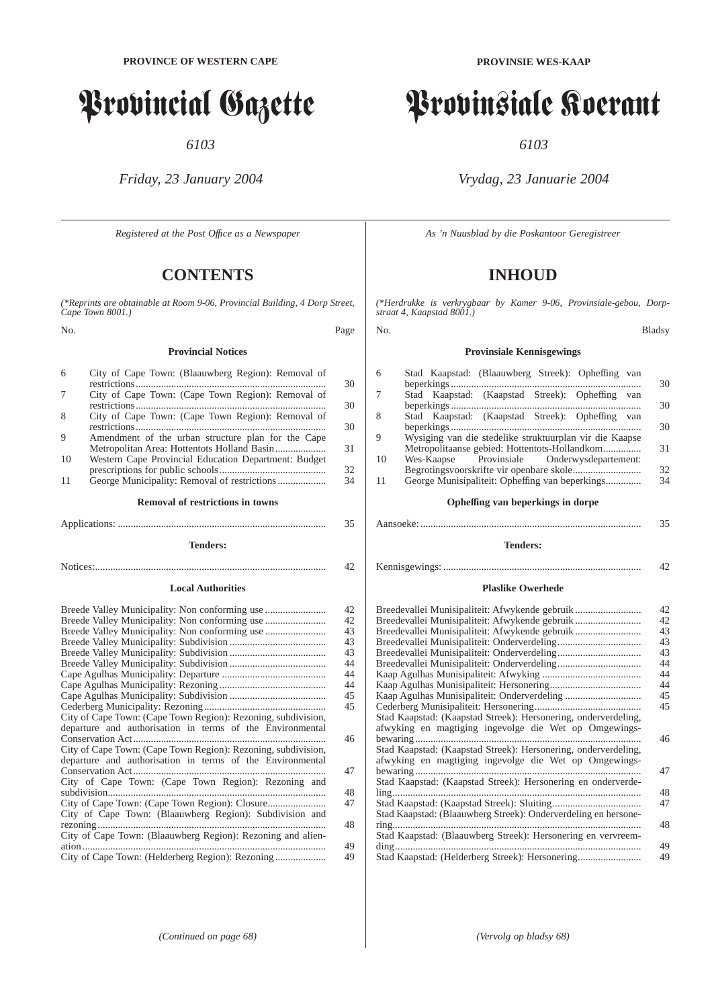# Provincial Gazette

*6103*

*Friday, 23 January 2004*

*Registered at the Post Offıce as a Newspaper*

# **CONTENTS**

*(\*Reprints are obtainable at Room 9-06, Provincial Building, 4 Dorp Street, Cape Town 8001.)*

No. Page

#### **Provincial Notices**

| 6  | City of Cape Town: (Blaauwberg Region): Removal of                |                |
|----|-------------------------------------------------------------------|----------------|
|    |                                                                   | 30             |
| 7  | City of Cape Town: (Cape Town Region): Removal of                 |                |
|    |                                                                   | 30             |
| 8  | City of Cape Town: (Cape Town Region): Removal of                 |                |
|    |                                                                   | 30             |
| 9  | Amendment of the urban structure plan for the Cape                |                |
|    |                                                                   | 31             |
| 10 | Western Cape Provincial Education Department: Budget              |                |
|    | mana amin'ny tanàna dia mpikambana amin'ny fivondronan-kaominin'i | $\overline{2}$ |

prescriptions for public schools.......................................... 32 11 George Municipality: Removal of restrictions .................................

**Removal of restrictions in towns** Applications: .................................................................................. 35

**Tenders:**

# Notices:........................................................................................... 42

#### **Local Authorities**

|                                                               | 42 |
|---------------------------------------------------------------|----|
|                                                               | 42 |
|                                                               | 43 |
|                                                               | 43 |
|                                                               | 43 |
|                                                               | 44 |
|                                                               | 44 |
|                                                               | 44 |
|                                                               | 45 |
|                                                               | 45 |
| City of Cape Town: (Cape Town Region): Rezoning, subdivision, |    |
| departure and authorisation in terms of the Environmental     |    |
|                                                               | 46 |
| City of Cape Town: (Cape Town Region): Rezoning, subdivision, |    |
| departure and authorisation in terms of the Environmental     |    |
|                                                               | 47 |
| City of Cape Town: (Cape Town Region): Rezoning and           |    |
| subdivision                                                   | 48 |
|                                                               | 47 |
| City of Cape Town: (Blaauwberg Region): Subdivision and       |    |
| rezoning                                                      | 48 |
| City of Cape Town: (Blaauwberg Region): Rezoning and alien-   | 49 |
|                                                               | 49 |

# **PROVINSIE WES-KAAP**

# Provinsiale Koerant

*6103*

## *Vrydag, 23 Januarie 2004*

*As 'n Nuusblad by die Poskantoor Geregistreer*

# **INHOUD**

*(\*Herdrukke is verkrygbaar by Kamer 9-06, Provinsiale-gebou, Dorpstraat 4, Kaapstad 8001.)*

#### No. Bladsy

## **Provinsiale Kennisgewings**

| 6                                 | Stad Kaapstad: (Blaauwberg Streek): Opheffing van       |    |  |  |
|-----------------------------------|---------------------------------------------------------|----|--|--|
|                                   |                                                         | 30 |  |  |
| 7                                 | Stad Kaapstad: (Kaapstad Streek): Opheffing van         |    |  |  |
|                                   |                                                         | 30 |  |  |
| 8                                 | Stad Kaapstad: (Kaapstad Streek): Opheffing van         |    |  |  |
|                                   |                                                         | 30 |  |  |
| 9                                 | Wysiging van die stedelike struktuurplan vir die Kaapse |    |  |  |
|                                   | Metropolitaanse gebied: Hottentots-Hollandkom           | 31 |  |  |
| 10                                | Wes-Kaapse Provinsiale Onderwysdepartement:             |    |  |  |
|                                   |                                                         | 32 |  |  |
| 11                                |                                                         | 34 |  |  |
|                                   |                                                         |    |  |  |
| Opheffing van beperkings in dorpe |                                                         |    |  |  |
|                                   |                                                         |    |  |  |

**Tenders:**

## Kennisgewings: .............................................................................. 42

#### **Plaslike Owerhede**

| Breedevallei Munisipaliteit: Afwykende gebruik                 | 42 |
|----------------------------------------------------------------|----|
| Breedevallei Munisipaliteit: Afwykende gebruik                 | 42 |
| Breedevallei Munisipaliteit: Afwykende gebruik                 | 43 |
|                                                                | 43 |
|                                                                | 43 |
|                                                                | 44 |
|                                                                | 44 |
|                                                                | 44 |
|                                                                | 45 |
|                                                                | 45 |
| Stad Kaapstad: (Kaapstad Streek): Hersonering, onderverdeling, |    |
| afwyking en magtiging ingevolge die Wet op Omgewings-          |    |
| bewaring                                                       | 46 |
| Stad Kaapstad: (Kaapstad Streek): Hersonering, onderverdeling, |    |
| afwyking en magtiging ingevolge die Wet op Omgewings-          |    |
|                                                                | 47 |
| Stad Kaapstad: (Kaapstad Streek): Hersonering en onderverde-   |    |
|                                                                | 48 |
|                                                                | 47 |
| Stad Kaapstad: (Blaauwberg Streek): Onderverdeling en hersone- |    |
| ring                                                           | 48 |
| Stad Kaapstad: (Blaauwberg Streek): Hersonering en vervreem-   |    |
|                                                                | 49 |
| Stad Kaapstad: (Helderberg Streek): Hersonering                | 49 |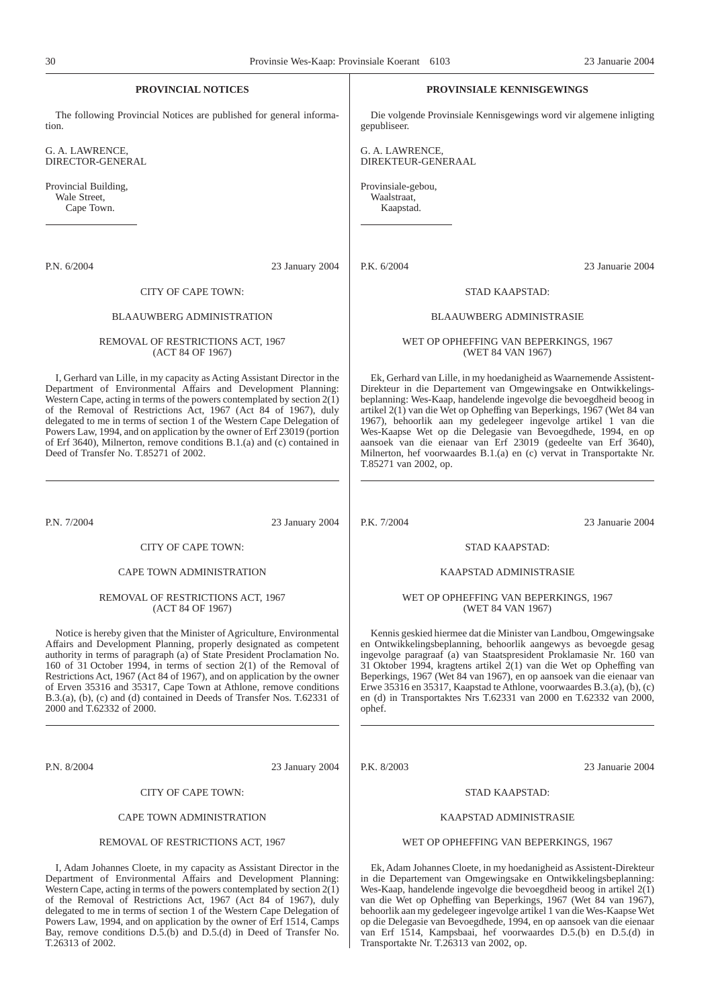| <b>PROVINCIAL NOTICES</b>                                                                                                                                                                                                                                                                                                                                                                                                                                                                                                                                            |                 |                                                | <b>PROVINSIALE KENNISGEWINGS</b>                                                                                                                                                                                                                                                                                                                                                                                                                                                                                                                                     |
|----------------------------------------------------------------------------------------------------------------------------------------------------------------------------------------------------------------------------------------------------------------------------------------------------------------------------------------------------------------------------------------------------------------------------------------------------------------------------------------------------------------------------------------------------------------------|-----------------|------------------------------------------------|----------------------------------------------------------------------------------------------------------------------------------------------------------------------------------------------------------------------------------------------------------------------------------------------------------------------------------------------------------------------------------------------------------------------------------------------------------------------------------------------------------------------------------------------------------------------|
| The following Provincial Notices are published for general informa-<br>tion.                                                                                                                                                                                                                                                                                                                                                                                                                                                                                         |                 | gepubliseer.                                   | Die volgende Provinsiale Kennisgewings word vir algemene inligting                                                                                                                                                                                                                                                                                                                                                                                                                                                                                                   |
| G. A. LAWRENCE,<br>DIRECTOR-GENERAL                                                                                                                                                                                                                                                                                                                                                                                                                                                                                                                                  |                 | G. A. LAWRENCE,<br>DIREKTEUR-GENERAAL          |                                                                                                                                                                                                                                                                                                                                                                                                                                                                                                                                                                      |
| Provincial Building,<br>Wale Street,<br>Cape Town.                                                                                                                                                                                                                                                                                                                                                                                                                                                                                                                   |                 | Provinsiale-gebou,<br>Waalstraat,<br>Kaapstad. |                                                                                                                                                                                                                                                                                                                                                                                                                                                                                                                                                                      |
| P.N. 6/2004                                                                                                                                                                                                                                                                                                                                                                                                                                                                                                                                                          | 23 January 2004 | P.K. 6/2004                                    | 23 Januarie 2004                                                                                                                                                                                                                                                                                                                                                                                                                                                                                                                                                     |
| CITY OF CAPE TOWN:                                                                                                                                                                                                                                                                                                                                                                                                                                                                                                                                                   |                 |                                                | STAD KAAPSTAD:                                                                                                                                                                                                                                                                                                                                                                                                                                                                                                                                                       |
| <b>BLAAUWBERG ADMINISTRATION</b>                                                                                                                                                                                                                                                                                                                                                                                                                                                                                                                                     |                 |                                                | <b>BLAAUWBERG ADMINISTRASIE</b>                                                                                                                                                                                                                                                                                                                                                                                                                                                                                                                                      |
| REMOVAL OF RESTRICTIONS ACT, 1967<br>(ACT 84 OF 1967)                                                                                                                                                                                                                                                                                                                                                                                                                                                                                                                |                 |                                                | WET OP OPHEFFING VAN BEPERKINGS, 1967<br>(WET 84 VAN 1967)                                                                                                                                                                                                                                                                                                                                                                                                                                                                                                           |
| I, Gerhard van Lille, in my capacity as Acting Assistant Director in the<br>Department of Environmental Affairs and Development Planning:<br>Western Cape, acting in terms of the powers contemplated by section $2(1)$<br>of the Removal of Restrictions Act, 1967 (Act 84 of 1967), duly<br>delegated to me in terms of section 1 of the Western Cape Delegation of<br>Powers Law, 1994, and on application by the owner of Erf 23019 (portion<br>of Erf 3640), Milnerton, remove conditions B.1.(a) and (c) contained in<br>Deed of Transfer No. T.85271 of 2002. |                 | T.85271 van 2002, op.                          | Ek, Gerhard van Lille, in my hoedanigheid as Waarnemende Assistent-<br>Direkteur in die Departement van Omgewingsake en Ontwikkelings-<br>beplanning: Wes-Kaap, handelende ingevolge die bevoegdheid beoog in<br>artikel 2(1) van die Wet op Opheffing van Beperkings, 1967 (Wet 84 van<br>1967), behoorlik aan my gedelegeer ingevolge artikel 1 van die<br>Wes-Kaapse Wet op die Delegasie van Bevoegdhede, 1994, en op<br>aansoek van die eienaar van Erf 23019 (gedeelte van Erf 3640),<br>Milnerton, hef voorwaardes B.1.(a) en (c) vervat in Transportakte Nr. |
| P.N. 7/2004                                                                                                                                                                                                                                                                                                                                                                                                                                                                                                                                                          | 23 January 2004 | P.K. 7/2004                                    | 23 Januarie 2004                                                                                                                                                                                                                                                                                                                                                                                                                                                                                                                                                     |
| CITY OF CAPE TOWN:                                                                                                                                                                                                                                                                                                                                                                                                                                                                                                                                                   |                 |                                                | STAD KAAPSTAD:                                                                                                                                                                                                                                                                                                                                                                                                                                                                                                                                                       |
| CAPE TOWN ADMINISTRATION                                                                                                                                                                                                                                                                                                                                                                                                                                                                                                                                             |                 |                                                | KAAPSTAD ADMINISTRASIE                                                                                                                                                                                                                                                                                                                                                                                                                                                                                                                                               |
| REMOVAL OF RESTRICTIONS ACT, 1967<br>(ACT 84 OF 1967)                                                                                                                                                                                                                                                                                                                                                                                                                                                                                                                |                 |                                                | WET OP OPHEFFING VAN BEPERKINGS, 1967<br>(WET 84 VAN 1967)                                                                                                                                                                                                                                                                                                                                                                                                                                                                                                           |
| Notice is hereby given that the Minister of Agriculture, Environmental<br>Affairs and Development Planning, properly designated as competent<br>authority in terms of paragraph (a) of State President Proclamation No.<br>160 of 31 October 1994, in terms of section $2(1)$ of the Removal of<br>Restrictions Act, 1967 (Act 84 of 1967), and on application by the owner<br>of Erven 35316 and 35317, Cape Town at Athlone, remove conditions<br>B.3.(a), (b), (c) and (d) contained in Deeds of Transfer Nos. T.62331 of<br>2000 and T.62332 of 2000.            |                 | ophef.                                         | Kennis geskied hiermee dat die Minister van Landbou, Omgewingsake<br>en Ontwikkelingsbeplanning, behoorlik aangewys as bevoegde gesag<br>ingevolge paragraaf (a) van Staatspresident Proklamasie Nr. 160 van<br>31 Oktober 1994, kragtens artikel 2(1) van die Wet op Opheffing van<br>Beperkings, 1967 (Wet 84 van 1967), en op aansoek van die eienaar van<br>Erwe 35316 en 35317, Kaapstad te Athlone, voorwaardes B.3.(a), (b), (c)<br>en (d) in Transportaktes Nrs T.62331 van 2000 en T.62332 van 2000,                                                        |
| P.N. 8/2004                                                                                                                                                                                                                                                                                                                                                                                                                                                                                                                                                          | 23 January 2004 | P.K. 8/2003                                    | 23 Januarie 2004                                                                                                                                                                                                                                                                                                                                                                                                                                                                                                                                                     |
| CITY OF CAPE TOWN:                                                                                                                                                                                                                                                                                                                                                                                                                                                                                                                                                   |                 |                                                | STAD KAAPSTAD:                                                                                                                                                                                                                                                                                                                                                                                                                                                                                                                                                       |

#### CAPE TOWN ADMINISTRATION

#### REMOVAL OF RESTRICTIONS ACT, 1967

I, Adam Johannes Cloete, in my capacity as Assistant Director in the Department of Environmental Affairs and Development Planning: Western Cape, acting in terms of the powers contemplated by section  $2(1)$ of the Removal of Restrictions Act, 1967 (Act 84 of 1967), duly delegated to me in terms of section 1 of the Western Cape Delegation of Powers Law, 1994, and on application by the owner of Erf 1514, Camps Bay, remove conditions D.5.(b) and D.5.(d) in Deed of Transfer No. T.26313 of 2002.

STAD KAAPSTAD:

#### KAAPSTAD ADMINISTRASIE

#### WET OP OPHEFFING VAN BEPERKINGS, 1967

Ek, Adam Johannes Cloete, in my hoedanigheid as Assistent-Direkteur in die Departement van Omgewingsake en Ontwikkelingsbeplanning: Wes-Kaap, handelende ingevolge die bevoegdheid beoog in artikel 2(1) van die Wet op Opheffing van Beperkings, 1967 (Wet 84 van 1967), behoorlik aan my gedelegeer ingevolge artikel 1 van die Wes-Kaapse Wet op die Delegasie van Bevoegdhede, 1994, en op aansoek van die eienaar van Erf 1514, Kampsbaai, hef voorwaardes D.5.(b) en D.5.(d) in Transportakte Nr. T.26313 van 2002, op.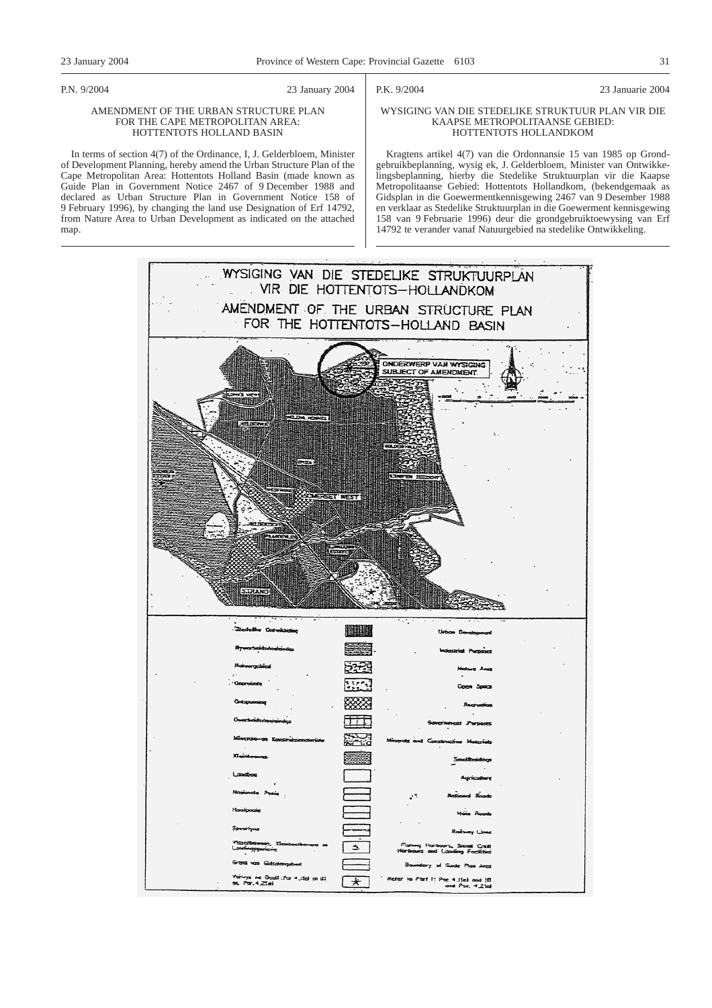map.

#### P.N. 9/2004 23 January 2004

AMENDMENT OF THE URBAN STRUCTURE PLAN FOR THE CAPE METROPOLITAN AREA: HOTTENTOTS HOLLAND BASIN In terms of section 4(7) of the Ordinance, I, J. Gelderbloem, Minister of Development Planning, hereby amend the Urban Structure Plan of the Cape Metropolitan Area: Hottentots Holland Basin (made known as Guide Plan in Government Notice 2467 of 9 December 1988 and declared as Urban Structure Plan in Government Notice 158 of 9 February 1996), by changing the land use Designation of Erf 14792, from Nature Area to Urban Development as indicated on the attached P.K. 9/2004 23 Januarie 2004

#### WYSIGING VAN DIE STEDELIKE STRUKTUUR PLAN VIR DIE KAAPSE METROPOLITAANSE GEBIED: HOTTENTOTS HOLLANDKOM

Kragtens artikel 4(7) van die Ordonnansie 15 van 1985 op Grondgebruikbeplanning, wysig ek, J. Gelderbloem, Minister van Ontwikkelingsbeplanning, hierby die Stedelike Struktuurplan vir die Kaapse Metropolitaanse Gebied: Hottentots Hollandkom, (bekendgemaak as Gidsplan in die Goewermentkennisgewing 2467 van 9 Desember 1988 en verklaar as Stedelike Struktuurplan in die Goewerment kennisgewing 158 van 9 Februarie 1996) deur die grondgebruiktoewysing van Erf 14792 te verander vanaf Natuurgebied na stedelike Ontwikkeling.

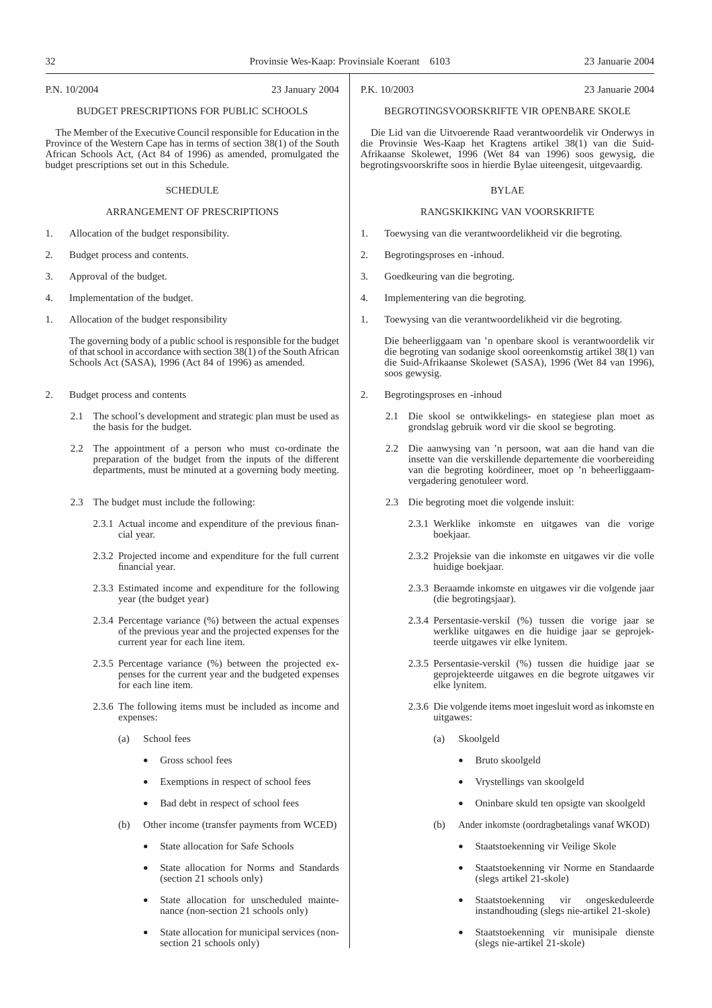#### P.N. 10/2004 23 January 2004

## BUDGET PRESCRIPTIONS FOR PUBLIC SCHOOLS

The Member of the Executive Council responsible for Education in the Province of the Western Cape has in terms of section 38(1) of the South African Schools Act, (Act 84 of 1996) as amended, promulgated the budget prescriptions set out in this Schedule.

#### SCHEDULE

#### ARRANGEMENT OF PRESCRIPTIONS

- 1. Allocation of the budget responsibility.
- 2. Budget process and contents.
- 3. Approval of the budget.
- 4. Implementation of the budget.
- 1. Allocation of the budget responsibility

The governing body of a public school is responsible for the budget of that school in accordance with section  $38(1)$  of the South African Schools Act (SASA), 1996 (Act 84 of 1996) as amended.

- 2. Budget process and contents
	- 2.1 The school's development and strategic plan must be used as the basis for the budget.
	- 2.2 The appointment of a person who must co-ordinate the preparation of the budget from the inputs of the different departments, must be minuted at a governing body meeting.
	- 2.3 The budget must include the following:
		- 2.3.1 Actual income and expenditure of the previous financial year.
		- 2.3.2 Projected income and expenditure for the full current financial year.
		- 2.3.3 Estimated income and expenditure for the following year (the budget year)
		- 2.3.4 Percentage variance (%) between the actual expenses of the previous year and the projected expenses for the current year for each line item.
		- 2.3.5 Percentage variance (%) between the projected expenses for the current year and the budgeted expenses for each line item.
		- 2.3.6 The following items must be included as income and expenses:
			- (a) School fees
				- Gross school fees
				- Exemptions in respect of school fees
				- Bad debt in respect of school fees
			- (b) Other income (transfer payments from WCED)
				- State allocation for Safe Schools
				- State allocation for Norms and Standards (section 21 schools only)
				- State allocation for unscheduled maintenance (non-section 21 schools only)
				- State allocation for municipal services (nonsection 21 schools only)

P.K. 10/2003 23 Januarie 2004

#### BEGROTINGSVOORSKRIFTE VIR OPENBARE SKOLE

Die Lid van die Uitvoerende Raad verantwoordelik vir Onderwys in die Provinsie Wes-Kaap het Kragtens artikel 38(1) van die Suid-Afrikaanse Skolewet, 1996 (Wet 84 van 1996) soos gewysig, die begrotingsvoorskrifte soos in hierdie Bylae uiteengesit, uitgevaardig.

#### BYLAE

#### RANGSKIKKING VAN VOORSKRIFTE

- 1. Toewysing van die verantwoordelikheid vir die begroting.
- 2. Begrotingsproses en -inhoud.
- 3. Goedkeuring van die begroting.
- 4. Implementering van die begroting.
- 1. Toewysing van die verantwoordelikheid vir die begroting.

Die beheerliggaam van 'n openbare skool is verantwoordelik vir die begroting van sodanige skool ooreenkomstig artikel 38(1) van die Suid-Afrikaanse Skolewet (SASA), 1996 (Wet 84 van 1996), soos gewysig.

- 2. Begrotingsproses en -inhoud
	- 2.1 Die skool se ontwikkelings- en stategiese plan moet as grondslag gebruik word vir die skool se begroting.
	- 2.2 Die aanwysing van 'n persoon, wat aan die hand van die insette van die verskillende departemente die voorbereiding van die begroting koördineer, moet op 'n beheerliggaamvergadering genotuleer word.
	- 2.3 Die begroting moet die volgende insluit:
		- 2.3.1 Werklike inkomste en uitgawes van die vorige boekjaar.
		- 2.3.2 Projeksie van die inkomste en uitgawes vir die volle huidige boekjaar.
		- 2.3.3 Beraamde inkomste en uitgawes vir die volgende jaar (die begrotingsjaar).
		- 2.3.4 Persentasie-verskil (%) tussen die vorige jaar se werklike uitgawes en die huidige jaar se geprojekteerde uitgawes vir elke lynitem.
		- 2.3.5 Persentasie-verskil (%) tussen die huidige jaar se geprojekteerde uitgawes en die begrote uitgawes vir elke lynitem.
		- 2.3.6 Die volgende items moet ingesluit word as inkomste en uitgawes:
			- (a) Skoolgeld
				- Bruto skoolgeld
				- Vrystellings van skoolgeld
				- Oninbare skuld ten opsigte van skoolgeld
			- (b) Ander inkomste (oordragbetalings vanaf WKOD)
				- Staatstoekenning vir Veilige Skole
				- Staatstoekenning vir Norme en Standaarde (slegs artikel 21-skole)
				- Staatstoekenning vir ongeskeduleerde instandhouding (slegs nie-artikel 21-skole)
				- Staatstoekenning vir munisipale dienste (slegs nie-artikel 21-skole)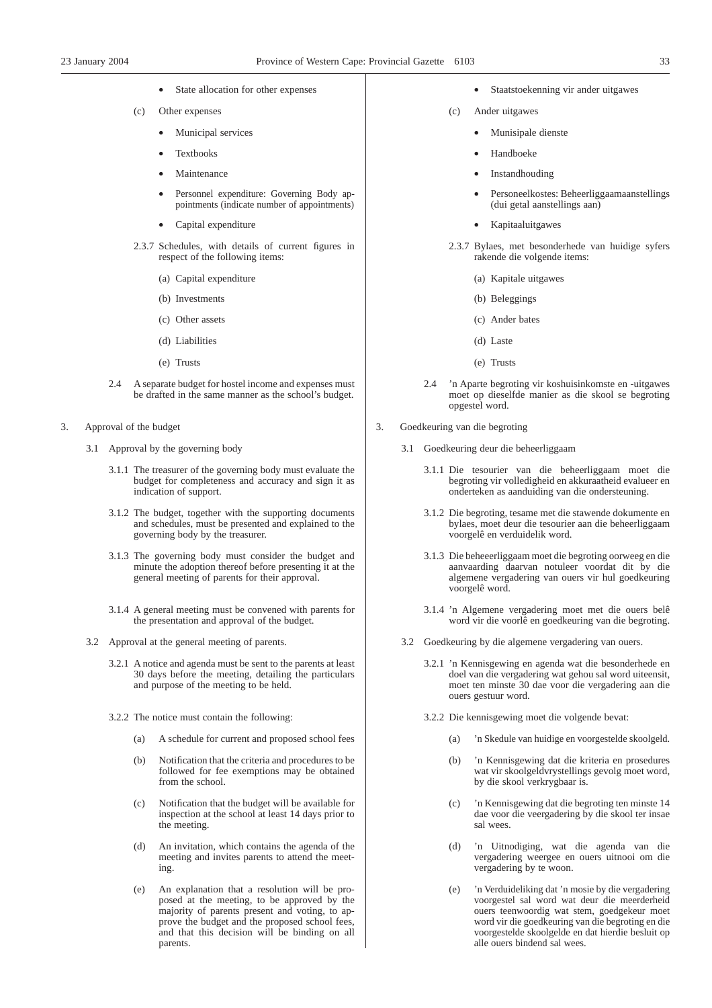- State allocation for other expenses
- (c) Other expenses
	- Municipal services
	- **Textbooks**
	- **Maintenance**
	- Personnel expenditure: Governing Body appointments (indicate number of appointments)
	- Capital expenditure
- 2.3.7 Schedules, with details of current figures in respect of the following items:
	- (a) Capital expenditure
	- (b) Investments
	- (c) Other assets
	- (d) Liabilities
	- (e) Trusts
- 2.4 A separate budget for hostel income and expenses must be drafted in the same manner as the school's budget.
- 3. Approval of the budget
	- 3.1 Approval by the governing body
		- 3.1.1 The treasurer of the governing body must evaluate the budget for completeness and accuracy and sign it as indication of support.
		- 3.1.2 The budget, together with the supporting documents and schedules, must be presented and explained to the governing body by the treasurer.
		- 3.1.3 The governing body must consider the budget and minute the adoption thereof before presenting it at the general meeting of parents for their approval.
		- 3.1.4 A general meeting must be convened with parents for the presentation and approval of the budget.
	- 3.2 Approval at the general meeting of parents.
		- 3.2.1 A notice and agenda must be sent to the parents at least 30 days before the meeting, detailing the particulars and purpose of the meeting to be held.
		- 3.2.2 The notice must contain the following:
			- (a) A schedule for current and proposed school fees
			- (b) Notification that the criteria and procedures to be followed for fee exemptions may be obtained from the school.
			- (c) Notification that the budget will be available for inspection at the school at least 14 days prior to the meeting.
			- (d) An invitation, which contains the agenda of the meeting and invites parents to attend the meeting.
			- (e) An explanation that a resolution will be proposed at the meeting, to be approved by the majority of parents present and voting, to approve the budget and the proposed school fees, and that this decision will be binding on all parents.
- Staatstoekenning vir ander uitgawes
- (c) Ander uitgawes
	- Munisipale dienste
	- Handboeke
	- **Instandhouding**
	- Personeelkostes: Beheerliggaamaanstellings (dui getal aanstellings aan)
	- Kapitaaluitgawes
- 2.3.7 Bylaes, met besonderhede van huidige syfers rakende die volgende items:
	- (a) Kapitale uitgawes
	- (b) Beleggings
	- (c) Ander bates
	- (d) Laste
	- (e) Trusts
- 2.4 'n Aparte begroting vir koshuisinkomste en -uitgawes moet op dieselfde manier as die skool se begroting opgestel word.
- 3. Goedkeuring van die begroting
	- 3.1 Goedkeuring deur die beheerliggaam
		- 3.1.1 Die tesourier van die beheerliggaam moet die begroting vir volledigheid en akkuraatheid evalueer en onderteken as aanduiding van die ondersteuning.
		- 3.1.2 Die begroting, tesame met die stawende dokumente en bylaes, moet deur die tesourier aan die beheerliggaam voorgelê en verduidelik word.
		- 3.1.3 Die beheeerliggaam moet die begroting oorweeg en die aanvaarding daarvan notuleer voordat dit by die algemene vergadering van ouers vir hul goedkeuring voorgelê word.
		- 3.1.4 'n Algemene vergadering moet met die ouers belê word vir die voorlê en goedkeuring van die begroting.
	- 3.2 Goedkeuring by die algemene vergadering van ouers.
		- 3.2.1 'n Kennisgewing en agenda wat die besonderhede en doel van die vergadering wat gehou sal word uiteensit, moet ten minste 30 dae voor die vergadering aan die ouers gestuur word.
		- 3.2.2 Die kennisgewing moet die volgende bevat:
			- (a) 'n Skedule van huidige en voorgestelde skoolgeld.
			- (b) 'n Kennisgewing dat die kriteria en prosedures wat vir skoolgeldvrystellings gevolg moet word, by die skool verkrygbaar is.
			- (c) 'n Kennisgewing dat die begroting ten minste 14 dae voor die veergadering by die skool ter insae sal wees.
			- (d) 'n Uitnodiging, wat die agenda van die vergadering weergee en ouers uitnooi om die vergadering by te woon.
			- (e) 'n Verduideliking dat 'n mosie by die vergadering voorgestel sal word wat deur die meerderheid ouers teenwoordig wat stem, goedgekeur moet word vir die goedkeuring van die begroting en die voorgestelde skoolgelde en dat hierdie besluit op alle ouers bindend sal wees.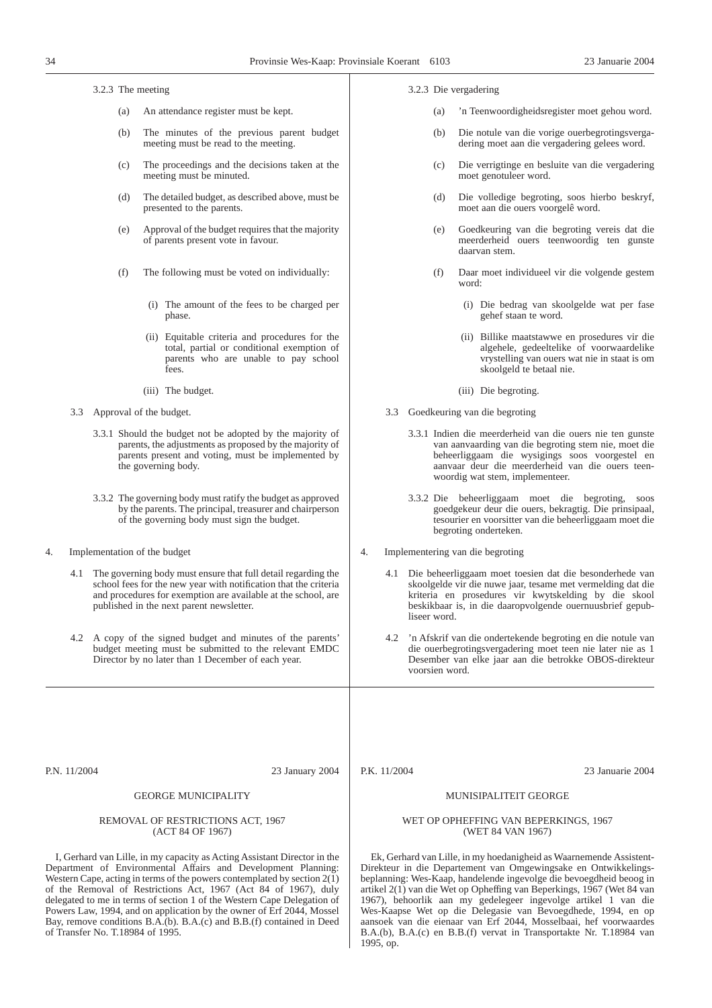3.2.3 The meeting

- (a) An attendance register must be kept.
- (b) The minutes of the previous parent budget meeting must be read to the meeting.
- (c) The proceedings and the decisions taken at the meeting must be minuted.
- (d) The detailed budget, as described above, must be presented to the parents.
- (e) Approval of the budget requires that the majority of parents present vote in favour.
- (f) The following must be voted on individually:
	- (i) The amount of the fees to be charged per phase.
	- (ii) Equitable criteria and procedures for the total, partial or conditional exemption of parents who are unable to pay school fees.
	- (iii) The budget.
- 3.3 Approval of the budget.
	- 3.3.1 Should the budget not be adopted by the majority of parents, the adjustments as proposed by the majority of parents present and voting, must be implemented by the governing body.
	- 3.3.2 The governing body must ratify the budget as approved by the parents. The principal, treasurer and chairperson of the governing body must sign the budget.
- 4. Implementation of the budget
	- 4.1 The governing body must ensure that full detail regarding the school fees for the new year with notification that the criteria and procedures for exemption are available at the school, are published in the next parent newsletter.
	- 4.2 A copy of the signed budget and minutes of the parents' budget meeting must be submitted to the relevant EMDC Director by no later than 1 December of each year.
- 3.2.3 Die vergadering
	- (a) 'n Teenwoordigheidsregister moet gehou word.
	- (b) Die notule van die vorige ouerbegrotingsvergadering moet aan die vergadering gelees word.
	- (c) Die verrigtinge en besluite van die vergadering moet genotuleer word.
	- (d) Die volledige begroting, soos hierbo beskryf, moet aan die ouers voorgelê word.
	- (e) Goedkeuring van die begroting vereis dat die meerderheid ouers teenwoordig ten gunste daarvan stem.
	- (f) Daar moet individueel vir die volgende gestem word:
		- (i) Die bedrag van skoolgelde wat per fase gehef staan te word.
		- (ii) Billike maatstawwe en prosedures vir die algehele, gedeeltelike of voorwaardelike vrystelling van ouers wat nie in staat is om skoolgeld te betaal nie.
		- (iii) Die begroting.
- 3.3 Goedkeuring van die begroting
	- 3.3.1 Indien die meerderheid van die ouers nie ten gunste van aanvaarding van die begroting stem nie, moet die beheerliggaam die wysigings soos voorgestel en aanvaar deur die meerderheid van die ouers teenwoordig wat stem, implementeer.
	- 3.3.2 Die beheerliggaam moet die begroting, soos goedgekeur deur die ouers, bekragtig. Die prinsipaal, tesourier en voorsitter van die beheerliggaam moet die begroting onderteken.
- 4. Implementering van die begroting
	- 4.1 Die beheerliggaam moet toesien dat die besonderhede van skoolgelde vir die nuwe jaar, tesame met vermelding dat die kriteria en prosedures vir kwytskelding by die skool beskikbaar is, in die daaropvolgende ouernuusbrief gepubliseer word.
	- 4.2 'n Afskrif van die ondertekende begroting en die notule van die ouerbegrotingsvergadering moet teen nie later nie as 1 Desember van elke jaar aan die betrokke OBOS-direkteur voorsien word.

P.N. 11/2004 23 January 2004

## GEORGE MUNICIPALITY

#### REMOVAL OF RESTRICTIONS ACT, 1967 (ACT 84 OF 1967)

I, Gerhard van Lille, in my capacity as Acting Assistant Director in the Department of Environmental Affairs and Development Planning: Western Cape, acting in terms of the powers contemplated by section 2(1) of the Removal of Restrictions Act, 1967 (Act 84 of 1967), duly delegated to me in terms of section 1 of the Western Cape Delegation of Powers Law, 1994, and on application by the owner of Erf 2044, Mossel Bay, remove conditions B.A.(b). B.A.(c) and B.B.(f) contained in Deed of Transfer No. T.18984 of 1995.

P.K. 11/2004 23 Januarie 2004

## MUNISIPALITEIT GEORGE

#### WET OP OPHEFFING VAN BEPERKINGS, 1967 (WET 84 VAN 1967)

Ek, Gerhard van Lille, in my hoedanigheid as Waarnemende Assistent-Direkteur in die Departement van Omgewingsake en Ontwikkelingsbeplanning: Wes-Kaap, handelende ingevolge die bevoegdheid beoog in artikel 2(1) van die Wet op Opheffing van Beperkings, 1967 (Wet 84 van 1967), behoorlik aan my gedelegeer ingevolge artikel 1 van die Wes-Kaapse Wet op die Delegasie van Bevoegdhede, 1994, en op aansoek van die eienaar van Erf 2044, Mosselbaai, hef voorwaardes B.A.(b), B.A.(c) en B.B.(f) vervat in Transportakte Nr. T.18984 van 1995, op.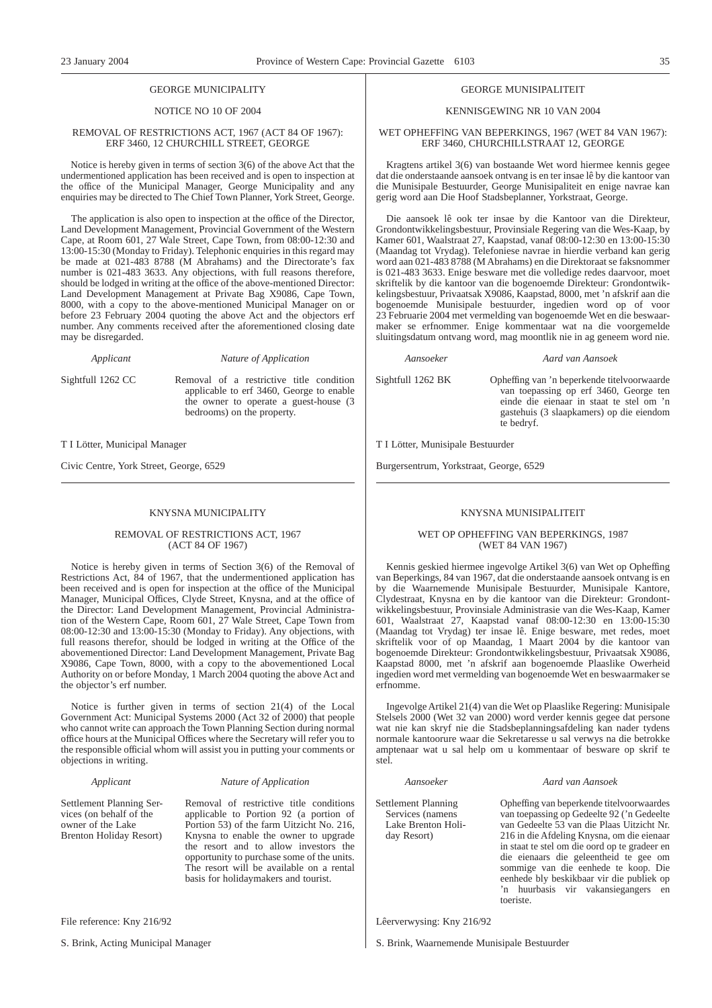#### GEORGE MUNICIPALITY

#### NOTICE NO 10 OF 2004

#### REMOVAL OF RESTRICTIONS ACT, 1967 (ACT 84 OF 1967): ERF 3460, 12 CHURCHILL STREET, GEORGE

Notice is hereby given in terms of section 3(6) of the above Act that the undermentioned application has been received and is open to inspection at the office of the Municipal Manager, George Municipality and any enquiries may be directed to The Chief Town Planner, York Street, George.

The application is also open to inspection at the office of the Director, Land Development Management, Provincial Government of the Western Cape, at Room 601, 27 Wale Street, Cape Town, from 08:00-12:30 and 13:00-15:30 (Monday to Friday). Telephonic enquiries in this regard may be made at 021-483 8788 (M Abrahams) and the Directorate's fax number is 021-483 3633. Any objections, with full reasons therefore, should be lodged in writing at the office of the above-mentioned Director: Land Development Management at Private Bag X9086, Cape Town, 8000, with a copy to the above-mentioned Municipal Manager on or before 23 February 2004 quoting the above Act and the objectors erf number. Any comments received after the aforementioned closing date may be disregarded.

*Applicant Nature of Application*

Sightfull 1262 CC Removal of a restrictive title condition applicable to erf 3460, George to enable the owner to operate a guest-house (3 bedrooms) on the property.

T I Lötter, Municipal Manager

Civic Centre, York Street, George, 6529

#### KNYSNA MUNICIPALITY

#### REMOVAL OF RESTRICTIONS ACT, 1967 (ACT 84 OF 1967)

Notice is hereby given in terms of Section 3(6) of the Removal of Restrictions Act, 84 of 1967, that the undermentioned application has been received and is open for inspection at the office of the Municipal Manager, Municipal Offices, Clyde Street, Knysna, and at the office of the Director: Land Development Management, Provincial Administration of the Western Cape, Room 601, 27 Wale Street, Cape Town from 08:00-12:30 and 13:00-15:30 (Monday to Friday). Any objections, with full reasons therefor, should be lodged in writing at the Office of the abovementioned Director: Land Development Management, Private Bag X9086, Cape Town, 8000, with a copy to the abovementioned Local Authority on or before Monday, 1 March 2004 quoting the above Act and the objector's erf number.

Notice is further given in terms of section 21(4) of the Local Government Act: Municipal Systems 2000 (Act 32 of 2000) that people who cannot write can approach the Town Planning Section during normal office hours at the Municipal Offices where the Secretary will refer you to the responsible official whom will assist you in putting your comments or objections in writing.

#### *Applicant Nature of Application*

Settlement Planning Services (on behalf of the owner of the Lake Brenton Holiday Resort) Removal of restrictive title conditions applicable to Portion 92 (a portion of Portion 53) of the farm Uitzicht No. 216, Knysna to enable the owner to upgrade the resort and to allow investors the opportunity to purchase some of the units. The resort will be available on a rental basis for holidaymakers and tourist.

File reference: Kny 216/92

S. Brink, Acting Municipal Manager

#### GEORGE MUNISIPALITEIT

#### KENNISGEWING NR 10 VAN 2004

#### WET OPHEFFlNG VAN BEPERKINGS, 1967 (WET 84 VAN 1967): ERF 3460, CHURCHILLSTRAAT 12, GEORGE

Kragtens artikel 3(6) van bostaande Wet word hiermee kennis gegee dat die onderstaande aansoek ontvang is en ter insae lê by die kantoor van die Munisipale Bestuurder, George Munisipaliteit en enige navrae kan gerig word aan Die Hoof Stadsbeplanner, Yorkstraat, George.

Die aansoek lê ook ter insae by die Kantoor van die Direkteur, Grondontwikkelingsbestuur, Provinsiale Regering van die Wes-Kaap, by Kamer 601, Waalstraat 27, Kaapstad, vanaf 08:00-12:30 en 13:00-15:30 (Maandag tot Vrydag). Telefoniese navrae in hierdie verband kan gerig word aan 021-483 8788 (M Abrahams) en die Direktoraat se faksnommer is 021-483 3633. Enige besware met die volledige redes daarvoor, moet skriftelik by die kantoor van die bogenoemde Direkteur: Grondontwikkelingsbestuur, Privaatsak X9086, Kaapstad, 8000, met 'n afskrif aan die bogenoemde Munisipale bestuurder, ingedien word op of voor 23 Februarie 2004 met vermelding van bogenoemde Wet en die beswaarmaker se erfnommer. Enige kommentaar wat na die voorgemelde sluitingsdatum ontvang word, mag moontlik nie in ag geneem word nie.

#### *Aansoeker Aard van Aansoek*

Sightfull 1262 BK Opheffing van 'n beperkende titelvoorwaarde van toepassing op erf 3460, George ten einde die eienaar in staat te stel om 'n gastehuis (3 slaapkamers) op die eiendom te bedryf.

T I Lötter, Munisipale Bestuurder

Burgersentrum, Yorkstraat, George, 6529

#### KNYSNA MUNISIPALITEIT

#### WET OP OPHEFFING VAN BEPERKINGS, 1987 (WET 84 VAN 1967)

Kennis geskied hiermee ingevolge Artikel 3(6) van Wet op Opheffing van Beperkings, 84 van 1967, dat die onderstaande aansoek ontvang is en by die Waarnemende Munisipale Bestuurder, Munisipale Kantore, Clydestraat, Knysna en by die kantoor van die Direkteur: Grondontwikkelingsbestuur, Provinsiale Administrasie van die Wes-Kaap, Kamer 601, Waalstraat 27, Kaapstad vanaf 08:00-12:30 en 13:00-15:30 (Maandag tot Vrydag) ter insae lê. Enige besware, met redes, moet skriftelik voor of op Maandag, 1 Maart 2004 by die kantoor van bogenoemde Direkteur: Grondontwikkelingsbestuur, Privaatsak X9086, Kaapstad 8000, met 'n afskrif aan bogenoemde Plaaslike Owerheid ingedien word met vermelding van bogenoemde Wet en beswaarmaker se erfnomme.

Ingevolge Artikel 21(4) van die Wet op Plaaslike Regering: Munisipale Stelsels 2000 (Wet 32 van 2000) word verder kennis gegee dat persone wat nie kan skryf nie die Stadsbeplanningsafdeling kan nader tydens normale kantoorure waar die Sekretaresse u sal verwys na die betrokke amptenaar wat u sal help om u kommentaar of besware op skrif te stel.

#### *Aansoeker Aard van Aansoek*

Settlement Planning Services (namens Lake Brenton Holiday Resort)

Opheffing van beperkende titelvoorwaardes van toepassing op Gedeelte 92 ('n Gedeelte van Gedeelte 53 van die Plaas Uitzicht Nr. 216 in die Afdeling Knysna, om die eienaar in staat te stel om die oord op te gradeer en die eienaars die geleentheid te gee om sommige van die eenhede te koop. Die eenhede bly beskikbaar vir die publiek op 'n huurbasis vir vakansiegangers en toeriste.

Lêerverwysing: Kny 216/92

S. Brink, Waarnemende Munisipale Bestuurder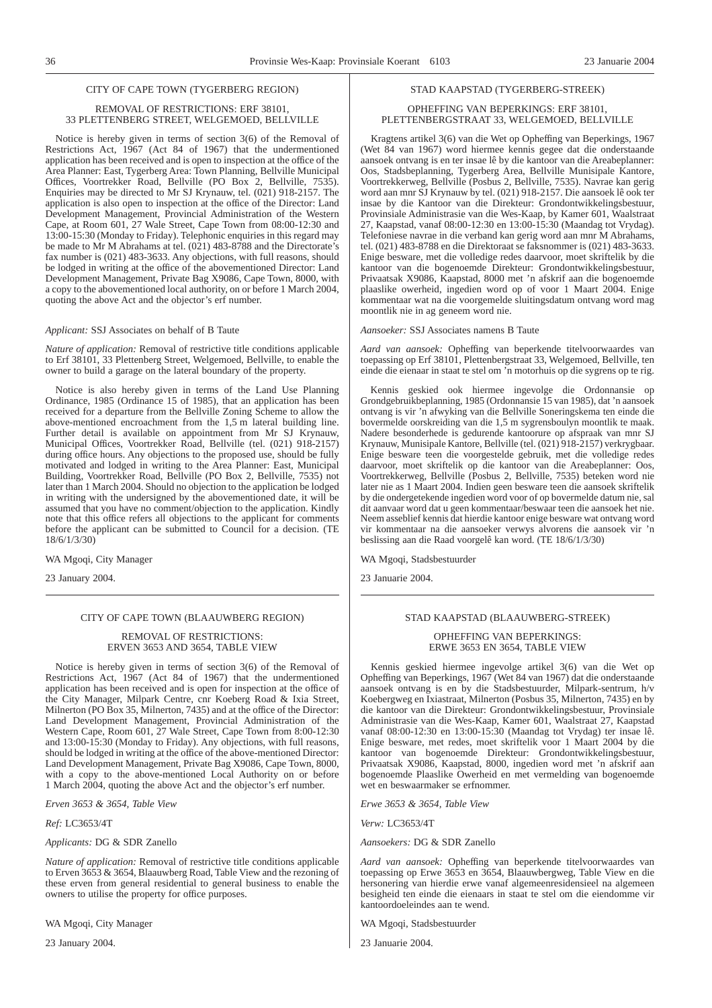#### CITY OF CAPE TOWN (TYGERBERG REGION)

#### REMOVAL OF RESTRICTIONS: ERF 38101, 33 PLETTENBERG STREET, WELGEMOED, BELLVILLE

Notice is hereby given in terms of section 3(6) of the Removal of Restrictions Act, 1967 (Act 84 of 1967) that the undermentioned application has been received and is open to inspection at the office of the Area Planner: East, Tygerberg Area: Town Planning, Bellville Municipal Offices, Voortrekker Road, Bellville (PO Box 2, Bellville, 7535). Enquiries may be directed to Mr SJ Krynauw, tel. (021) 918-2157. The application is also open to inspection at the office of the Director: Land Development Management, Provincial Administration of the Western Cape, at Room 601, 27 Wale Street, Cape Town from 08:00-12:30 and 13:00-15:30 (Monday to Friday). Telephonic enquiries in this regard may be made to Mr M Abrahams at tel.  $(021)$  483-8788 and the Directorate's fax number is (021) 483-3633. Any objections, with full reasons, should be lodged in writing at the office of the abovementioned Director: Land Development Management, Private Bag X9086, Cape Town, 8000, with a copy to the abovementioned local authority, on or before 1 March 2004, quoting the above Act and the objector's erf number.

#### *Applicant:* SSJ Associates on behalf of B Taute

*Nature of application:* Removal of restrictive title conditions applicable to Erf 38101, 33 Plettenberg Street, Welgemoed, Bellville, to enable the owner to build a garage on the lateral boundary of the property.

Notice is also hereby given in terms of the Land Use Planning Ordinance, 1985 (Ordinance 15 of 1985), that an application has been received for a departure from the Bellville Zoning Scheme to allow the above-mentioned encroachment from the 1,5 m lateral building line. Further detail is available on appointment from Mr SJ Krynauw, Municipal Offices, Voortrekker Road, Bellville (tel. (021) 918-2157) during office hours. Any objections to the proposed use, should be fully motivated and lodged in writing to the Area Planner: East, Municipal Building, Voortrekker Road, Bellville (PO Box 2, Bellville, 7535) not later than 1 March 2004. Should no objection to the application be lodged in writing with the undersigned by the abovementioned date, it will be assumed that you have no comment/objection to the application. Kindly note that this office refers all objections to the applicant for comments before the applicant can be submitted to Council for a decision. (TE 18/6/1/3/30)

WA Mgoqi, City Manager

23 January 2004.

#### CITY OF CAPE TOWN (BLAAUWBERG REGION)

#### REMOVAL OF RESTRICTIONS: ERVEN 3653 AND 3654, TABLE VIEW

Notice is hereby given in terms of section 3(6) of the Removal of Restrictions Act, 1967 (Act 84 of 1967) that the undermentioned application has been received and is open for inspection at the office of the City Manager, Milpark Centre, cnr Koeberg Road & Ixia Street, Milnerton (PO Box 35, Milnerton, 7435) and at the office of the Director: Land Development Management, Provincial Administration of the Western Cape, Room 601, 27 Wale Street, Cape Town from 8:00-12:30 and 13:00-15:30 (Monday to Friday). Any objections, with full reasons, should be lodged in writing at the office of the above-mentioned Director: Land Development Management, Private Bag X9086, Cape Town, 8000, with a copy to the above-mentioned Local Authority on or before 1 March 2004, quoting the above Act and the objector's erf number.

*Erven 3653 & 3654, Table View*

*Ref:* LC3653/4T

*Applicants:* DG & SDR Zanello

*Nature of application:* Removal of restrictive title conditions applicable to Erven 3653 & 3654, Blaauwberg Road, Table View and the rezoning of these erven from general residential to general business to enable the owners to utilise the property for office purposes.

WA Mgoqi, City Manager

23 January 2004.

#### STAD KAAPSTAD (TYGERBERG-STREEK)

#### OPHEFFING VAN BEPERKINGS: ERF 38101, PLETTENBERGSTRAAT 33, WELGEMOED, BELLVILLE

Kragtens artikel 3(6) van die Wet op Opheffing van Beperkings, 1967 (Wet 84 van 1967) word hiermee kennis gegee dat die onderstaande aansoek ontvang is en ter insae lê by die kantoor van die Areabeplanner: Oos, Stadsbeplanning, Tygerberg Area, Bellville Munisipale Kantore, Voortrekkerweg, Bellville (Posbus 2, Bellville, 7535). Navrae kan gerig word aan mnr SJ Krynauw by tel. (021) 918-2157. Die aansoek lê ook ter insae by die Kantoor van die Direkteur: Grondontwikkelingsbestuur, Provinsiale Administrasie van die Wes-Kaap, by Kamer 601, Waalstraat 27, Kaapstad, vanaf 08:00-12:30 en 13:00-15:30 (Maandag tot Vrydag). Telefoniese navrae in die verband kan gerig word aan mnr M Abrahams, tel. (021) 483-8788 en die Direktoraat se faksnommer is (021) 483-3633. Enige besware, met die volledige redes daarvoor, moet skriftelik by die kantoor van die bogenoemde Direkteur: Grondontwikkelingsbestuur, Privaatsak X9086, Kaapstad, 8000 met 'n afskrif aan die bogenoemde plaaslike owerheid, ingedien word op of voor 1 Maart 2004. Enige kommentaar wat na die voorgemelde sluitingsdatum ontvang word mag moontlik nie in ag geneem word nie.

#### *Aansoeker:* SSJ Associates namens B Taute

*Aard van aansoek:* Opheffing van beperkende titelvoorwaardes van toepassing op Erf 38101, Plettenbergstraat 33, Welgemoed, Bellville, ten einde die eienaar in staat te stel om 'n motorhuis op die sygrens op te rig.

Kennis geskied ook hiermee ingevolge die Ordonnansie op Grondgebruikbeplanning, 1985 (Ordonnansie 15 van 1985), dat 'n aansoek ontvang is vir 'n afwyking van die Bellville Soneringskema ten einde die bovermelde oorskreiding van die 1,5 m sygrensboulyn moontlik te maak. Nadere besonderhede is gedurende kantoorure op afspraak van mnr SJ Krynauw, Munisipale Kantore, Bellville (tel. (021) 918-2157) verkrygbaar. Enige besware teen die voorgestelde gebruik, met die volledige redes daarvoor, moet skriftelik op die kantoor van die Areabeplanner: Oos, Voortrekkerweg, Bellville (Posbus 2, Bellville, 7535) beteken word nie later nie as 1 Maart 2004. Indien geen besware teen die aansoek skriftelik by die ondergetekende ingedien word voor of op bovermelde datum nie, sal dit aanvaar word dat u geen kommentaar/beswaar teen die aansoek het nie. Neem asseblief kennis dat hierdie kantoor enige besware wat ontvang word vir kommentaar na die aansoeker verwys alvorens die aansoek vir 'n beslissing aan die Raad voorgelê kan word. (TE 18/6/1/3/30)

WA Mgoqi, Stadsbestuurder

23 Januarie 2004.

#### STAD KAAPSTAD (BLAAUWBERG-STREEK)

#### OPHEFFING VAN BEPERKINGS: ERWE 3653 EN 3654, TABLE VIEW

Kennis geskied hiermee ingevolge artikel 3(6) van die Wet op Opheffing van Beperkings, 1967 (Wet 84 van 1967) dat die onderstaande aansoek ontvang is en by die Stadsbestuurder, Milpark-sentrum, h/v Koebergweg en Ixiastraat, Milnerton (Posbus 35, Milnerton, 7435) en by die kantoor van die Direkteur: Grondontwikkelingsbestuur, Provinsiale Administrasie van die Wes-Kaap, Kamer 601, Waalstraat 27, Kaapstad vanaf 08:00-12:30 en 13:00-15:30 (Maandag tot Vrydag) ter insae lê. Enige besware, met redes, moet skriftelik voor 1 Maart 2004 by die kantoor van bogenoemde Direkteur: Grondontwikkelingsbestuur, Privaatsak X9086, Kaapstad, 8000, ingedien word met 'n afskrif aan bogenoemde Plaaslike Owerheid en met vermelding van bogenoemde wet en beswaarmaker se erfnommer.

*Erwe 3653 & 3654, Table View*

*Verw:* LC3653/4T

*Aansoekers:* DG & SDR Zanello

*Aard van aansoek:* Opheffing van beperkende titelvoorwaardes van toepassing op Erwe 3653 en 3654, Blaauwbergweg, Table View en die hersonering van hierdie erwe vanaf algemeenresidensieel na algemeen besigheid ten einde die eienaars in staat te stel om die eiendomme vir kantoordoeleindes aan te wend.

WA Mgoqi, Stadsbestuurder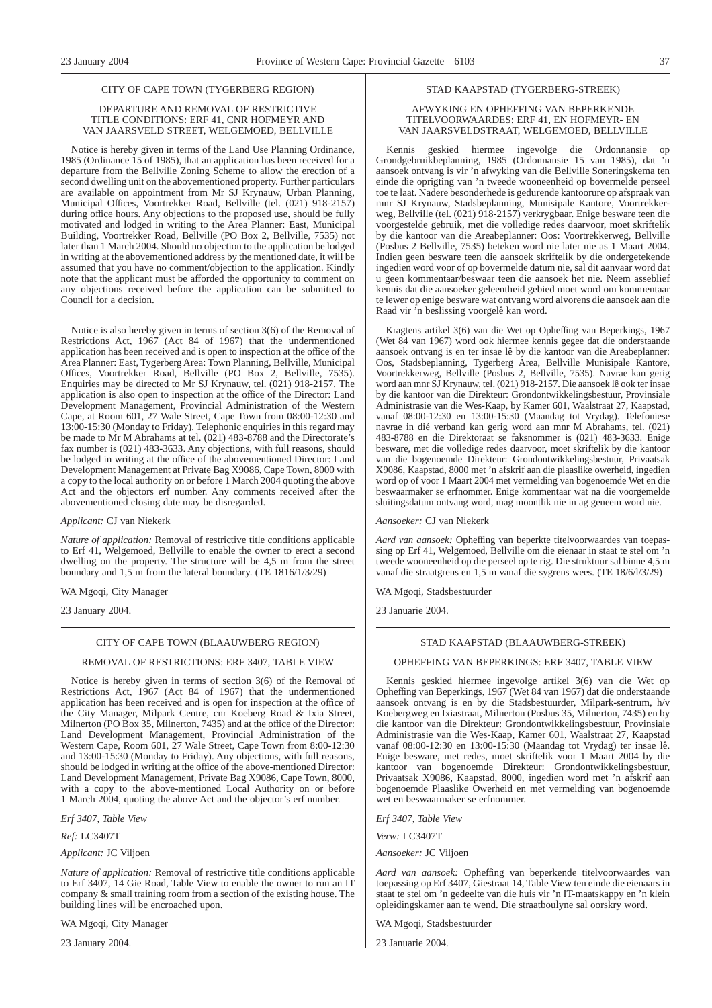#### CITY OF CAPE TOWN (TYGERBERG REGION)

#### DEPARTURE AND REMOVAL OF RESTRICTIVE TITLE CONDITIONS: ERF 41, CNR HOFMEYR AND VAN JAARSVELD STREET, WELGEMOED, BELLVILLE

Notice is hereby given in terms of the Land Use Planning Ordinance, 1985 (Ordinance 15 of 1985), that an application has been received for a departure from the Bellville Zoning Scheme to allow the erection of a second dwelling unit on the abovementioned property. Further particulars are available on appointment from Mr SJ Krynauw, Urban Planning, Municipal Offices, Voortrekker Road, Bellville (tel. (021) 918-2157) during office hours. Any objections to the proposed use, should be fully motivated and lodged in writing to the Area Planner: East, Municipal Building, Voortrekker Road, Bellville (PO Box 2, Bellville, 7535) not later than 1 March 2004. Should no objection to the application be lodged in writing at the abovementioned address by the mentioned date, it will be assumed that you have no comment/objection to the application. Kindly note that the applicant must be afforded the opportunity to comment on any objections received before the application can be submitted to Council for a decision.

Notice is also hereby given in terms of section 3(6) of the Removal of Restrictions Act, 1967 (Act 84 of 1967) that the undermentioned application has been received and is open to inspection at the office of the Area Planner: East, Tygerberg Area: Town Planning, Bellville, Municipal Offices, Voortrekker Road, Bellville (PO Box 2, Bellville, 7535). Enquiries may be directed to Mr SJ Krynauw, tel. (021) 918-2157. The application is also open to inspection at the office of the Director: Land Development Management, Provincial Administration of the Western Cape, at Room 601, 27 Wale Street, Cape Town from 08:00-12:30 and 13:00-15:30 (Monday to Friday). Telephonic enquiries in this regard may be made to Mr M Abrahams at tel.  $(021)$  483-8788 and the Directorate's fax number is (021) 483-3633. Any objections, with full reasons, should be lodged in writing at the office of the abovementioned Director: Land Development Management at Private Bag X9086, Cape Town, 8000 with a copy to the local authority on or before 1 March 2004 quoting the above Act and the objectors erf number. Any comments received after the abovementioned closing date may be disregarded.

#### *Applicant:* CJ van Niekerk

*Nature of application:* Removal of restrictive title conditions applicable to Erf 41, Welgemoed, Bellville to enable the owner to erect a second dwelling on the property. The structure will be 4,5 m from the street boundary and 1,5 m from the lateral boundary. (TE 1816/1/3/29)

WA Mgoqi, City Manager

23 January 2004.

#### CITY OF CAPE TOWN (BLAAUWBERG REGION)

#### REMOVAL OF RESTRICTIONS: ERF 3407, TABLE VIEW

Notice is hereby given in terms of section 3(6) of the Removal of Restrictions Act, 1967 (Act 84 of 1967) that the undermentioned application has been received and is open for inspection at the office of the City Manager, Milpark Centre, cnr Koeberg Road & Ixia Street, Milnerton (PO Box 35, Milnerton, 7435) and at the office of the Director: Land Development Management, Provincial Administration of the Western Cape, Room 601, 27 Wale Street, Cape Town from 8:00-12:30 and 13:00-15:30 (Monday to Friday). Any objections, with full reasons, should be lodged in writing at the office of the above-mentioned Director: Land Development Management, Private Bag X9086, Cape Town, 8000, with a copy to the above-mentioned Local Authority on or before 1 March 2004, quoting the above Act and the objector's erf number.

*Erf 3407, Table View*

*Ref:* LC3407T

*Applicant:* JC Viljoen

*Nature of application:* Removal of restrictive title conditions applicable to Erf 3407, 14 Gie Road, Table View to enable the owner to run an IT company & small training room from a section of the existing house. The building lines will be encroached upon.

WA Mgoqi, City Manager

23 January 2004.

#### STAD KAAPSTAD (TYGERBERG-STREEK)

#### AFWYKING EN OPHEFFING VAN BEPERKENDE TITELVOORWAARDES: ERF 41, EN HOFMEYR- EN VAN JAARSVELDSTRAAT, WELGEMOED, BELLVILLE

Kennis geskied hiermee ingevolge die Ordonnansie op Grondgebruikbeplanning, 1985 (Ordonnansie 15 van 1985), dat 'n aansoek ontvang is vir 'n afwyking van die Bellville Soneringskema ten einde die oprigting van 'n tweede wooneenheid op bovermelde perseel toe te laat. Nadere besonderhede is gedurende kantoorure op afspraak van mnr SJ Krynauw, Stadsbeplanning, Munisipale Kantore, Voortrekkerweg, Bellville (tel. (021) 918-2157) verkrygbaar. Enige besware teen die voorgestelde gebruik, met die volledige redes daarvoor, moet skriftelik by die kantoor van die Areabeplanner: Oos: Voortrekkerweg, Bellville (Posbus 2 Bellville, 7535) beteken word nie later nie as 1 Maart 2004. Indien geen besware teen die aansoek skriftelik by die ondergetekende ingedien word voor of op bovermelde datum nie, sal dit aanvaar word dat u geen kommentaar/beswaar teen die aansoek het nie. Neem asseblief kennis dat die aansoeker geleentheid gebied moet word om kommentaar te lewer op enige besware wat ontvang word alvorens die aansoek aan die Raad vir 'n beslissing voorgelê kan word.

Kragtens artikel 3(6) van die Wet op Opheffing van Beperkings, 1967 (Wet 84 van 1967) word ook hiermee kennis gegee dat die onderstaande aansoek ontvang is en ter insae lê by die kantoor van die Areabeplanner: Oos, Stadsbeplanning, Tygerberg Area, Bellville Munisipale Kantore, Voortrekkerweg, Bellville (Posbus 2, Bellville, 7535). Navrae kan gerig word aan mnr SJ Krynauw, tel. (021) 918-2157. Die aansoek lê ook ter insae by die kantoor van die Direkteur: Grondontwikkelingsbestuur, Provinsiale Administrasie van die Wes-Kaap, by Kamer 601, Waalstraat 27, Kaapstad, vanaf 08:00-12:30 en 13:00-15:30 (Maandag tot Vrydag). Telefoniese navrae in dié verband kan gerig word aan mnr M Abrahams, tel. (021) 483-8788 en die Direktoraat se faksnommer is (021) 483-3633. Enige besware, met die volledige redes daarvoor, moet skriftelik by die kantoor van die bogenoemde Direkteur: Grondontwikkelingsbestuur, Privaatsak X9086, Kaapstad, 8000 met 'n afskrif aan die plaaslike owerheid, ingedien word op of voor 1 Maart 2004 met vermelding van bogenoemde Wet en die beswaarmaker se erfnommer. Enige kommentaar wat na die voorgemelde sluitingsdatum ontvang word, mag moontlik nie in ag geneem word nie.

*Aansoeker:* CJ van Niekerk

*Aard van aansoek:* Opheffing van beperkte titelvoorwaardes van toepassing op Erf 41, Welgemoed, Bellville om die eienaar in staat te stel om 'n tweede wooneenheid op die perseel op te rig. Die struktuur sal binne 4,5 m vanaf die straatgrens en 1,5 m vanaf die sygrens wees. (TE 18/6/l/3/29)

WA Mgoqi, Stadsbestuurder

23 Januarie 2004.

## STAD KAAPSTAD (BLAAUWBERG-STREEK)

#### OPHEFFING VAN BEPERKINGS: ERF 3407, TABLE VIEW

Kennis geskied hiermee ingevolge artikel 3(6) van die Wet op Opheffing van Beperkings, 1967 (Wet 84 van 1967) dat die onderstaande aansoek ontvang is en by die Stadsbestuurder, Milpark-sentrum, h/v Koebergweg en Ixiastraat, Milnerton (Posbus 35, Milnerton, 7435) en by die kantoor van die Direkteur: Grondontwikkelingsbestuur, Provinsiale Administrasie van die Wes-Kaap, Kamer 601, Waalstraat 27, Kaapstad vanaf 08:00-12:30 en 13:00-15:30 (Maandag tot Vrydag) ter insae lê. Enige besware, met redes, moet skriftelik voor 1 Maart 2004 by die kantoor van bogenoemde Direkteur: Grondontwikkelingsbestuur, Privaatsak X9086, Kaapstad, 8000, ingedien word met 'n afskrif aan bogenoemde Plaaslike Owerheid en met vermelding van bogenoemde wet en beswaarmaker se erfnommer.

*Erf 3407, Table View*

*Verw:* LC3407T

*Aansoeker:* JC Viljoen

*Aard van aansoek:* Opheffing van beperkende titelvoorwaardes van toepassing op Erf 3407, Giestraat 14, Table View ten einde die eienaars in staat te stel om 'n gedeelte van die huis vir 'n IT-maatskappy en 'n klein opleidingskamer aan te wend. Die straatboulyne sal oorskry word.

WA Mgoqi, Stadsbestuurder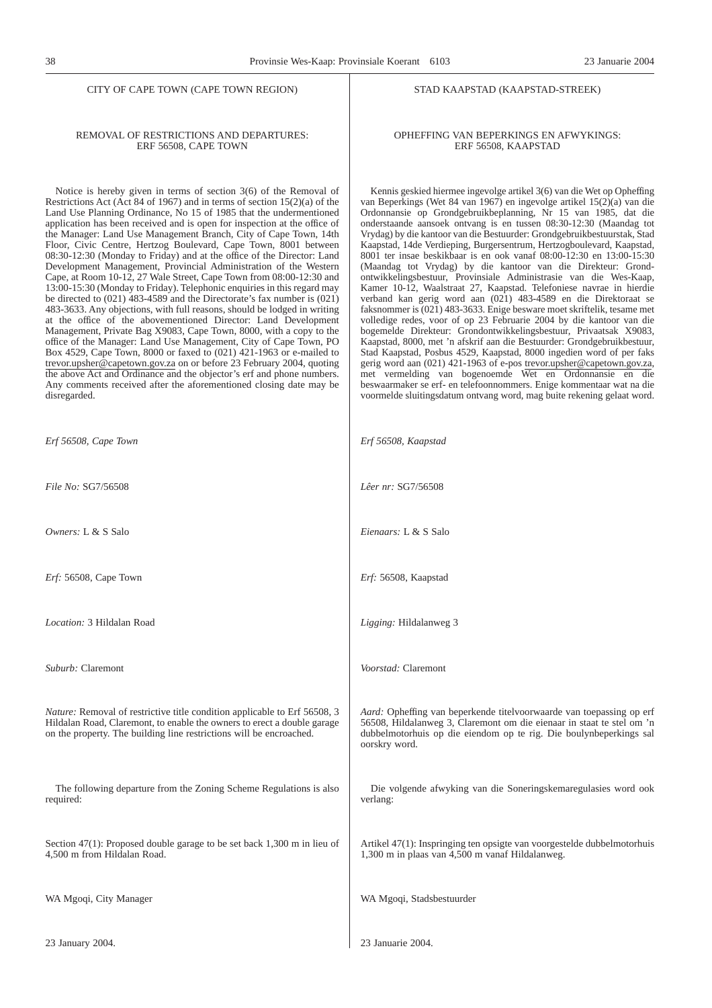STAD KAAPSTAD (KAAPSTAD-STREEK)

OPHEFFING VAN BEPERKINGS EN AFWYKINGS: ERF 56508, KAAPSTAD

Kennis geskied hiermee ingevolge artikel 3(6) van die Wet op Opheffing van Beperkings (Wet 84 van 1967) en ingevolge artikel 15(2)(a) van die Ordonnansie op Grondgebruikbeplanning, Nr 15 van 1985, dat die onderstaande aansoek ontvang is en tussen 08:30-12:30 (Maandag tot Vrydag) by die kantoor van die Bestuurder: Grondgebruikbestuurstak, Stad Kaapstad, 14de Verdieping, Burgersentrum, Hertzogboulevard, Kaapstad, 8001 ter insae beskikbaar is en ook vanaf 08:00-12:30 en 13:00-15:30 (Maandag tot Vrydag) by die kantoor van die Direkteur: Grondontwikkelingsbestuur, Provinsiale Administrasie van die Wes-Kaap, Kamer 10-12, Waalstraat 27, Kaapstad. Telefoniese navrae in hierdie verband kan gerig word aan (021) 483-4589 en die Direktoraat se faksnommer is (021) 483-3633. Enige besware moet skriftelik, tesame met volledige redes, voor of op 23 Februarie 2004 by die kantoor van die bogemelde Direkteur: Grondontwikkelingsbestuur, Privaatsak X9083, Kaapstad, 8000, met 'n afskrif aan die Bestuurder: Grondgebruikbestuur, Stad Kaapstad, Posbus 4529, Kaapstad, 8000 ingedien word of per faks gerig word aan (021) 421-1963 of e-pos trevor.upsher@capetown.gov.za, met vermelding van bogenoemde Wet en Ordonnansie en die beswaarmaker se erf- en telefoonnommers. Enige kommentaar wat na die voormelde sluitingsdatum ontvang word, mag buite rekening gelaat word.

#### REMOVAL OF RESTRICTIONS AND DEPARTURES: ERF 56508, CAPE TOWN

Notice is hereby given in terms of section 3(6) of the Removal of Restrictions Act (Act 84 of 1967) and in terms of section  $15(2)(a)$  of the Land Use Planning Ordinance, No 15 of 1985 that the undermentioned application has been received and is open for inspection at the office of the Manager: Land Use Management Branch, City of Cape Town, 14th Floor, Civic Centre, Hertzog Boulevard, Cape Town, 8001 between 08:30-12:30 (Monday to Friday) and at the office of the Director: Land Development Management, Provincial Administration of the Western Cape, at Room 10-12, 27 Wale Street, Cape Town from 08:00-12:30 and 13:00-15:30 (Monday to Friday). Telephonic enquiries in this regard may be directed to (021) 483-4589 and the Directorate's fax number is (021) 483-3633. Any objections, with full reasons, should be lodged in writing at the office of the abovementioned Director: Land Development Management, Private Bag X9083, Cape Town, 8000, with a copy to the office of the Manager: Land Use Management, City of Cape Town, PO Box 4529, Cape Town, 8000 or faxed to (021) 421-1963 or e-mailed to trevor.upsher@capetown.gov.za on or before 23 February 2004, quoting the above Act and Ordinance and the objector's erf and phone numbers. Any comments received after the aforementioned closing date may be disregarded.

| Erf 56508, Cape Town                                                                                                                                                                                                        | Erf 56508, Kaapstad                                                                                                                                                                                                                  |  |
|-----------------------------------------------------------------------------------------------------------------------------------------------------------------------------------------------------------------------------|--------------------------------------------------------------------------------------------------------------------------------------------------------------------------------------------------------------------------------------|--|
| File No: SG7/56508                                                                                                                                                                                                          | Lêer nr: SG7/56508                                                                                                                                                                                                                   |  |
| Owners: L & S Salo                                                                                                                                                                                                          | Eienaars: L & S Salo                                                                                                                                                                                                                 |  |
| Erf: 56508, Cape Town                                                                                                                                                                                                       | Erf: 56508, Kaapstad                                                                                                                                                                                                                 |  |
| <i>Location:</i> 3 Hildalan Road                                                                                                                                                                                            | Ligging: Hildalanweg 3                                                                                                                                                                                                               |  |
| Suburb: Claremont                                                                                                                                                                                                           | Voorstad: Claremont                                                                                                                                                                                                                  |  |
| Nature: Removal of restrictive title condition applicable to Erf 56508, 3<br>Hildalan Road, Claremont, to enable the owners to erect a double garage<br>on the property. The building line restrictions will be encroached. | Aard: Opheffing van beperkende titelvoorwaarde van toepassing op erf<br>56508, Hildalanweg 3, Claremont om die eienaar in staat te stel om 'n<br>dubbelmotorhuis op die eiendom op te rig. Die boulynbeperkings sal<br>oorskry word. |  |
| The following departure from the Zoning Scheme Regulations is also<br>required:                                                                                                                                             | Die volgende afwyking van die Soneringskemaregulasies word ook<br>verlang:                                                                                                                                                           |  |
| Section 47(1): Proposed double garage to be set back $1,300$ m in lieu of<br>4,500 m from Hildalan Road.                                                                                                                    | Artikel 47(1): Inspringing ten opsigte van voorgestelde dubbelmotorhuis<br>1,300 m in plaas van 4,500 m vanaf Hildalanweg.                                                                                                           |  |
| WA Mgoqi, City Manager                                                                                                                                                                                                      | WA Mgoqi, Stadsbestuurder                                                                                                                                                                                                            |  |
| 23 January 2004.                                                                                                                                                                                                            | 23 Januarie 2004.                                                                                                                                                                                                                    |  |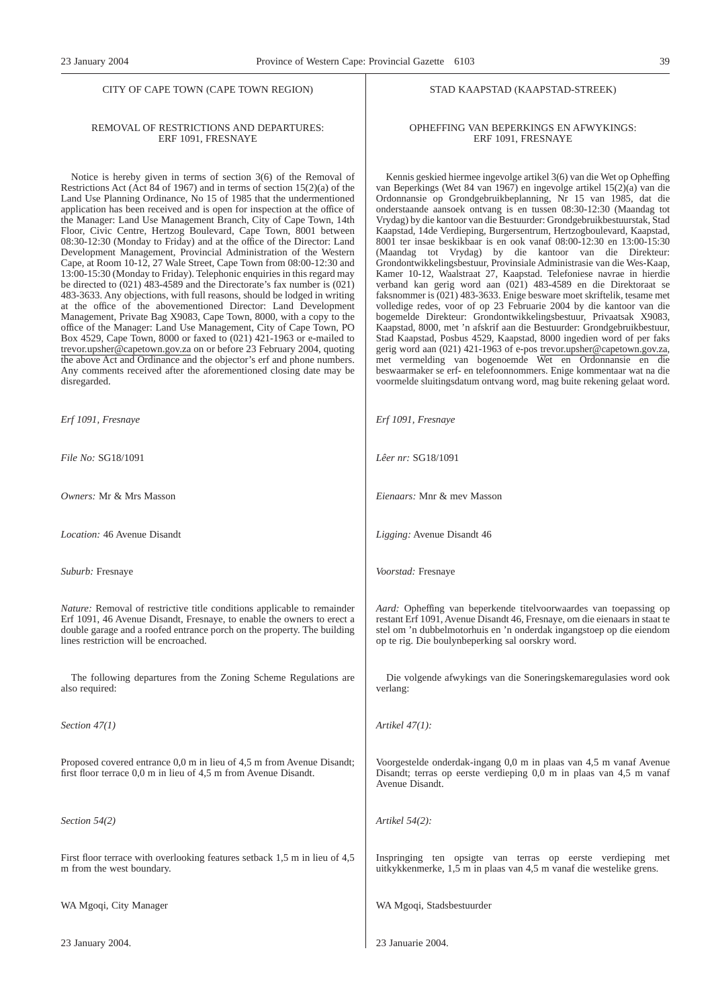#### REMOVAL OF RESTRICTIONS AND DEPARTURES: ERF 1091, FRESNAYE

Notice is hereby given in terms of section 3(6) of the Removal of Restrictions Act (Act 84 of 1967) and in terms of section 15(2)(a) of the Land Use Planning Ordinance, No 15 of 1985 that the undermentioned application has been received and is open for inspection at the office of the Manager: Land Use Management Branch, City of Cape Town, 14th Floor, Civic Centre, Hertzog Boulevard, Cape Town, 8001 between 08:30-12:30 (Monday to Friday) and at the office of the Director: Land Development Management, Provincial Administration of the Western Cape, at Room 10-12, 27 Wale Street, Cape Town from 08:00-12:30 and 13:00-15:30 (Monday to Friday). Telephonic enquiries in this regard may be directed to (021) 483-4589 and the Directorate's fax number is (021) 483-3633. Any objections, with full reasons, should be lodged in writing at the office of the abovementioned Director: Land Development Management, Private Bag X9083, Cape Town, 8000, with a copy to the office of the Manager: Land Use Management, City of Cape Town, PO Box 4529, Cape Town, 8000 or faxed to (021) 421-1963 or e-mailed to trevor.upsher@capetown.gov.za on or before 23 February 2004, quoting the above Act and Ordinance and the objector's erf and phone numbers. Any comments received after the aforementioned closing date may be disregarded.

*Erf 1091, Fresnaye*

*File No:* SG18/1091

*Owners:* Mr & Mrs Masson

*Location:* 46 Avenue Disandt

*Suburb:* Fresnaye

*Nature:* Removal of restrictive title conditions applicable to remainder Erf 1091, 46 Avenue Disandt, Fresnaye, to enable the owners to erect a double garage and a roofed entrance porch on the property. The building lines restriction will be encroached.

The following departures from the Zoning Scheme Regulations are also required:

*Section 47(1)*

Proposed covered entrance 0,0 m in lieu of 4,5 m from Avenue Disandt; first floor terrace 0,0 m in lieu of 4,5 m from Avenue Disandt.

*Section 54(2)*

First floor terrace with overlooking features setback 1,5 m in lieu of 4,5 m from the west boundary.

WA Mgoqi, City Manager

23 January 2004.

#### STAD KAAPSTAD (KAAPSTAD-STREEK)

#### OPHEFFING VAN BEPERKINGS EN AFWYKINGS: ERF 1091, FRESNAYE

Kennis geskied hiermee ingevolge artikel 3(6) van die Wet op Opheffing van Beperkings (Wet 84 van 1967) en ingevolge artikel 15(2)(a) van die Ordonnansie op Grondgebruikbeplanning, Nr 15 van 1985, dat die onderstaande aansoek ontvang is en tussen 08:30-12:30 (Maandag tot Vrydag) by die kantoor van die Bestuurder: Grondgebruikbestuurstak, Stad Kaapstad, 14de Verdieping, Burgersentrum, Hertzogboulevard, Kaapstad, 8001 ter insae beskikbaar is en ook vanaf 08:00-12:30 en 13:00-15:30 (Maandag tot Vrydag) by die kantoor van die Direkteur: Grondontwikkelingsbestuur, Provinsiale Administrasie van die Wes-Kaap, Kamer 10-12, Waalstraat 27, Kaapstad. Telefoniese navrae in hierdie verband kan gerig word aan (021) 483-4589 en die Direktoraat se faksnommer is (021) 483-3633. Enige besware moet skriftelik, tesame met volledige redes, voor of op 23 Februarie 2004 by die kantoor van die bogemelde Direkteur: Grondontwikkelingsbestuur, Privaatsak X9083, Kaapstad, 8000, met 'n afskrif aan die Bestuurder: Grondgebruikbestuur, Stad Kaapstad, Posbus 4529, Kaapstad, 8000 ingedien word of per faks gerig word aan (021) 421-1963 of e-pos trevor.upsher@capetown.gov.za, met vermelding van bogenoemde Wet en Ordonnansie en die beswaarmaker se erf- en telefoonnommers. Enige kommentaar wat na die voormelde sluitingsdatum ontvang word, mag buite rekening gelaat word.

*Erf 1091, Fresnaye*

*Lêer nr:* SG18/1091

*Eienaars:* Mnr & mev Masson

*Ligging:* Avenue Disandt 46

*Voorstad:* Fresnaye

*Aard:* Opheffing van beperkende titelvoorwaardes van toepassing op restant Erf 1091, Avenue Disandt 46, Fresnaye, om die eienaars in staat te stel om 'n dubbelmotorhuis en 'n onderdak ingangstoep op die eiendom op te rig. Die boulynbeperking sal oorskry word.

Die volgende afwykings van die Soneringskemaregulasies word ook verlang:

*Artikel 47(1):*

Voorgestelde onderdak-ingang 0,0 m in plaas van 4,5 m vanaf Avenue Disandt; terras op eerste verdieping 0,0 m in plaas van 4,5 m vanaf Avenue Disandt.

*Artikel 54(2):*

Inspringing ten opsigte van terras op eerste verdieping met uitkykkenmerke, 1,5 m in plaas van 4,5 m vanaf die westelike grens.

WA Mgoqi, Stadsbestuurder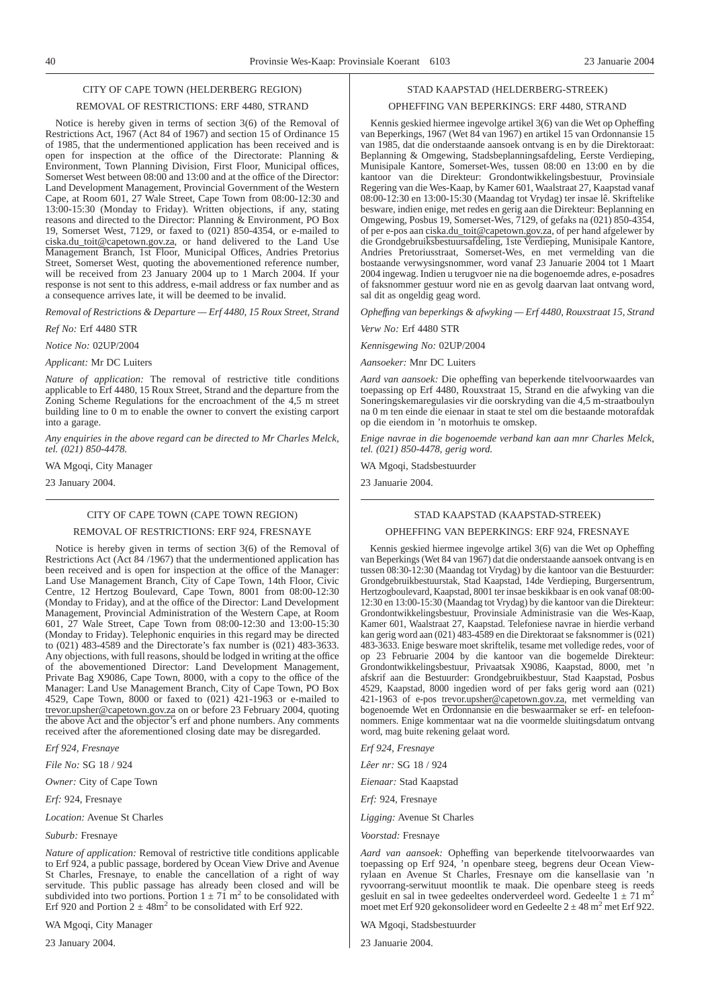## CITY OF CAPE TOWN (HELDERBERG REGION)

#### REMOVAL OF RESTRICTIONS: ERF 4480, STRAND

Notice is hereby given in terms of section 3(6) of the Removal of Restrictions Act, 1967 (Act 84 of 1967) and section 15 of Ordinance 15 of 1985, that the undermentioned application has been received and is open for inspection at the office of the Directorate: Planning & Environment, Town Planning Division, First Floor, Municipal offices, Somerset West between 08:00 and 13:00 and at the office of the Director: Land Development Management, Provincial Government of the Western Cape, at Room 601, 27 Wale Street, Cape Town from 08:00-12:30 and 13:00-15:30 (Monday to Friday). Written objections, if any, stating reasons and directed to the Director: Planning & Environment, PO Box 19, Somerset West, 7129, or faxed to (021) 850-4354, or e-mailed to ciska.du\_toit@capetown.gov.za, or hand delivered to the Land Use Management Branch, 1st Floor, Municipal Offices, Andries Pretorius Street, Somerset West, quoting the abovementioned reference number, will be received from 23 January 2004 up to 1 March 2004. If your response is not sent to this address, e-mail address or fax number and as a consequence arrives late, it will be deemed to be invalid.

*Removal of Restrictions & Departure — Erf 4480, 15 Roux Street, Strand*

*Ref No:* Erf 4480 STR

*Notice No:* 02UP/2004

*Applicant:* Mr DC Luiters

*Nature of application:* The removal of restrictive title conditions applicable to Erf 4480, 15 Roux Street, Strand and the departure from the Zoning Scheme Regulations for the encroachment of the 4,5 m street building line to 0 m to enable the owner to convert the existing carport into a garage.

*Any enquiries in the above regard can be directed to Mr Charles Melck, tel. (021) 850-4478.*

WA Mgoqi, City Manager

23 January 2004.

# CITY OF CAPE TOWN (CAPE TOWN REGION)

REMOVAL OF RESTRICTIONS: ERF 924, FRESNAYE

Notice is hereby given in terms of section 3(6) of the Removal of Restrictions Act (Act 84 /1967) that the undermentioned application has been received and is open for inspection at the office of the Manager: Land Use Management Branch, City of Cape Town, 14th Floor, Civic Centre, 12 Hertzog Boulevard, Cape Town, 8001 from 08:00-12:30 (Monday to Friday), and at the office of the Director: Land Development Management, Provincial Administration of the Western Cape, at Room 601, 27 Wale Street, Cape Town from 08:00-12:30 and 13:00-15:30 (Monday to Friday). Telephonic enquiries in this regard may be directed to (021) 483-4589 and the Directorate's fax number is (021) 483-3633. Any objections, with full reasons, should be lodged in writing at the office of the abovementioned Director: Land Development Management, Private Bag X9086, Cape Town, 8000, with a copy to the office of the Manager: Land Use Management Branch, City of Cape Town, PO Box 4529, Cape Town, 8000 or faxed to (021) 421-1963 or e-mailed to trevor.upsher@capetown.gov.za on or before 23 February 2004, quoting the above Act and the objector's erf and phone numbers. Any comments received after the aforementioned closing date may be disregarded.

*Erf 924, Fresnaye*

*File No:* SG 18 / 924

*Owner:* City of Cape Town

*Erf:* 924, Fresnaye

*Location:* Avenue St Charles

*Suburb:* Fresnaye

*Nature of application:* Removal of restrictive title conditions applicable to Erf 924, a public passage, bordered by Ocean View Drive and Avenue St Charles, Fresnaye, to enable the cancellation of a right of way servitude. This public passage has already been closed and will be subdivided into two portions. Portion  $1 \pm 7\tilde{1}$  m<sup>2</sup> to be consolidated with Erf 920 and Portion  $2 \pm 48$ m<sup>2</sup> to be consolidated with Erf 922.

WA Mgoqi, City Manager

23 January 2004.

#### STAD KAAPSTAD (HELDERBERG-STREEK)

#### OPHEFFING VAN BEPERKINGS: ERF 4480, STRAND

Kennis geskied hiermee ingevolge artikel 3(6) van die Wet op Opheffing van Beperkings, 1967 (Wet 84 van 1967) en artikel 15 van Ordonnansie 15 van 1985, dat die onderstaande aansoek ontvang is en by die Direktoraat: Beplanning & Omgewing, Stadsbeplanningsafdeling, Eerste Verdieping, Munisipale Kantore, Somerset-Wes, tussen 08:00 en 13:00 en by die kantoor van die Direkteur: Grondontwikkelingsbestuur, Provinsiale Regering van die Wes-Kaap, by Kamer 601, Waalstraat 27, Kaapstad vanaf 08:00-12:30 en 13:00-15:30 (Maandag tot Vrydag) ter insae lê. Skriftelike besware, indien enige, met redes en gerig aan die Direkteur: Beplanning en Omgewing, Posbus 19, Somerset-Wes, 7129, of gefaks na (021) 850-4354, of per e-pos aan ciska.du\_toit@capetown.gov.za, of per hand afgelewer by die Grondgebruiksbestuursafdeling, 1ste Verdieping, Munisipale Kantore, Andries Pretoriusstraat, Somerset-Wes, en met vermelding van die bostaande verwysingsnommer, word vanaf 23 Januarie 2004 tot 1 Maart 2004 ingewag. Indien u terugvoer nie na die bogenoemde adres, e-posadres of faksnommer gestuur word nie en as gevolg daarvan laat ontvang word, sal dit as ongeldig geag word.

*Opheffıng van beperkings & afwyking — Erf 4480, Rouxstraat 15, Strand*

*Verw No:* Erf 4480 STR

*Kennisgewing No:* 02UP/2004

*Aansoeker:* Mnr DC Luiters

*Aard van aansoek:* Die opheffing van beperkende titelvoorwaardes van toepassing op Erf 4480, Rouxstraat 15, Strand en die afwyking van die Soneringskemaregulasies vir die oorskryding van die 4,5 m-straatboulyn na 0 m ten einde die eienaar in staat te stel om die bestaande motorafdak op die eiendom in 'n motorhuis te omskep.

*Enige navrae in die bogenoemde verband kan aan mnr Charles Melck, tel. (021) 850-4478, gerig word.*

WA Mgoqi, Stadsbestuurder

23 Januarie 2004.

#### STAD KAAPSTAD (KAAPSTAD-STREEK)

OPHEFFING VAN BEPERKINGS: ERF 924, FRESNAYE

Kennis geskied hiermee ingevolge artikel 3(6) van die Wet op Opheffing van Beperkings (Wet 84 van 1967) dat die onderstaande aansoek ontvang is en tussen 08:30-12:30 (Maandag tot Vrydag) by die kantoor van die Bestuurder: Grondgebruikbestuurstak, Stad Kaapstad, 14de Verdieping, Burgersentrum, Hertzogboulevard, Kaapstad, 8001 ter insae beskikbaar is en ook vanaf 08:00- 12:30 en 13:00-15:30 (Maandag tot Vrydag) by die kantoor van die Direkteur: Grondontwikkelingsbestuur, Provinsiale Administrasie van die Wes-Kaap, Kamer 601, Waalstraat 27, Kaapstad. Telefoniese navrae in hierdie verband kan gerig word aan (021) 483-4589 en die Direktoraat se faksnommer is (021) 483-3633. Enige besware moet skriftelik, tesame met volledige redes, voor of op 23 Februarie 2004 by die kantoor van die bogemelde Direkteur: Grondontwikkelingsbestuur, Privaatsak X9086, Kaapstad, 8000, met 'n afskrif aan die Bestuurder: Grondgebruikbestuur, Stad Kaapstad, Posbus 4529, Kaapstad, 8000 ingedien word of per faks gerig word aan (021) 421-1963 of e-pos trevor.upsher@capetown.gov.za, met vermelding van bogenoemde Wet en Ordonnansie en die beswaarmaker se erf- en telefoonnommers. Enige kommentaar wat na die voormelde sluitingsdatum ontvang word, mag buite rekening gelaat word.

*Erf 924, Fresnaye*

*Lêer nr:* SG 18 / 924

*Eienaar:* Stad Kaapstad

*Erf:* 924, Fresnaye

*Ligging:* Avenue St Charles

*Voorstad:* Fresnaye

*Aard van aansoek:* Opheffing van beperkende titelvoorwaardes van toepassing op Erf 924, 'n openbare steeg, begrens deur Ocean Viewrylaan en Avenue St Charles, Fresnaye om die kansellasie van 'n ryvoorrang-serwituut moontlik te maak. Die openbare steeg is reeds gesluit en sal in twee gedeeltes onderverdeel word. Gedeelte  $1 \pm 71$  m<sup>2</sup> moet met Erf 920 gekonsolideer word en Gedeelte  $2 \pm 48$  m<sup>2</sup> met Erf 922.

WA Mgoqi, Stadsbestuurder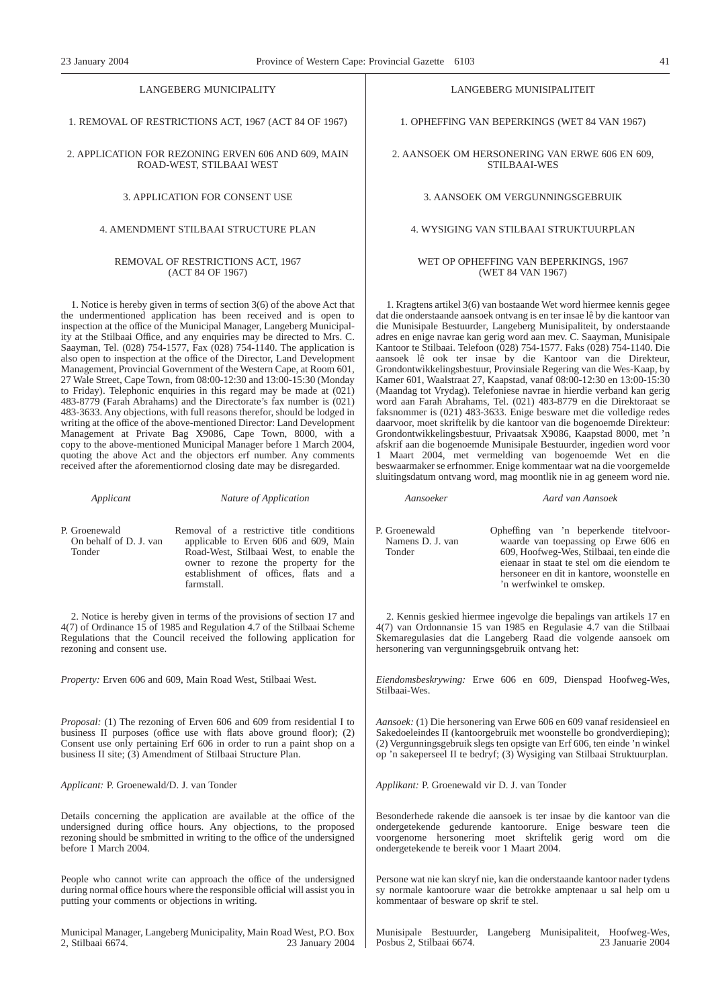#### LANGEBERG MUNICIPALITY

1. REMOVAL OF RESTRICTIONS ACT, 1967 (ACT 84 OF 1967)

2. APPLICATION FOR REZONING ERVEN 606 AND 609, MAIN ROAD-WEST, STILBAAI WEST

3. APPLICATION FOR CONSENT USE

#### 4. AMENDMENT STILBAAI STRUCTURE PLAN

#### REMOVAL OF RESTRICTIONS ACT, 1967 (ACT 84 OF 1967)

1. Notice is hereby given in terms of section 3(6) of the above Act that the undermentioned application has been received and is open to inspection at the office of the Municipal Manager, Langeberg Municipality at the Stilbaai Office, and any enquiries may be directed to Mrs. C. Saayman, Tel. (028) 754-1577, Fax (028) 754-1140. The application is also open to inspection at the office of the Director, Land Development Management, Provincial Government of the Western Cape, at Room 601, 27 Wale Street, Cape Town, from 08:00-12:30 and 13:00-15:30 (Monday to Friday). Telephonic enquiries in this regard may be made at (021) 483-8779 (Farah Abrahams) and the Directorate's fax number is (021) 483-3633. Any objections, with full reasons therefor, should be lodged in writing at the office of the above-mentioned Director: Land Development Management at Private Bag X9086, Cape Town, 8000, with a copy to the above-mentioned Municipal Manager before 1 March 2004, quoting the above Act and the objectors erf number. Any comments received after the aforementiornod closing date may be disregarded.

| P. Groenewald<br>On behalf of D. J. van<br>Tonder | Removal of a restrictive title conditions<br>applicable to Erven 606 and 609, Main<br>Road-West, Stilbaai West, to enable the<br>owner to rezone the property for the |
|---------------------------------------------------|-----------------------------------------------------------------------------------------------------------------------------------------------------------------------|
|                                                   | establishment of offices, flats and a<br>farmstall.                                                                                                                   |

*Applicant Nature of Application*

2. Notice is hereby given in terms of the provisions of section 17 and 4(7) of Ordinance 15 of 1985 and Regulation 4.7 of the Stilbaai Scheme Regulations that the Council received the following application for rezoning and consent use.

*Property:* Erven 606 and 609, Main Road West, Stilbaai West.

*Proposal:* (1) The rezoning of Erven 606 and 609 from residential I to business II purposes (office use with flats above ground floor); (2) Consent use only pertaining Erf 606 in order to run a paint shop on a business II site; (3) Amendment of Stilbaai Structure Plan.

*Applicant:* P. Groenewald/D. J. van Tonder

Details concerning the application are available at the office of the undersigned during office hours. Any objections, to the proposed rezoning should be smbmitted in writing to the office of the undersigned before 1 March 2004.

People who cannot write can approach the office of the undersigned during normal office hours where the responsible official will assist you in putting your comments or objections in writing.

Municipal Manager, Langeberg Municipality, Main Road West, P.O. Box 2, Stilbaai 6674. 23 January 2004

#### LANGEBERG MUNISIPALITEIT

1. OPHEFFlNG VAN BEPERKINGS (WET 84 VAN 1967)

2. AANSOEK OM HERSONERING VAN ERWE 606 EN 609, STILBAAI-WES

#### 3. AANSOEK OM VERGUNNINGSGEBRUIK

#### 4. WYSIGING VAN STILBAAI STRUKTUURPLAN

#### WET OP OPHEFFING VAN BEPERKINGS, 1967 (WET 84 VAN 1967)

1. Kragtens artikel 3(6) van bostaande Wet word hiermee kennis gegee dat die onderstaande aansoek ontvang is en ter insae lê by die kantoor van die Munisipale Bestuurder, Langeberg Munisipaliteit, by onderstaande adres en enige navrae kan gerig word aan mev. C. Saayman, Munisipale Kantoor te Stilbaai. Telefoon (028) 754-1577. Faks (028) 754-1140. Die aansoek lê ook ter insae by die Kantoor van die Direkteur, Grondontwikkelingsbestuur, Provinsiale Regering van die Wes-Kaap, by Kamer 601, Waalstraat 27, Kaapstad, vanaf 08:00-12:30 en 13:00-15:30 (Maandag tot Vrydag). Telefoniese navrae in hierdie verband kan gerig word aan Farah Abrahams, Tel. (021) 483-8779 en die Direktoraat se faksnommer is (021) 483-3633. Enige besware met die volledige redes daarvoor, moet skriftelik by die kantoor van die bogenoemde Direkteur: Grondontwikkelingsbestuur, Privaatsak X9086, Kaapstad 8000, met 'n afskrif aan die bogenoemde Munisipale Bestuurder, ingedien word voor 1 Maart 2004, met vermelding van bogenoemde Wet en die beswaarmaker se erfnommer. Enige kommentaar wat na die voorgemelde sluitingsdatum ontvang word, mag moontlik nie in ag geneem word nie.

*Aansoeker Aard van Aansoek*

P. Groenewald Namens D. J. van Tonder

Opheffing van 'n beperkende titelvoorwaarde van toepassing op Erwe 606 en 609, Hoofweg-Wes, Stilbaai, ten einde die eienaar in staat te stel om die eiendom te hersoneer en dit in kantore, woonstelle en 'n werfwinkel te omskep.

2. Kennis geskied hiermee ingevolge die bepalings van artikels 17 en 4(7) van Ordonnansie 15 van 1985 en Regulasie 4.7 van die Stilbaai Skemaregulasies dat die Langeberg Raad die volgende aansoek om hersonering van vergunningsgebruik ontvang het:

*Eiendomsbeskrywing:* Erwe 606 en 609, Dienspad Hoofweg-Wes, Stilbaai-Wes.

*Aansoek:* (1) Die hersonering van Erwe 606 en 609 vanaf residensieel en Sakedoeleindes II (kantoorgebruik met woonstelle bo grondverdieping); (2) Vergunningsgebruik slegs ten opsigte van Erf 606, ten einde 'n winkel op 'n sakeperseel II te bedryf; (3) Wysiging van Stilbaai Struktuurplan.

*Applikant:* P. Groenewald vir D. J. van Tonder

Besonderhede rakende die aansoek is ter insae by die kantoor van die ondergetekende gedurende kantoorure. Enige besware teen die voorgenome hersonering moet skriftelik gerig word om die ondergetekende te bereik voor 1 Maart 2004.

Persone wat nie kan skryf nie, kan die onderstaande kantoor nader tydens sy normale kantoorure waar die betrokke amptenaar u sal help om u kommentaar of besware op skrif te stel.

Munisipale Bestuurder, Langeberg Munisipaliteit, Hoofweg-Wes, Posbus 2, Stilbaai 6674. 23 Januarie 2004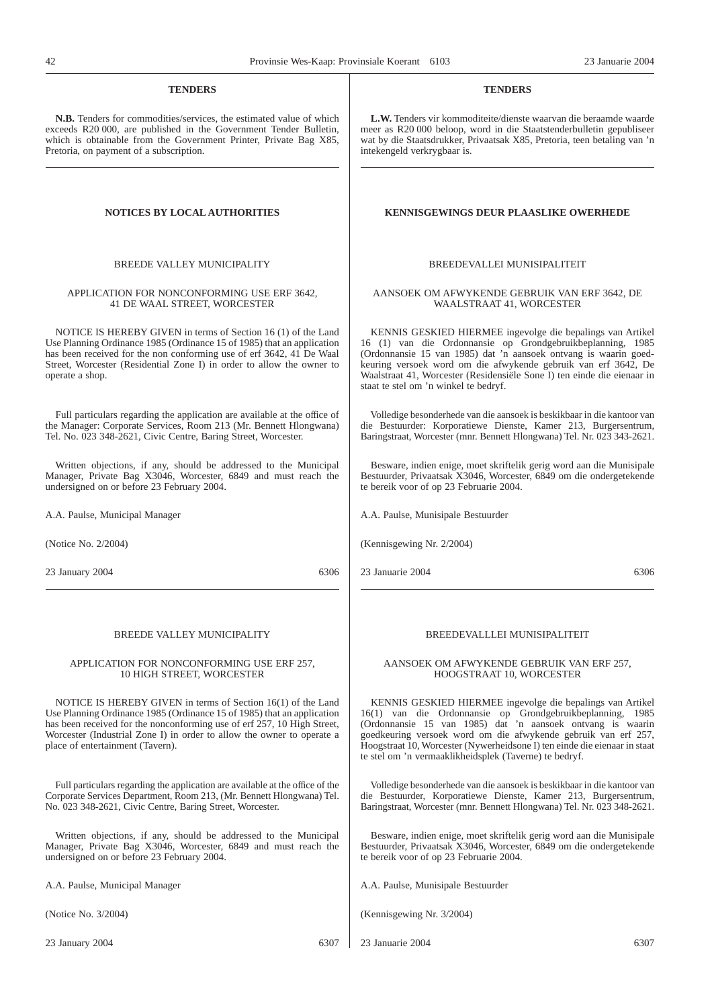#### **TENDERS**

**N.B.** Tenders for commodities/services, the estimated value of which exceeds R20 000, are published in the Government Tender Bulletin, which is obtainable from the Government Printer, Private Bag X85, Pretoria, on payment of a subscription.

#### BREEDE VALLEY MUNICIPALITY

#### APPLICATION FOR NONCONFORMING USE ERF 3642, 41 DE WAAL STREET, WORCESTER

NOTICE IS HEREBY GIVEN in terms of Section 16 (1) of the Land Use Planning Ordinance 1985 (Ordinance 15 of 1985) that an application has been received for the non conforming use of erf 3642, 41 De Waal Street, Worcester (Residential Zone I) in order to allow the owner to operate a shop.

Full particulars regarding the application are available at the office of the Manager: Corporate Services, Room 213 (Mr. Bennett Hlongwana) Tel. No. 023 348-2621, Civic Centre, Baring Street, Worcester.

Written objections, if any, should be addressed to the Municipal Manager, Private Bag X3046, Worcester, 6849 and must reach the undersigned on or before 23 February 2004.

A.A. Paulse, Municipal Manager

(Notice No. 2/2004)

23 January 2004 6306

#### BREEDE VALLEY MUNICIPALITY

#### APPLICATION FOR NONCONFORMING USE ERF 257, 10 HIGH STREET, WORCESTER

NOTICE IS HEREBY GIVEN in terms of Section 16(1) of the Land Use Planning Ordinance 1985 (Ordinance 15 of 1985) that an application has been received for the nonconforming use of erf 257, 10 High Street, Worcester (Industrial Zone I) in order to allow the owner to operate a place of entertainment (Tavern).

Full particulars regarding the application are available at the office of the Corporate Services Department, Room 213, (Mr. Bennett Hlongwana) Tel. No. 023 348-2621, Civic Centre, Baring Street, Worcester.

Written objections, if any, should be addressed to the Municipal Manager, Private Bag X3046, Worcester, 6849 and must reach the undersigned on or before 23 February 2004.

A.A. Paulse, Municipal Manager

(Notice No. 3/2004)

23 January 2004 6307

#### **TENDERS**

**L.W.** Tenders vir kommoditeite/dienste waarvan die beraamde waarde meer as R20 000 beloop, word in die Staatstenderbulletin gepubliseer wat by die Staatsdrukker, Privaatsak X85, Pretoria, teen betaling van 'n intekengeld verkrygbaar is.

#### **NOTICES BY LOCAL AUTHORITIES KENNISGEWINGS DEUR PLAASLIKE OWERHEDE**

#### BREEDEVALLEI MUNISIPALITEIT

#### AANSOEK OM AFWYKENDE GEBRUIK VAN ERF 3642, DE WAALSTRAAT 41, WORCESTER

KENNIS GESKIED HIERMEE ingevolge die bepalings van Artikel 16 (1) van die Ordonnansie op Grondgebruikbeplanning, 1985 (Ordonnansie 15 van 1985) dat 'n aansoek ontvang is waarin goedkeuring versoek word om die afwykende gebruik van erf 3642, De Waalstraat 41, Worcester (Residensiële Sone I) ten einde die eienaar in staat te stel om 'n winkel te bedryf.

Volledige besonderhede van die aansoek is beskikbaar in die kantoor van die Bestuurder: Korporatiewe Dienste, Kamer 213, Burgersentrum, Baringstraat, Worcester (mnr. Bennett Hlongwana) Tel. Nr. 023 343-2621.

Besware, indien enige, moet skriftelik gerig word aan die Munisipale Bestuurder, Privaatsak X3046, Worcester, 6849 om die ondergetekende te bereik voor of op 23 Februarie 2004.

A.A. Paulse, Munisipale Bestuurder

(Kennisgewing Nr. 2/2004)

23 Januarie 2004 6306

#### BREEDEVALLLEI MUNISIPALITEIT

#### AANSOEK OM AFWYKENDE GEBRUIK VAN ERF 257, HOOGSTRAAT 10, WORCESTER

KENNIS GESKIED HIERMEE ingevolge die bepalings van Artikel 16(1) van die Ordonnansie op Grondgebruikbeplanning, 1985 (Ordonnansie 15 van 1985) dat 'n aansoek ontvang is waarin goedkeuring versoek word om die afwykende gebruik van erf 257, Hoogstraat 10, Worcester (Nywerheidsone I) ten einde die eienaar in staat te stel om 'n vermaaklikheidsplek (Taverne) te bedryf.

Volledige besonderhede van die aansoek is beskikbaar in die kantoor van die Bestuurder, Korporatiewe Dienste, Kamer 213, Burgersentrum, Baringstraat, Worcester (mnr. Bennett Hlongwana) Tel. Nr. 023 348-2621.

Besware, indien enige, moet skriftelik gerig word aan die Munisipale Bestuurder, Privaatsak X3046, Worcester, 6849 om die ondergetekende te bereik voor of op 23 Februarie 2004.

A.A. Paulse, Munisipale Bestuurder

(Kennisgewing Nr. 3/2004)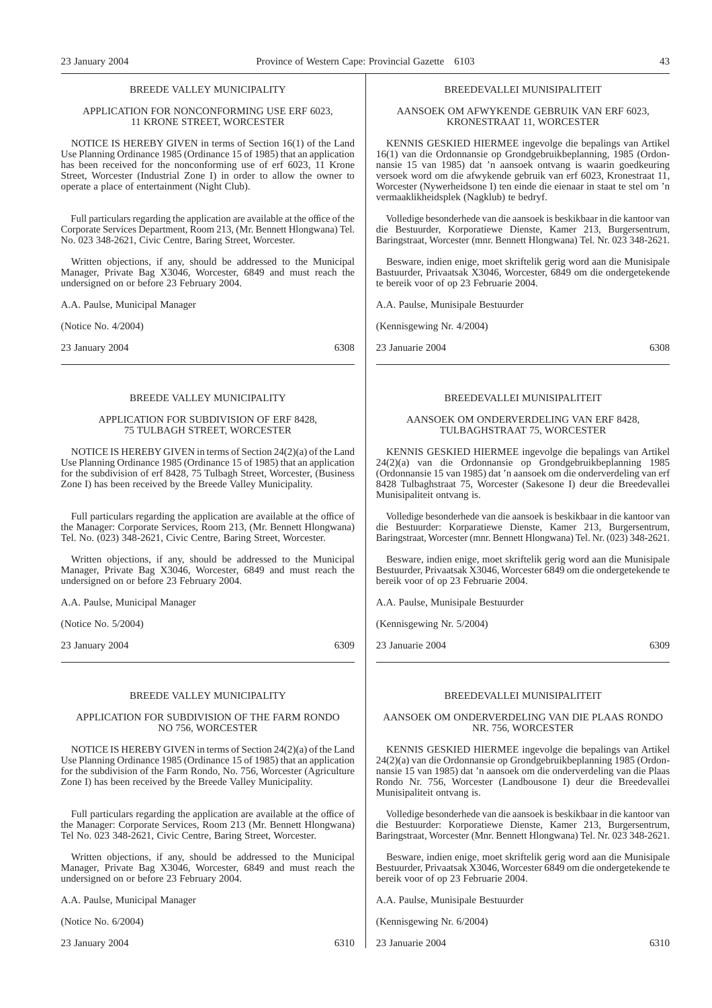#### BREEDE VALLEY MUNICIPALITY

#### APPLICATION FOR NONCONFORMING USE ERF 6023, 11 KRONE STREET, WORCESTER

NOTICE IS HEREBY GIVEN in terms of Section 16(1) of the Land Use Planning Ordinance 1985 (Ordinance 15 of 1985) that an application has been received for the nonconforming use of erf 6023, 11 Krone Street, Worcester (Industrial Zone I) in order to allow the owner to operate a place of entertainment (Night Club).

Full particulars regarding the application are available at the office of the Corporate Services Department, Room 213, (Mr. Bennett Hlongwana) Tel. No. 023 348-2621, Civic Centre, Baring Street, Worcester.

Written objections, if any, should be addressed to the Municipal Manager, Private Bag X3046, Worcester, 6849 and must reach the undersigned on or before 23 February 2004.

A.A. Paulse, Municipal Manager

(Notice No. 4/2004)

23 January 2004 6308

#### BREEDE VALLEY MUNICIPALITY

#### APPLICATION FOR SUBDIVISION OF ERF 8428, 75 TULBAGH STREET, WORCESTER

NOTICE IS HEREBY GIVEN in terms of Section 24(2)(a) of the Land Use Planning Ordinance 1985 (Ordinance 15 of 1985) that an application for the subdivision of erf 8428, 75 Tulbagh Street, Worcester, (Business Zone I) has been received by the Breede Valley Municipality.

Full particulars regarding the application are available at the office of the Manager: Corporate Services, Room 213, (Mr. Bennett Hlongwana) Tel. No. (023) 348-2621, Civic Centre, Baring Street, Worcester.

Written objections, if any, should be addressed to the Municipal Manager, Private Bag X3046, Worcester, 6849 and must reach the undersigned on or before 23 February 2004.

A.A. Paulse, Municipal Manager

(Notice No. 5/2004)

23 January 2004 6309

#### BREEDE VALLEY MUNICIPALITY

#### APPLICATION FOR SUBDIVISION OF THE FARM RONDO NO 756, WORCESTER

NOTICE IS HEREBY GIVEN in terms of Section 24(2)(a) of the Land Use Planning Ordinance 1985 (Ordinance 15 of 1985) that an application for the subdivision of the Farm Rondo, No. 756, Worcester (Agriculture Zone I) has been received by the Breede Valley Municipality.

Full particulars regarding the application are available at the office of the Manager: Corporate Services, Room 213 (Mr. Bennett Hlongwana) Tel No. 023 348-2621, Civic Centre, Baring Street, Worcester.

Written objections, if any, should be addressed to the Municipal Manager, Private Bag X3046, Worcester, 6849 and must reach the undersigned on or before 23 February 2004.

A.A. Paulse, Municipal Manager

(Notice No. 6/2004)

23 January 2004 6310

#### BREEDEVALLEI MUNISIPALITEIT

AANSOEK OM AFWYKENDE GEBRUIK VAN ERF 6023, KRONESTRAAT 11, WORCESTER

KENNIS GESKIED HIERMEE ingevolge die bepalings van Artikel 16(1) van die Ordonnansie op Grondgebruikbeplanning, 1985 (Ordonnansie 15 van 1985) dat 'n aansoek ontvang is waarin goedkeuring versoek word om die afwykende gebruik van erf 6023, Kronestraat 11, Worcester (Nywerheidsone I) ten einde die eienaar in staat te stel om 'n vermaaklikheidsplek (Nagklub) te bedryf.

Volledige besonderhede van die aansoek is beskikbaar in die kantoor van die Bestuurder, Korporatiewe Dienste, Kamer 213, Burgersentrum, Baringstraat, Worcester (mnr. Bennett Hlongwana) Tel. Nr. 023 348-2621.

Besware, indien enige, moet skriftelik gerig word aan die Munisipale Bastuurder, Privaatsak X3046, Worcester, 6849 om die ondergetekende te bereik voor of op 23 Februarie 2004.

A.A. Paulse, Munisipale Bestuurder

(Kennisgewing Nr. 4/2004)

23 Januarie 2004 6308

#### BREEDEVALLEI MUNISIPALITEIT

#### AANSOEK OM ONDERVERDELING VAN ERF 8428, TULBAGHSTRAAT 75, WORCESTER

KENNIS GESKIED HIERMEE ingevolge die bepalings van Artikel 24(2)(a) van die Ordonnansie op Grondgebruikbeplanning 1985 (Ordonnansie 15 van 1985) dat 'n aansoek om die onderverdeling van erf 8428 Tulbaghstraat 75, Worcester (Sakesone I) deur die Breedevallei Munisipaliteit ontvang is.

Volledige besonderhede van die aansoek is beskikbaar in die kantoor van die Bestuurder: Korparatiewe Dienste, Kamer 213, Burgersentrum, Baringstraat, Worcester (mnr. Bennett Hlongwana) Tel. Nr. (023) 348-2621.

Besware, indien enige, moet skriftelik gerig word aan die Munisipale Bestuurder, Privaatsak X3046, Worcester 6849 om die ondergetekende te bereik voor of op 23 Februarie 2004.

A.A. Paulse, Munisipale Bestuurder

(Kennisgewing Nr. 5/2004)

23 Januarie 2004 6309

#### BREEDEVALLEI MUNISIPALITEIT

#### AANSOEK OM ONDERVERDELING VAN DIE PLAAS RONDO NR. 756, WORCESTER

KENNIS GESKIED HIERMEE ingevolge die bepalings van Artikel 24(2)(a) van die Ordonnansie op Grondgebruikbeplanning 1985 (Ordonnansie 15 van 1985) dat 'n aansoek om die onderverdeling van die Plaas Rondo Nr. 756, Worcester (Landbousone I) deur die Breedevallei Munisipaliteit ontvang is.

Volledige besonderhede van die aansoek is beskikbaar in die kantoor van die Bestuurder: Korporatiewe Dienste, Kamer 213, Burgersentrum, Baringstraat, Worcester (Mnr. Bennett Hlongwana) Tel. Nr. 023 348-2621.

Besware, indien enige, moet skriftelik gerig word aan die Munisipale Bestuurder, Privaatsak X3046, Worcester 6849 om die ondergetekende te bereik voor of op 23 Februarie 2004.

A.A. Paulse, Munisipale Bestuurder

(Kennisgewing Nr. 6/2004)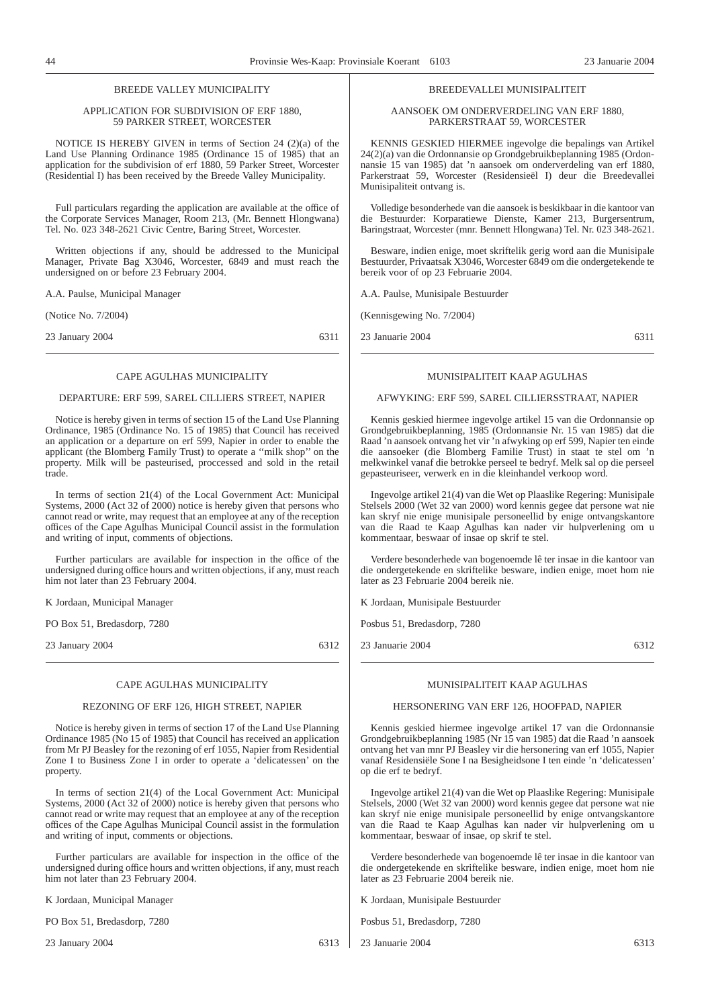#### BREEDE VALLEY MUNICIPALITY

#### APPLICATION FOR SUBDIVISION OF ERF 1880, 59 PARKER STREET, WORCESTER

NOTICE IS HEREBY GIVEN in terms of Section 24 (2)(a) of the Land Use Planning Ordinance 1985 (Ordinance 15 of 1985) that an application for the subdivision of erf 1880, 59 Parker Street, Worcester (Residential I) has been received by the Breede Valley Municipality.

Full particulars regarding the application are available at the office of the Corporate Services Manager, Room 213, (Mr. Bennett Hlongwana) Tel. No. 023 348-2621 Civic Centre, Baring Street, Worcester.

Written objections if any, should be addressed to the Municipal Manager, Private Bag X3046, Worcester, 6849 and must reach the undersigned on or before 23 February 2004.

A.A. Paulse, Municipal Manager

(Notice No. 7/2004)

23 January 2004 6311

#### CAPE AGULHAS MUNICIPALITY

#### DEPARTURE: ERF 599, SAREL CILLIERS STREET, NAPIER

Notice is hereby given in terms of section 15 of the Land Use Planning Ordinance, 1985 (Ordinance No. 15 of 1985) that Council has received an application or a departure on erf 599, Napier in order to enable the applicant (the Blomberg Family Trust) to operate a ''milk shop'' on the property. Milk will be pasteurised, proccessed and sold in the retail trade.

In terms of section 21(4) of the Local Government Act: Municipal Systems, 2000 (Act 32 of 2000) notice is hereby given that persons who cannot read or write, may request that an employee at any of the reception offices of the Cape Agulhas Municipal Council assist in the formulation and writing of input, comments of objections.

Further particulars are available for inspection in the office of the undersigned during office hours and written objections, if any, must reach him not later than 23 February 2004.

K Jordaan, Municipal Manager

PO Box 51, Bredasdorp, 7280

23 January 2004 6312

#### CAPE AGULHAS MUNICIPALITY

#### REZONING OF ERF 126, HIGH STREET, NAPIER

Notice is hereby given in terms of section 17 of the Land Use Planning Ordinance 1985 (No 15 of 1985) that Council has received an application from Mr PJ Beasley for the rezoning of erf 1055, Napier from Residential Zone I to Business Zone I in order to operate a 'delicatessen' on the property.

In terms of section 21(4) of the Local Government Act: Municipal Systems, 2000 (Act 32 of 2000) notice is hereby given that persons who cannot read or write may request that an employee at any of the reception offices of the Cape Agulhas Municipal Council assist in the formulation and writing of input, comments or objections.

Further particulars are available for inspection in the office of the undersigned during office hours and written objections, if any, must reach him not later than 23 February 2004.

K Jordaan, Municipal Manager

PO Box 51, Bredasdorp, 7280

23 January 2004 6313

#### BREEDEVALLEI MUNISIPALITEIT

AANSOEK OM ONDERVERDELING VAN ERF 1880, PARKERSTRAAT 59, WORCESTER

KENNIS GESKIED HIERMEE ingevolge die bepalings van Artikel 24(2)(a) van die Ordonnansie op Grondgebruikbeplanning 1985 (Ordonnansie 15 van 1985) dat 'n aansoek om onderverdeling van erf 1880, Parkerstraat 59, Worcester (Residensieël I) deur die Breedevallei Munisipaliteit ontvang is.

Volledige besonderhede van die aansoek is beskikbaar in die kantoor van die Bestuurder: Korparatiewe Dienste, Kamer 213, Burgersentrum, Baringstraat, Worcester (mnr. Bennett Hlongwana) Tel. Nr. 023 348-2621.

Besware, indien enige, moet skriftelik gerig word aan die Munisipale Bestuurder, Privaatsak X3046, Worcester 6849 om die ondergetekende te bereik voor of op 23 Februarie 2004.

A.A. Paulse, Munisipale Bestuurder

(Kennisgewing No. 7/2004)

23 Januarie 2004 6311

#### MUNISIPALITEIT KAAP AGULHAS

#### AFWYKING: ERF 599, SAREL CILLIERSSTRAAT, NAPIER

Kennis geskied hiermee ingevolge artikel 15 van die Ordonnansie op Grondgebruikbeplanning, 1985 (Ordonnansie Nr. 15 van 1985) dat die Raad 'n aansoek ontvang het vir 'n afwyking op erf 599, Napier ten einde die aansoeker (die Blomberg Familie Trust) in staat te stel om 'n melkwinkel vanaf die betrokke perseel te bedryf. Melk sal op die perseel gepasteuriseer, verwerk en in die kleinhandel verkoop word.

Ingevolge artikel 21(4) van die Wet op Plaaslike Regering: Munisipale Stelsels 2000 (Wet 32 van 2000) word kennis gegee dat persone wat nie kan skryf nie enige munisipale personeellid by enige ontvangskantore van die Raad te Kaap Agulhas kan nader vir hulpverlening om u kommentaar, beswaar of insae op skrif te stel.

Verdere besonderhede van bogenoemde lê ter insae in die kantoor van die ondergetekende en skriftelike besware, indien enige, moet hom nie later as 23 Februarie 2004 bereik nie.

K Jordaan, Munisipale Bestuurder

Posbus 51, Bredasdorp, 7280

23 Januarie 2004 6312

#### MUNISIPALITEIT KAAP AGULHAS

#### HERSONERING VAN ERF 126, HOOFPAD, NAPIER

Kennis geskied hiermee ingevolge artikel 17 van die Ordonnansie Grondgebruikbeplanning 1985 (Nr 15 van 1985) dat die Raad 'n aansoek ontvang het van mnr PJ Beasley vir die hersonering van erf 1055, Napier vanaf Residensiële Sone I na Besigheidsone I ten einde 'n 'delicatessen' op die erf te bedryf.

Ingevolge artikel 21(4) van die Wet op Plaaslike Regering: Munisipale Stelsels, 2000 (Wet 32 van 2000) word kennis gegee dat persone wat nie kan skryf nie enige munisipale personeellid by enige ontvangskantore van die Raad te Kaap Agulhas kan nader vir hulpverlening om u kommentaar, beswaar of insae, op skrif te stel.

Verdere besonderhede van bogenoemde lê ter insae in die kantoor van die ondergetekende en skriftelike besware, indien enige, moet hom nie later as 23 Februarie 2004 bereik nie.

K Jordaan, Munisipale Bestuurder

Posbus 51, Bredasdorp, 7280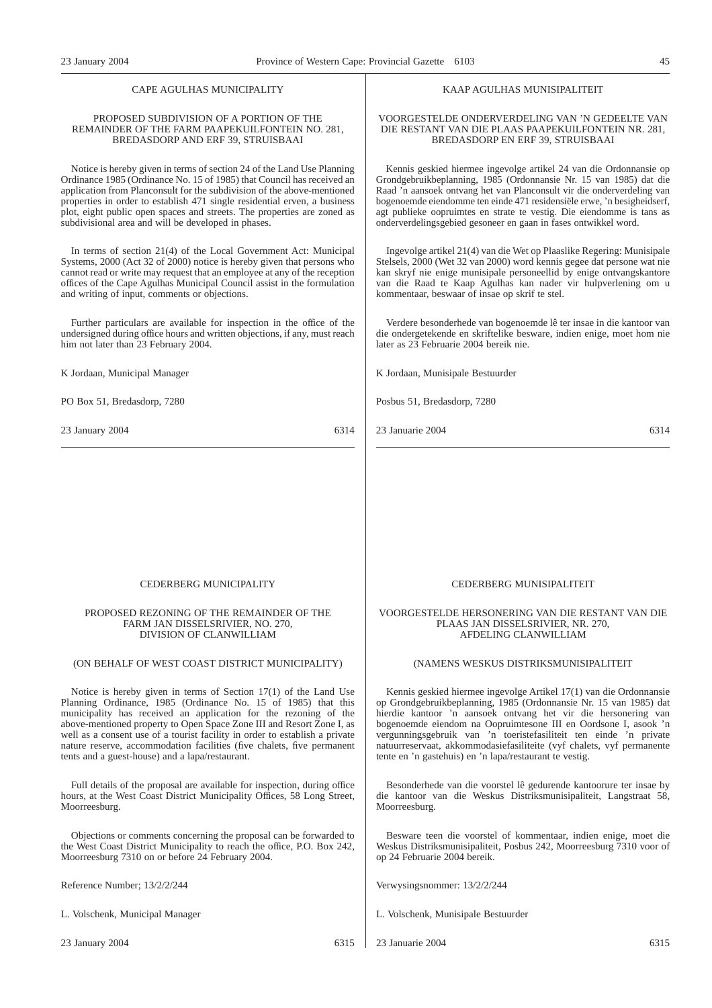#### CAPE AGULHAS MUNICIPALITY

#### PROPOSED SUBDIVISION OF A PORTION OF THE REMAINDER OF THE FARM PAAPEKUILFONTEIN NO. 281, BREDASDORP AND ERF 39, STRUISBAAI

Notice is hereby given in terms of section 24 of the Land Use Planning Ordinance 1985 (Ordinance No. 15 of 1985) that Council has received an application from Planconsult for the subdivision of the above-mentioned properties in order to establish 471 single residential erven, a business plot, eight public open spaces and streets. The properties are zoned as subdivisional area and will be developed in phases.

In terms of section 21(4) of the Local Government Act: Municipal Systems, 2000 (Act 32 of 2000) notice is hereby given that persons who cannot read or write may request that an employee at any of the reception offices of the Cape Agulhas Municipal Council assist in the formulation and writing of input, comments or objections.

Further particulars are available for inspection in the office of the undersigned during office hours and written objections, if any, must reach him not later than 23 February 2004.

K Jordaan, Municipal Manager

PO Box 51, Bredasdorp, 7280

23 January 2004 6314

#### KAAP AGULHAS MUNISIPALITEIT

#### VOORGESTELDE ONDERVERDELING VAN 'N GEDEELTE VAN DIE RESTANT VAN DIE PLAAS PAAPEKUILFONTEIN NR. 281, BREDASDORP EN ERF 39, STRUISBAAI

Kennis geskied hiermee ingevolge artikel 24 van die Ordonnansie op Grondgebruikbeplanning, 1985 (Ordonnansie Nr. 15 van 1985) dat die Raad 'n aansoek ontvang het van Planconsult vir die onderverdeling van bogenoemde eiendomme ten einde 471 residensiële erwe, 'n besigheidserf, agt publieke oopruimtes en strate te vestig. Die eiendomme is tans as onderverdelingsgebied gesoneer en gaan in fases ontwikkel word.

Ingevolge artikel 21(4) van die Wet op Plaaslike Regering: Munisipale Stelsels, 2000 (Wet 32 van 2000) word kennis gegee dat persone wat nie kan skryf nie enige munisipale personeellid by enige ontvangskantore van die Raad te Kaap Agulhas kan nader vir hulpverlening om u kommentaar, beswaar of insae op skrif te stel.

Verdere besonderhede van bogenoemde lê ter insae in die kantoor van die ondergetekende en skriftelike besware, indien enige, moet hom nie later as 23 Februarie 2004 bereik nie.

K Jordaan, Munisipale Bestuurder

Posbus 51, Bredasdorp, 7280

23 Januarie 2004 6314

#### CEDERBERG MUNICIPALITY

#### PROPOSED REZONING OF THE REMAINDER OF THE FARM JAN DISSELSRIVIER, NO. 270, DIVISION OF CLANWILLIAM

## (ON BEHALF OF WEST COAST DISTRICT MUNICIPALITY)

Notice is hereby given in terms of Section 17(1) of the Land Use Planning Ordinance, 1985 (Ordinance No. 15 of 1985) that this municipality has received an application for the rezoning of the above-mentioned property to Open Space Zone III and Resort Zone I, as well as a consent use of a tourist facility in order to establish a private nature reserve, accommodation facilities (five chalets, five permanent tents and a guest-house) and a lapa/restaurant.

Full details of the proposal are available for inspection, during office hours, at the West Coast District Municipality Offices, 58 Long Street, Moorreesburg.

Objections or comments concerning the proposal can be forwarded to the West Coast District Municipality to reach the office, P.O. Box 242, Moorreesburg 7310 on or before 24 February 2004.

Reference Number; 13/2/2/244

L. Volschenk, Municipal Manager

23 January 2004 6315

#### CEDERBERG MUNISIPALITEIT

#### VOORGESTELDE HERSONERING VAN DIE RESTANT VAN DIE PLAAS JAN DISSELSRIVIER, NR. 270, AFDELING CLANWILLIAM

#### (NAMENS WESKUS DISTRIKSMUNISIPALITEIT

Kennis geskied hiermee ingevolge Artikel 17(1) van die Ordonnansie op Grondgebruikbeplanning, 1985 (Ordonnansie Nr. 15 van 1985) dat hierdie kantoor 'n aansoek ontvang het vir die hersonering van bogenoemde eiendom na Oopruimtesone III en Oordsone I, asook 'n vergunningsgebruik van 'n toeristefasiliteit ten einde 'n private natuurreservaat, akkommodasiefasiliteite (vyf chalets, vyf permanente tente en 'n gastehuis) en 'n lapa/restaurant te vestig.

Besonderhede van die voorstel lê gedurende kantoorure ter insae by die kantoor van die Weskus Distriksmunisipaliteit, Langstraat 58, Moorreesburg.

Besware teen die voorstel of kommentaar, indien enige, moet die Weskus Distriksmunisipaliteit, Posbus 242, Moorreesburg 7310 voor of op 24 Februarie 2004 bereik.

Verwysingsnommer: 13/2/2/244

L. Volschenk, Munisipale Bestuurder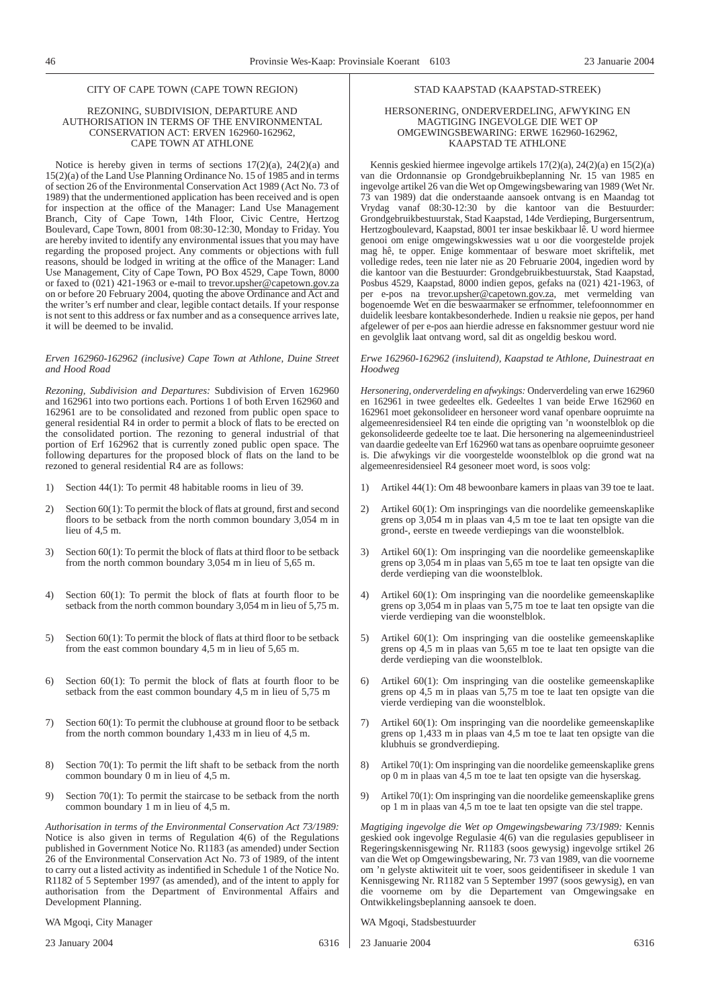#### REZONING, SUBDIVISION, DEPARTURE AND AUTHORISATION IN TERMS OF THE ENVIRONMENTAL CONSERVATION ACT: ERVEN 162960-162962, CAPE TOWN AT ATHLONE

Notice is hereby given in terms of sections  $17(2)(a)$ ,  $24(2)(a)$  and 15(2)(a) of the Land Use Planning Ordinance No. 15 of 1985 and in terms of section 26 of the Environmental Conservation Act 1989 (Act No. 73 of 1989) that the undermentioned application has been received and is open for inspection at the office of the Manager: Land Use Management Branch, City of Cape Town, 14th Floor, Civic Centre, Hertzog Boulevard, Cape Town, 8001 from 08:30-12:30, Monday to Friday. You are hereby invited to identify any environmental issues that you may have regarding the proposed project. Any comments or objections with full reasons, should be lodged in writing at the office of the Manager: Land Use Management, City of Cape Town, PO Box 4529, Cape Town, 8000 or faxed to (021) 421-1963 or e-mail to trevor.upsher@capetown.gov.za on or before 20 February 2004, quoting the above Ordinance and Act and the writer's erf number and clear, legible contact details. If your response is not sent to this address or fax number and as a consequence arrives late, it will be deemed to be invalid.

#### *Erven 162960-162962 (inclusive) Cape Town at Athlone, Duine Street and Hood Road*

*Rezoning, Subdivision and Departures:* Subdivision of Erven 162960 and 162961 into two portions each. Portions 1 of both Erven 162960 and 162961 are to be consolidated and rezoned from public open space to general residential R4 in order to permit a block of flats to be erected on the consolidated portion. The rezoning to general industrial of that portion of Erf 162962 that is currently zoned public open space. The following departures for the proposed block of flats on the land to be rezoned to general residential R4 are as follows:

- 1) Section 44(1): To permit 48 habitable rooms in lieu of 39.
- 2) Section 60(1): To permit the block of flats at ground, first and second floors to be setback from the north common boundary 3,054 m in lieu of 4,5 m.
- 3) Section 60(1): To permit the block of flats at third floor to be setback from the north common boundary 3,054 m in lieu of 5,65 m.
- 4) Section 60(1): To permit the block of flats at fourth floor to be setback from the north common boundary 3,054 m in lieu of 5,75 m.
- 5) Section 60(1): To permit the block of flats at third floor to be setback from the east common boundary 4,5 m in lieu of 5,65 m.
- 6) Section 60(1): To permit the block of flats at fourth floor to be setback from the east common boundary 4,5 m in lieu of 5,75 m
- 7) Section 60(1): To permit the clubhouse at ground floor to be setback from the north common boundary 1,433 m in lieu of 4,5 m.
- 8) Section 70(1): To permit the lift shaft to be setback from the north common boundary 0 m in lieu of 4,5 m.
- 9) Section 70(1): To permit the staircase to be setback from the north common boundary 1 m in lieu of 4,5 m.

*Authorisation in terms of the Environmental Conservation Act 73/1989:* Notice is also given in terms of Regulation 4(6) of the Regulations published in Government Notice No. R1183 (as amended) under Section 26 of the Environmental Conservation Act No. 73 of 1989, of the intent to carry out a listed activity as indentified in Schedule 1 of the Notice No. R1182 of 5 September 1997 (as amended), and of the intent to apply for authorisation from the Department of Environmental Affairs and Development Planning.

WA Mgoqi, City Manager

23 January 2004 6316

#### STAD KAAPSTAD (KAAPSTAD-STREEK)

#### HERSONERING, ONDERVERDELING, AFWYKING EN MAGTIGING INGEVOLGE DIE WET OP OMGEWINGSBEWARING: ERWE 162960-162962, KAAPSTAD TE ATHLONE

Kennis geskied hiermee ingevolge artikels 17(2)(a), 24(2)(a) en 15(2)(a) van die Ordonnansie op Grondgebruikbeplanning Nr. 15 van 1985 en ingevolge artikel 26 van die Wet op Omgewingsbewaring van 1989 (Wet Nr. 73 van 1989) dat die onderstaande aansoek ontvang is en Maandag tot Vrydag vanaf 08:30-12:30 by die kantoor van die Bestuurder: Grondgebruikbestuurstak, Stad Kaapstad, 14de Verdieping, Burgersentrum, Hertzogboulevard, Kaapstad, 8001 ter insae beskikbaar lê. U word hiermee genooi om enige omgewingskwessies wat u oor die voorgestelde projek mag hê, te opper. Enige kommentaar of besware moet skriftelik, met volledige redes, teen nie later nie as 20 Februarie 2004, ingedien word by die kantoor van die Bestuurder: Grondgebruikbestuurstak, Stad Kaapstad, Posbus 4529, Kaapstad, 8000 indien gepos, gefaks na (021) 421-1963, of per e-pos na trevor.upsher@capetown.gov.za, met vermelding van bogenoemde Wet en die beswaarmaker se erfnommer, telefoonnommer en duidelik leesbare kontakbesonderhede. Indien u reaksie nie gepos, per hand afgelewer of per e-pos aan hierdie adresse en faksnommer gestuur word nie en gevolglik laat ontvang word, sal dit as ongeldig beskou word.

#### *Erwe 162960-162962 (insluitend), Kaapstad te Athlone, Duinestraat en Hoodweg*

*Hersonering, onderverdeling en afwykings:* Onderverdeling van erwe 162960 en 162961 in twee gedeeltes elk. Gedeeltes 1 van beide Erwe 162960 en 162961 moet gekonsolideer en hersoneer word vanaf openbare oopruimte na algemeenresidensieel R4 ten einde die oprigting van 'n woonstelblok op die gekonsolideerde gedeelte toe te laat. Die hersonering na algemeenindustrieel van daardie gedeelte van Erf 162960 wat tans as openbare oopruimte gesoneer is. Die afwykings vir die voorgestelde woonstelblok op die grond wat na algemeenresidensieel R4 gesoneer moet word, is soos volg:

- 1) Artikel 44(1): Om 48 bewoonbare kamers in plaas van 39 toe te laat.
- 2) Artikel 60(1): Om inspringings van die noordelike gemeenskaplike grens op 3,054 m in plaas van 4,5 m toe te laat ten opsigte van die grond-, eerste en tweede verdiepings van die woonstelblok.
- 3) Artikel 60(1): Om inspringing van die noordelike gemeenskaplike grens op 3,054 m in plaas van 5,65 m toe te laat ten opsigte van die derde verdieping van die woonstelblok.
- 4) Artikel 60(1): Om inspringing van die noordelike gemeenskaplike grens op 3,054 m in plaas van 5,75 m toe te laat ten opsigte van die vierde verdieping van die woonstelblok.
- 5) Artikel 60(1): Om inspringing van die oostelike gemeenskaplike grens op 4,5 m in plaas van 5,65 m toe te laat ten opsigte van die derde verdieping van die woonstelblok.
- 6) Artikel 60(1): Om inspringing van die oostelike gemeenskaplike grens op 4,5 m in plaas van 5,75 m toe te laat ten opsigte van die vierde verdieping van die woonstelblok.
- 7) Artikel 60(1): Om inspringing van die noordelike gemeenskaplike grens op 1,433 m in plaas van 4,5 m toe te laat ten opsigte van die klubhuis se grondverdieping.
- 8) Artikel 70(1): Om inspringing van die noordelike gemeenskaplike grens op 0 m in plaas van 4,5 m toe te laat ten opsigte van die hyserskag.
- 9) Artikel 70(1): Om inspringing van die noordelike gemeenskaplike grens op 1 m in plaas van 4,5 m toe te laat ten opsigte van die stel trappe.

*Magtiging ingevolge die Wet op Omgewingsbewaring 73/1989:* Kennis geskied ook ingevolge Regulasie 4(6) van die regulasies gepubliseer in Regeringskennisgewing Nr. R1183 (soos gewysig) ingevolge srtikel 26 van die Wet op Omgewingsbewaring, Nr. 73 van 1989, van die voorneme om 'n gelyste aktiwiteit uit te voer, soos geidentifiseer in skedule 1 van Kennisgewing Nr. R1182 van 5 September 1997 (soos gewysig), en van die voorneme om by die Departement van Omgewingsake en Ontwikkelingsbeplanning aansoek te doen.

WA Mgoqi, Stadsbestuurder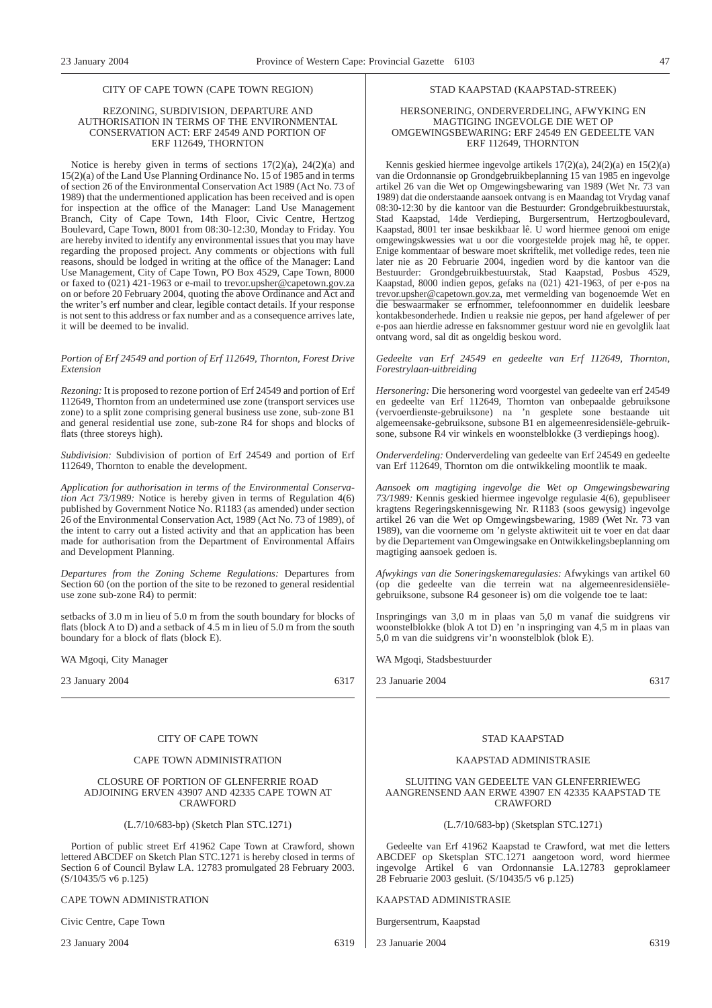#### REZONING, SUBDIVISION, DEPARTURE AND AUTHORISATION IN TERMS OF THE ENVIRONMENTAL CONSERVATION ACT: ERF 24549 AND PORTION OF ERF 112649, THORNTON

Notice is hereby given in terms of sections  $17(2)(a)$ ,  $24(2)(a)$  and 15(2)(a) of the Land Use Planning Ordinance No. 15 of 1985 and in terms of section 26 of the Environmental Conservation Act 1989 (Act No. 73 of 1989) that the undermentioned application has been received and is open for inspection at the office of the Manager: Land Use Management Branch, City of Cape Town, 14th Floor, Civic Centre, Hertzog Boulevard, Cape Town, 8001 from 08:30-12:30, Monday to Friday. You are hereby invited to identify any environmental issues that you may have regarding the proposed project. Any comments or objections with full reasons, should be lodged in writing at the office of the Manager: Land Use Management, City of Cape Town, PO Box 4529, Cape Town, 8000 or faxed to (021) 421-1963 or e-mail to trevor.upsher@capetown.gov.za on or before 20 February 2004, quoting the above Ordinance and Act and the writer's erf number and clear, legible contact details. If your response is not sent to this address or fax number and as a consequence arrives late, it will be deemed to be invalid.

#### *Portion of Erf 24549 and portion of Erf 112649, Thornton, Forest Drive Extension*

*Rezoning:* It is proposed to rezone portion of Erf 24549 and portion of Erf 112649, Thornton from an undetermined use zone (transport services use zone) to a split zone comprising general business use zone, sub-zone B1 and general residential use zone, sub-zone R4 for shops and blocks of flats (three storeys high).

*Subdivision:* Subdivision of portion of Erf 24549 and portion of Erf 112649, Thornton to enable the development.

*Application for authorisation in terms of the Environmental Conservation Act 73/1989:* Notice is hereby given in terms of Regulation 4(6) published by Government Notice No. R1183 (as amended) under section 26 of the Environmental Conservation Act, 1989 (Act No. 73 of 1989), of the intent to carry out a listed activity and that an application has been made for authorisation from the Department of Environmental Affairs and Development Planning.

*Departures from the Zoning Scheme Regulations:* Departures from Section 60 (on the portion of the site to be rezoned to general residential use zone sub-zone R4) to permit:

setbacks of 3.0 m in lieu of 5.0 m from the south boundary for blocks of flats (block A to D) and a setback of 4.5 m in lieu of 5.0 m from the south boundary for a block of flats (block E).

WA Mgoqi, City Manager

23 January 2004 6317

#### CITY OF CAPE TOWN

#### CAPE TOWN ADMINISTRATION

#### CLOSURE OF PORTION OF GLENFERRIE ROAD ADJOINING ERVEN 43907 AND 42335 CAPE TOWN AT CRAWFORD

(L.7/10/683-bp) (Sketch Plan STC.1271)

Portion of public street Erf 41962 Cape Town at Crawford, shown lettered ABCDEF on Sketch Plan STC.1271 is hereby closed in terms of Section 6 of Council Bylaw LA. 12783 promulgated 28 February 2003. (S/10435/5 v6 p.125)

#### CAPE TOWN ADMINISTRATION

Civic Centre, Cape Town

23 January 2004 6319

#### STAD KAAPSTAD (KAAPSTAD-STREEK)

#### HERSONERING, ONDERVERDELING, AFWYKING EN MAGTIGING INGEVOLGE DIE WET OP OMGEWINGSBEWARING: ERF 24549 EN GEDEELTE VAN ERF 112649, THORNTON

Kennis geskied hiermee ingevolge artikels 17(2)(a), 24(2)(a) en 15(2)(a) van die Ordonnansie op Grondgebruikbeplanning 15 van 1985 en ingevolge artikel 26 van die Wet op Omgewingsbewaring van 1989 (Wet Nr. 73 van 1989) dat die onderstaande aansoek ontvang is en Maandag tot Vrydag vanaf 08:30-12:30 by die kantoor van die Bestuurder: Grondgebruikbestuurstak, Stad Kaapstad, 14de Verdieping, Burgersentrum, Hertzogboulevard, Kaapstad, 8001 ter insae beskikbaar lê. U word hiermee genooi om enige omgewingskwessies wat u oor die voorgestelde projek mag hê, te opper. Enige kommentaar of besware moet skriftelik, met volledige redes, teen nie later nie as 20 Februarie 2004, ingedien word by die kantoor van die Bestuurder: Grondgebruikbestuurstak, Stad Kaapstad, Posbus 4529, Kaapstad, 8000 indien gepos, gefaks na (021) 421-1963, of per e-pos na trevor.upsher@capetown.gov.za, met vermelding van bogenoemde Wet en die beswaarmaker se erfnommer, telefoonnommer en duidelik leesbare kontakbesonderhede. Indien u reaksie nie gepos, per hand afgelewer of per e-pos aan hierdie adresse en faksnommer gestuur word nie en gevolglik laat ontvang word, sal dit as ongeldig beskou word.

*Gedeelte van Erf 24549 en gedeelte van Erf 112649, Thornton, Forestrylaan-uitbreiding*

*Hersonering:* Die hersonering word voorgestel van gedeelte van erf 24549 en gedeelte van Erf 112649, Thornton van onbepaalde gebruiksone (vervoerdienste-gebruiksone) na 'n gesplete sone bestaande uit algemeensake-gebruiksone, subsone B1 en algemeenresidensiële-gebruiksone, subsone R4 vir winkels en woonstelblokke (3 verdiepings hoog).

*Onderverdeling:* Onderverdeling van gedeelte van Erf 24549 en gedeelte van Erf 112649, Thornton om die ontwikkeling moontlik te maak.

*Aansoek om magtiging ingevolge die Wet op Omgewingsbewaring 73/1989:* Kennis geskied hiermee ingevolge regulasie 4(6), gepubliseer kragtens Regeringskennisgewing Nr. R1183 (soos gewysig) ingevolge artikel 26 van die Wet op Omgewingsbewaring, 1989 (Wet Nr. 73 van 1989), van die voorneme om 'n gelyste aktiwiteit uit te voer en dat daar by die Departement van Omgewingsake en Ontwikkelingsbeplanning om magtiging aansoek gedoen is.

*Afwykings van die Soneringskemaregulasies:* Afwykings van artikel 60 (op die gedeelte van die terrein wat na algemeenresidensiëlegebruiksone, subsone R4 gesoneer is) om die volgende toe te laat:

Inspringings van 3,0 m in plaas van 5,0 m vanaf die suidgrens vir woonstelblokke (blok A tot D) en 'n inspringing van 4,5 m in plaas van 5,0 m van die suidgrens vir'n woonstelblok (blok E).

WA Mgoqi, Stadsbestuurder

23 Januarie 2004 6317

#### STAD KAAPSTAD

#### KAAPSTAD ADMINISTRASIE

#### SLUITING VAN GEDEELTE VAN GLENFERRIEWEG AANGRENSEND AAN ERWE 43907 EN 42335 KAAPSTAD TE CRAWFORD

#### (L.7/10/683-bp) (Sketsplan STC.1271)

Gedeelte van Erf 41962 Kaapstad te Crawford, wat met die letters ABCDEF op Sketsplan STC.1271 aangetoon word, word hiermee ingevolge Artikel 6 van Ordonnansie LA.12783 geproklameer 28 Februarie 2003 gesluit. (S/10435/5 v6 p.125)

KAAPSTAD ADMINISTRASIE

Burgersentrum, Kaapstad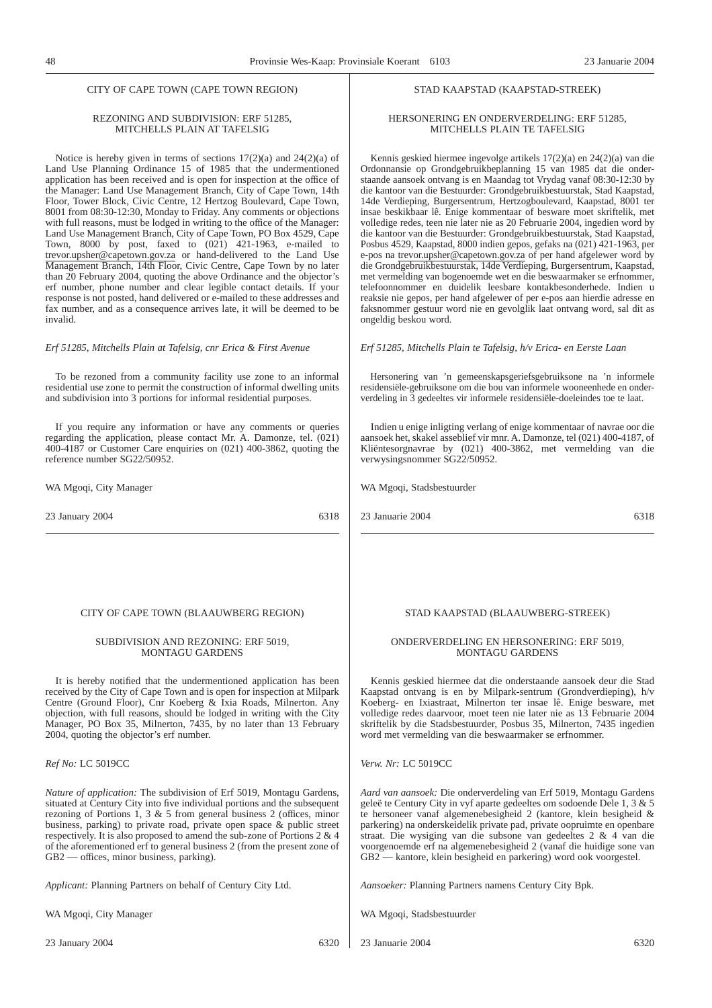#### REZONING AND SUBDIVISION: ERF 51285, MITCHELLS PLAIN AT TAFELSIG

Notice is hereby given in terms of sections 17(2)(a) and 24(2)(a) of Land Use Planning Ordinance 15 of 1985 that the undermentioned application has been received and is open for inspection at the office of the Manager: Land Use Management Branch, City of Cape Town, 14th Floor, Tower Block, Civic Centre, 12 Hertzog Boulevard, Cape Town, 8001 from 08:30-12:30, Monday to Friday. Any comments or objections with full reasons, must be lodged in writing to the office of the Manager: Land Use Management Branch, City of Cape Town, PO Box 4529, Cape Town, 8000 by post, faxed to (021) 421-1963, e-mailed to trevor.upsher@capetown.gov.za or hand-delivered to the Land Use Management Branch, 14th Floor, Civic Centre, Cape Town by no later than 20 February 2004, quoting the above Ordinance and the objector's erf number, phone number and clear legible contact details. If your response is not posted, hand delivered or e-mailed to these addresses and fax number, and as a consequence arrives late, it will be deemed to be invalid.

*Erf 51285, Mitchells Plain at Tafelsig, cnr Erica & First Avenue*

To be rezoned from a community facility use zone to an informal residential use zone to permit the construction of informal dwelling units and subdivision into 3 portions for informal residential purposes.

If you require any information or have any comments or queries regarding the application, please contact Mr. A. Damonze, tel. (021) 400-4187 or Customer Care enquiries on (021) 400-3862, quoting the reference number SG22/50952.

WA Mgoqi, City Manager

23 January 2004 6318

#### CITY OF CAPE TOWN (BLAAUWBERG REGION)

#### SUBDIVISION AND REZONING: ERF 5019, MONTAGU GARDENS

It is hereby notified that the undermentioned application has been received by the City of Cape Town and is open for inspection at Milpark Centre (Ground Floor), Cnr Koeberg & Ixia Roads, Milnerton. Any objection, with full reasons, should be lodged in writing with the City Manager, PO Box 35, Milnerton, 7435, by no later than 13 February 2004, quoting the objector's erf number.

*Ref No:* LC 5019CC

*Nature of application:* The subdivision of Erf 5019, Montagu Gardens, situated at Century City into five individual portions and the subsequent rezoning of Portions 1, 3  $\&$  5 from general business 2 (offices, minor business, parking) to private road, private open space  $\&$  public street respectively. It is also proposed to amend the sub-zone of Portions  $2 \& 4$ of the aforementioned erf to general business 2 (from the present zone of GB2 — offices, minor business, parking).

*Applicant:* Planning Partners on behalf of Century City Ltd.

WA Mgoqi, City Manager

#### STAD KAAPSTAD (KAAPSTAD-STREEK)

#### HERSONERING EN ONDERVERDELING: ERF 51285, MITCHELLS PLAIN TE TAFELSIG

Kennis geskied hiermee ingevolge artikels 17(2)(a) en 24(2)(a) van die Ordonnansie op Grondgebruikbeplanning 15 van 1985 dat die onderstaande aansoek ontvang is en Maandag tot Vrydag vanaf 08:30-12:30 by die kantoor van die Bestuurder: Grondgebruikbestuurstak, Stad Kaapstad, 14de Verdieping, Burgersentrum, Hertzogboulevard, Kaapstad, 8001 ter insae beskikbaar lê. Enige kommentaar of besware moet skriftelik, met volledige redes, teen nie later nie as 20 Februarie 2004, ingedien word by die kantoor van die Bestuurder: Grondgebruikbestuurstak, Stad Kaapstad, Posbus 4529, Kaapstad, 8000 indien gepos, gefaks na (021) 421-1963, per e-pos na trevor.upsher@capetown.gov.za of per hand afgelewer word by die Grondgebruikbestuurstak, 14de Verdieping, Burgersentrum, Kaapstad, met vermelding van bogenoemde wet en die beswaarmaker se erfnommer, telefoonnommer en duidelik leesbare kontakbesonderhede. Indien u reaksie nie gepos, per hand afgelewer of per e-pos aan hierdie adresse en faksnommer gestuur word nie en gevolglik laat ontvang word, sal dit as ongeldig beskou word.

#### *Erf 51285, Mitchells Plain te Tafelsig, h/v Erica- en Eerste Laan*

Hersonering van 'n gemeenskapsgeriefsgebruiksone na 'n informele residensiële-gebruiksone om die bou van informele wooneenhede en onderverdeling in 3 gedeeltes vir informele residensiële-doeleindes toe te laat.

Indien u enige inligting verlang of enige kommentaar of navrae oor die aansoek het, skakel asseblief vir mnr. A. Damonze, tel (021) 400-4187, of Kliëntesorgnavrae by (021) 400-3862, met vermelding van die verwysingsnommer SG22/50952.

WA Mgoqi, Stadsbestuurder

23 Januarie 2004 6318

#### STAD KAAPSTAD (BLAAUWBERG-STREEK)

#### ONDERVERDELING EN HERSONERING: ERF 5019, MONTAGU GARDENS

Kennis geskied hiermee dat die onderstaande aansoek deur die Stad Kaapstad ontvang is en by Milpark-sentrum (Grondverdieping), h/v Koeberg- en Ixiastraat, Milnerton ter insae lê. Enige besware, met volledige redes daarvoor, moet teen nie later nie as 13 Februarie 2004 skriftelik by die Stadsbestuurder, Posbus 35, Milnerton, 7435 ingedien word met vermelding van die beswaarmaker se erfnommer.

*Verw. Nr:* LC 5019CC

*Aard van aansoek:* Die onderverdeling van Erf 5019, Montagu Gardens geleë te Century City in vyf aparte gedeeltes om sodoende Dele 1,3&5 te hersoneer vanaf algemenebesigheid 2 (kantore, klein besigheid & parkering) na onderskeidelik private pad, private oopruimte en openbare straat. Die wysiging van die subsone van gedeeltes 2 & 4 van die voorgenoemde erf na algemenebesigheid 2 (vanaf die huidige sone van GB2 — kantore, klein besigheid en parkering) word ook voorgestel.

*Aansoeker:* Planning Partners namens Century City Bpk.

WA Mgoqi, Stadsbestuurder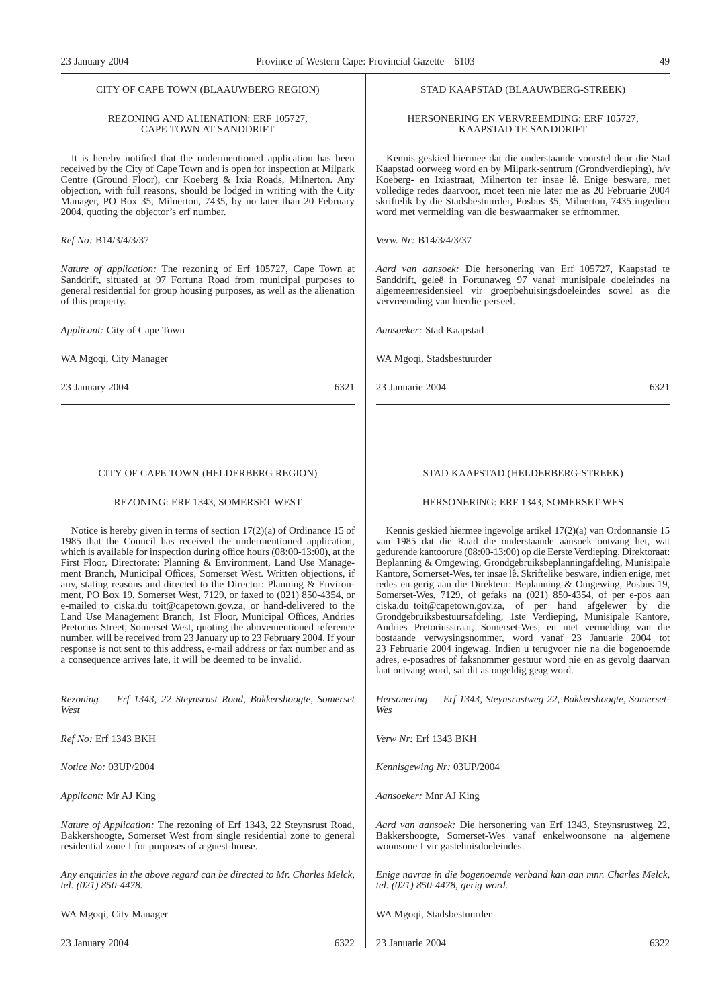## CITY OF CAPE TOWN (BLAAUWBERG REGION)

#### REZONING AND ALIENATION: ERF 105727, CAPE TOWN AT SANDDRIFT

It is hereby notified that the undermentioned application has been received by the City of Cape Town and is open for inspection at Milpark Centre (Ground Floor), cnr Koeberg & Ixia Roads, Milnerton. Any objection, with full reasons, should be lodged in writing with the City Manager, PO Box 35, Milnerton, 7435, by no later than 20 February 2004, quoting the objector's erf number.

#### *Ref No:* B14/3/4/3/37

*Nature of application:* The rezoning of Erf 105727, Cape Town at Sanddrift, situated at 97 Fortuna Road from municipal purposes to general residential for group housing purposes, as well as the alienation of this property.

*Applicant:* City of Cape Town

WA Mgoqi, City Manager

23 January 2004 6321

#### CITY OF CAPE TOWN (HELDERBERG REGION)

#### REZONING: ERF 1343, SOMERSET WEST

Notice is hereby given in terms of section 17(2)(a) of Ordinance 15 of 1985 that the Council has received the undermentioned application, which is available for inspection during office hours (08:00-13:00), at the First Floor, Directorate: Planning & Environment, Land Use Management Branch, Municipal Offices, Somerset West. Written objections, if any, stating reasons and directed to the Director: Planning  $\&$  Environment, PO Box 19, Somerset West, 7129, or faxed to (021) 850-4354, or e-mailed to ciska.du\_toit@capetown.gov.za, or hand-delivered to the Land Use Management Branch, 1st Floor, Municipal Offices, Andries Pretorius Street, Somerset West, quoting the abovementioned reference number, will be received from 23 January up to 23 February 2004. If your response is not sent to this address, e-mail address or fax number and as a consequence arrives late, it will be deemed to be invalid.

*Rezoning — Erf 1343, 22 Steynsrust Road, Bakkershoogte, Somerset West*

*Ref No:* Erf 1343 BKH

*Notice No:* 03UP/2004

*Applicant:* Mr AJ King

*Nature of Application:* The rezoning of Erf 1343, 22 Steynsrust Road, Bakkershoogte, Somerset West from single residential zone to general residential zone I for purposes of a guest-house.

*Any enquiries in the above regard can be directed to Mr. Charles Melck, tel. (021) 850-4478.*

WA Mgoqi, City Manager

23 January 2004 6322

#### STAD KAAPSTAD (BLAAUWBERG-STREEK)

#### HERSONERING EN VERVREEMDING: ERF 105727, KAAPSTAD TE SANDDRIFT

Kennis geskied hiermee dat die onderstaande voorstel deur die Stad Kaapstad oorweeg word en by Milpark-sentrum (Grondverdieping), h/v Koeberg- en Ixiastraat, Milnerton ter insae lê. Enige besware, met volledige redes daarvoor, moet teen nie later nie as 20 Februarie 2004 skriftelik by die Stadsbestuurder, Posbus 35, Milnerton, 7435 ingedien word met vermelding van die beswaarmaker se erfnommer.

*Verw. Nr:* B14/3/4/3/37

*Aard van aansoek:* Die hersonering van Erf 105727, Kaapstad te Sanddrift, geleë in Fortunaweg 97 vanaf munisipale doeleindes na algemeenresidensieel vir groepbehuisingsdoeleindes sowel as die vervreemding van hierdie perseel.

*Aansoeker:* Stad Kaapstad

WA Mgoqi, Stadsbestuurder

23 Januarie 2004 6321

#### STAD KAAPSTAD (HELDERBERG-STREEK)

#### HERSONERING: ERF 1343, SOMERSET-WES

Kennis geskied hiermee ingevolge artikel 17(2)(a) van Ordonnansie 15 van 1985 dat die Raad die onderstaande aansoek ontvang het, wat gedurende kantoorure (08:00-13:00) op die Eerste Verdieping, Direktoraat: Beplanning & Omgewing, Grondgebruiksbeplanningafdeling, Munisipale Kantore, Somerset-Wes, ter insae lê. Skriftelike besware, indien enige, met redes en gerig aan die Direkteur: Beplanning & Omgewing, Posbus 19, Somerset-Wes, 7129, of gefaks na (021) 850-4354, of per e-pos aan ciska.du\_toit@capetown.gov.za, of per hand afgelewer by die Grondgebruiksbestuursafdeling, 1ste Verdieping, Munisipale Kantore, Andries Pretoriusstraat, Somerset-Wes, en met vermelding van die bostaande verwysingsnommer, word vanaf 23 Januarie 2004 tot 23 Februarie 2004 ingewag. Indien u terugvoer nie na die bogenoemde adres, e-posadres of faksnommer gestuur word nie en as gevolg daarvan laat ontvang word, sal dit as ongeldig geag word.

*Hersonering — Erf 1343, Steynsrustweg 22, Bakkershoogte, Somerset-Wes*

*Verw Nr:* Erf 1343 BKH

*Kennisgewing Nr:* 03UP/2004

*Aansoeker:* Mnr AJ King

*Aard van aansoek:* Die hersonering van Erf 1343, Steynsrustweg 22, Bakkershoogte, Somerset-Wes vanaf enkelwoonsone na algemene woonsone I vir gastehuisdoeleindes.

*Enige navrae in die bogenoemde verband kan aan mnr. Charles Melck, tel. (021) 850-4478, gerig word.*

WA Mgoqi, Stadsbestuurder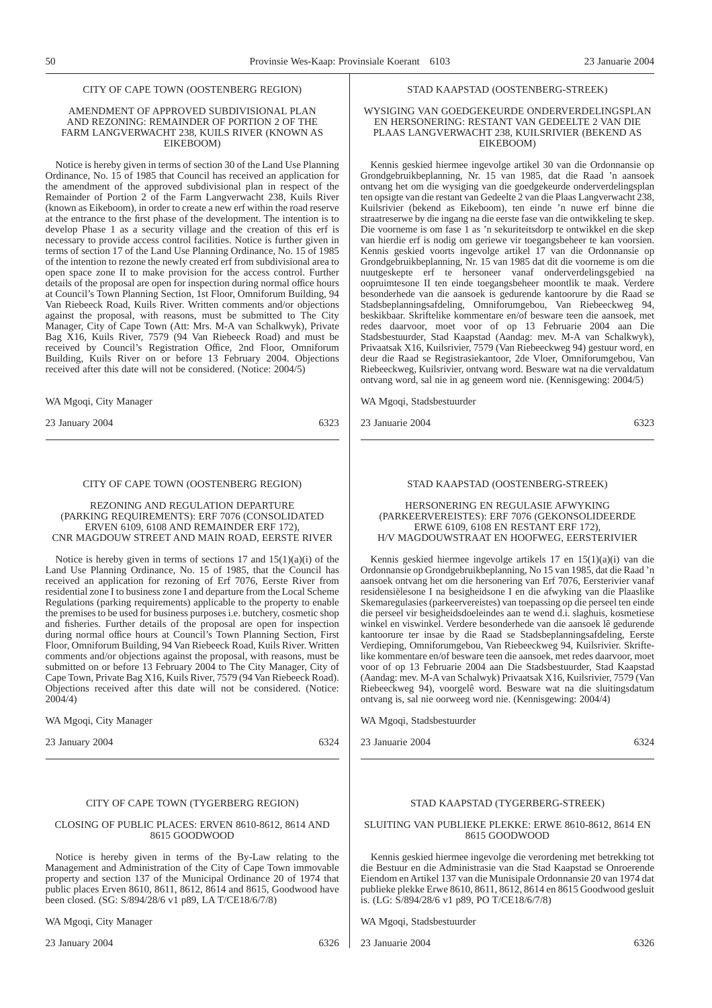#### CITY OF CAPE TOWN (OOSTENBERG REGION)

#### AMENDMENT OF APPROVED SUBDIVISIONAL PLAN AND REZONING: REMAINDER OF PORTION 2 OF THE FARM LANGVERWACHT 238, KUILS RIVER (KNOWN AS EIKEBOOM)

Notice is hereby given in terms of section 30 of the Land Use Planning Ordinance, No. 15 of 1985 that Council has received an application for the amendment of the approved subdivisional plan in respect of the Remainder of Portion 2 of the Farm Langverwacht 238, Kuils River (known as Eikeboom), in order to create a new erf within the road reserve at the entrance to the first phase of the development. The intention is to develop Phase 1 as a security village and the creation of this erf is necessary to provide access control facilities. Notice is further given in terms of section 17 of the Land Use Planning Ordinance, No. 15 of 1985 of the intention to rezone the newly created erf from subdivisional area to open space zone II to make provision for the access control. Further details of the proposal are open for inspection during normal office hours at Council's Town Planning Section, 1st Floor, Omniforum Building, 94 Van Riebeeck Road, Kuils River. Written comments and/or objections against the proposal, with reasons, must be submitted to The City Manager, City of Cape Town (Att: Mrs. M-A van Schalkwyk), Private Bag X16, Kuils River, 7579 (94 Van Riebeeck Road) and must be received by Council's Registration Office, 2nd Floor, Omniforum Building, Kuils River on or before 13 February 2004. Objections received after this date will not be considered. (Notice: 2004/5)

WA Mgoqi, City Manager

23 January 2004 6323

#### CITY OF CAPE TOWN (OOSTENBERG REGION)

REZONING AND REGULATION DEPARTURE (PARKING REQUIREMENTS): ERF 7076 (CONSOLIDATED ERVEN 6109, 6108 AND REMAINDER ERF 172), CNR MAGDOUW STREET AND MAIN ROAD, EERSTE RIVER

Notice is hereby given in terms of sections 17 and  $15(1)(a)(i)$  of the Land Use Planning Ordinance, No. 15 of 1985, that the Council has received an application for rezoning of Erf 7076, Eerste River from residential zone I to business zone I and departure from the Local Scheme Regulations (parking requirements) applicable to the property to enable the premises to be used for business purposes i.e. butchery, cosmetic shop and fisheries. Further details of the proposal are open for inspection during normal office hours at Council's Town Planning Section, First Floor, Omniforum Building, 94 Van Riebeeck Road, Kuils River. Written comments and/or objections against the proposal, with reasons, must be submitted on or before 13 February 2004 to The City Manager, City of Cape Town, Private Bag X16, Kuils River, 7579 (94 Van Riebeeck Road). Objections received after this date will not be considered. (Notice: 2004/4)

WA Mgoqi, City Manager

23 January 2004 6324

#### CITY OF CAPE TOWN (TYGERBERG REGION)

#### CLOSING OF PUBLIC PLACES: ERVEN 8610-8612, 8614 AND 8615 GOODWOOD

Notice is hereby given in terms of the By-Law relating to the Management and Administration of the City of Cape Town immovable property and section 137 of the Municipal Ordinance 20 of 1974 that public places Erven 8610, 8611, 8612, 8614 and 8615, Goodwood have been closed. (SG: S/894/28/6 v1 p89, LA T/CE18/6/7/8)

WA Mgoqi, City Manager

#### STAD KAAPSTAD (OOSTENBERG-STREEK)

#### WYSIGING VAN GOEDGEKEURDE ONDERVERDELINGSPLAN EN HERSONERING: RESTANT VAN GEDEELTE 2 VAN DIE PLAAS LANGVERWACHT 238, KUILSRIVIER (BEKEND AS EIKEBOOM)

Kennis geskied hiermee ingevolge artikel 30 van die Ordonnansie op Grondgebruikbeplanning, Nr. 15 van 1985, dat die Raad 'n aansoek ontvang het om die wysiging van die goedgekeurde onderverdelingsplan ten opsigte van die restant van Gedeelte 2 van die Plaas Langverwacht 238, Kuilsrivier (bekend as Eikeboom), ten einde 'n nuwe erf binne die straatreserwe by die ingang na die eerste fase van die ontwikkeling te skep. Die voorneme is om fase 1 as 'n sekuriteitsdorp te ontwikkel en die skep van hierdie erf is nodig om geriewe vir toegangsbeheer te kan voorsien. Kennis geskied voorts ingevolge artikel 17 van die Ordonnansie op Grondgebruikbeplanning, Nr. 15 van 1985 dat dit die voorneme is om die nuutgeskepte erf te hersoneer vanaf onderverdelingsgebied na oopruimtesone II ten einde toegangsbeheer moontlik te maak. Verdere besonderhede van die aansoek is gedurende kantoorure by die Raad se Stadsbeplanningsafdeling, Omniforumgebou, Van Riebeeckweg 94, beskikbaar. Skriftelike kommentare en/of besware teen die aansoek, met redes daarvoor, moet voor of op 13 Februarie 2004 aan Die Stadsbestuurder, Stad Kaapstad (Aandag: mev. M-A van Schalkwyk), Privaatsak X16, Kuilsrivier, 7579 (Van Riebeeckweg 94) gestuur word, en deur die Raad se Registrasiekantoor, 2de Vloer, Omniforumgebou, Van Riebeeckweg, Kuilsrivier, ontvang word. Besware wat na die vervaldatum ontvang word, sal nie in ag geneem word nie. (Kennisgewing: 2004/5)

WA Mgoqi, Stadsbestuurder

23 Januarie 2004 6323

#### STAD KAAPSTAD (OOSTENBERG-STREEK)

HERSONERING EN REGULASIE AFWYKING (PARKEERVEREISTES): ERF 7076 (GEKONSOLIDEERDE ERWE 6109, 6108 EN RESTANT ERF 172), H/V MAGDOUWSTRAAT EN HOOFWEG, EERSTERIVIER

Kennis geskied hiermee ingevolge artikels 17 en 15(1)(a)(i) van die Ordonnansie op Grondgebruikbeplanning, No 15 van 1985, dat die Raad 'n aansoek ontvang het om die hersonering van Erf 7076, Eersterivier vanaf residensiëlesone I na besigheidsone I en die afwyking van die Plaaslike Skemaregulasies (parkeervereistes) van toepassing op die perseel ten einde die perseel vir besigheidsdoeleindes aan te wend d.i. slaghuis, kosmetiese winkel en viswinkel. Verdere besonderhede van die aansoek lê gedurende kantoorure ter insae by die Raad se Stadsbeplanningsafdeling, Eerste Verdieping, Omniforumgebou, Van Riebeeckweg 94, Kuilsrivier. Skriftelike kommentare en/of besware teen die aansoek, met redes daarvoor, moet voor of op 13 Februarie 2004 aan Die Stadsbestuurder, Stad Kaapstad (Aandag: mev. M-A van Schalwyk) Privaatsak X16, Kuilsrivier, 7579 (Van Riebeeckweg 94), voorgelê word. Besware wat na die sluitingsdatum ontvang is, sal nie oorweeg word nie. (Kennisgewing: 2004/4)

WA Mgoqi, Stadsbestuurder

23 Januarie 2004 6324

#### STAD KAAPSTAD (TYGERBERG-STREEK)

#### SLUITING VAN PUBLIEKE PLEKKE: ERWE 8610-8612, 8614 EN 8615 GOODWOOD

Kennis geskied hiermee ingevolge die verordening met betrekking tot die Bestuur en die Administrasie van die Stad Kaapstad se Onroerende Eiendom en Artikel 137 van die Munisipale Ordonnansie 20 van 1974 dat publieke plekke Erwe 8610, 8611, 8612, 8614 en 8615 Goodwood gesluit is. (LG:  $\frac{1}{5}$ /894/28/6 v1 p89, PO T/CE18/6/7/8)

WA Mgoqi, Stadsbestuurder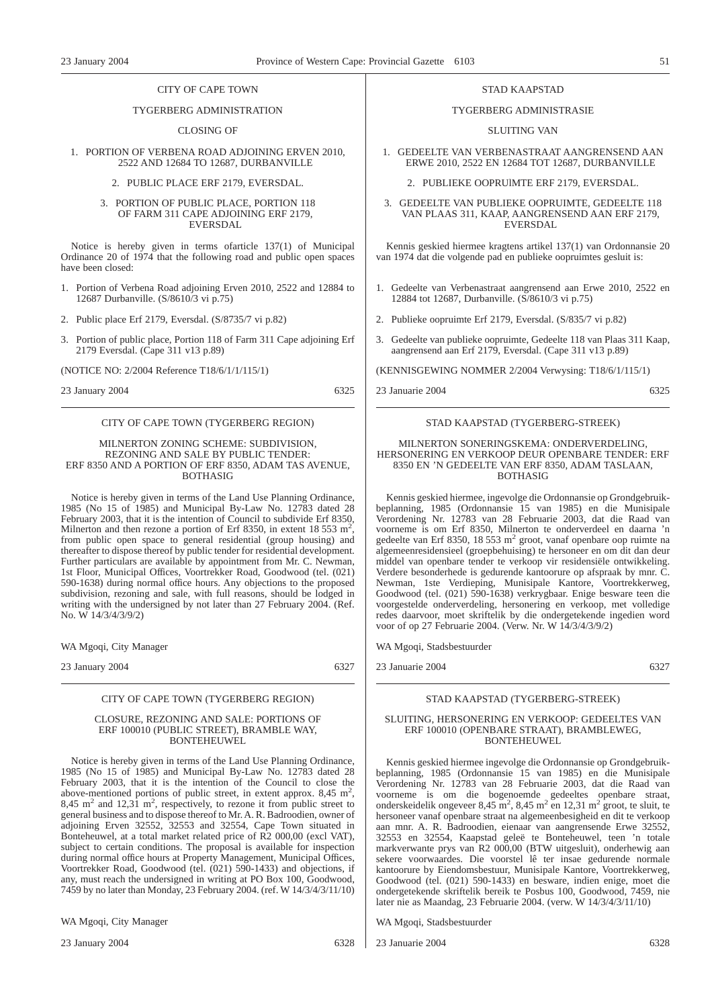#### CITY OF CAPE TOWN

#### TYGERBERG ADMINISTRATION

#### CLOSING OF

#### 1. PORTION OF VERBENA ROAD ADJOINING ERVEN 2010, 2522 AND 12684 TO 12687, DURBANVILLE

#### 2. PUBLIC PLACE ERF 2179, EVERSDAL.

#### 3. PORTION OF PUBLIC PLACE, PORTION 118 OF FARM 311 CAPE ADJOINING ERF 2179, EVERSDAL

Notice is hereby given in terms ofarticle 137(1) of Municipal Ordinance 20 of 1974 that the following road and public open spaces have been closed:

- 1. Portion of Verbena Road adjoining Erven 2010, 2522 and 12884 to 12687 Durbanville. (S/8610/3 vi p.75)
- 2. Public place Erf 2179, Eversdal. (S/8735/7 vi p.82)
- 3. Portion of public place, Portion 118 of Farm 311 Cape adjoining Erf 2179 Eversdal. (Cape 311 v13 p.89)

(NOTICE NO: 2/2004 Reference T18/6/1/1/115/1)

23 January 2004 6325

#### CITY OF CAPE TOWN (TYGERBERG REGION)

#### MILNERTON ZONING SCHEME: SUBDIVISION, REZONING AND SALE BY PUBLIC TENDER: ERF 8350 AND A PORTION OF ERF 8350, ADAM TAS AVENUE, BOTHASIG

Notice is hereby given in terms of the Land Use Planning Ordinance, 1985 (No 15 of 1985) and Municipal By-Law No. 12783 dated 28 February 2003, that it is the intention of Council to subdivide Erf 8350, Milnerton and then rezone a portion of Erf 8350, in extent 18 553 m<sup>2</sup>, from public open space to general residential (group housing) and thereafter to dispose thereof by public tender for residential development. Further particulars are available by appointment from Mr. C. Newman, 1st Floor, Municipal Offices, Voortrekker Road, Goodwood (tel. (021) 590-1638) during normal office hours. Any objections to the proposed subdivision, rezoning and sale, with full reasons, should be lodged in writing with the undersigned by not later than 27 February 2004. (Ref. No. W 14/3/4/3/9/2)

WA Mgoqi, City Manager

23 January 2004 6327

#### CITY OF CAPE TOWN (TYGERBERG REGION)

#### CLOSURE, REZONING AND SALE: PORTIONS OF ERF 100010 (PUBLIC STREET), BRAMBLE WAY, BONTEHEUWEL

Notice is hereby given in terms of the Land Use Planning Ordinance, 1985 (No 15 of 1985) and Municipal By-Law No. 12783 dated 28 February 2003, that it is the intention of the Council to close the above-mentioned portions of public street, in extent approx.  $8,45 \text{ m}^2$ ,  $8,45 \text{ m}^2$  and  $12,31 \text{ m}^2$ , respectively, to rezone it from public street to general business and to dispose thereof to Mr. A. R. Badroodien, owner of adjoining Erven 32552, 32553 and 32554, Cape Town situated in Bonteheuwel, at a total market related price of R2 000,00 (excl VAT), subject to certain conditions. The proposal is available for inspection during normal office hours at Property Management, Municipal Offices, Voortrekker Road, Goodwood (tel. (021) 590-1433) and objections, if any, must reach the undersigned in writing at PO Box 100, Goodwood, 7459 by no later than Monday, 23 February 2004. (ref. W 14/3/4/3/11/10)

WA Mgoqi, City Manager

23 January 2004 6328

#### TYGERBERG ADMINISTRASIE

#### SLUITING VAN

- 1. GEDEELTE VAN VERBENASTRAAT AANGRENSEND AAN ERWE 2010, 2522 EN 12684 TOT 12687, DURBANVILLE
	- 2. PUBLIEKE OOPRUlMTE ERF 2179, EVERSDAL.
- 3. GEDEELTE VAN PUBLIEKE OOPRUIMTE, GEDEELTE 118 VAN PLAAS 311, KAAP, AANGRENSEND AAN ERF 2179, EVERSDAL

Kennis geskied hiermee kragtens artikel 137(1) van Ordonnansie 20 van 1974 dat die volgende pad en publieke oopruimtes gesluit is:

- 1. Gedeelte van Verbenastraat aangrensend aan Erwe 2010, 2522 en 12884 tot 12687, Durbanville. (S/8610/3 vi p.75)
- 2. Publieke oopruimte Erf 2179, Eversdal. (S/835/7 vi p.82)
- 3. Gedeelte van publieke oopruimte, Gedeelte 118 van Plaas 311 Kaap, aangrensend aan Erf 2179, Eversdal. (Cape 311 v13 p.89)

(KENNISGEWING NOMMER 2/2004 Verwysing: T18/6/1/115/1)

23 Januarie 2004 6325

#### STAD KAAPSTAD (TYGERBERG-STREEK)

#### MILNERTON SONERINGSKEMA: ONDERVERDELING, HERSONERING EN VERKOOP DEUR OPENBARE TENDER: ERF 8350 EN 'N GEDEELTE VAN ERF 8350, ADAM TASLAAN, BOTHASIG

Kennis geskied hiermee, ingevolge die Ordonnansie op Grondgebruikbeplanning, 1985 (Ordonnansie 15 van 1985) en die Munisipale Verordening Nr. 12783 van 28 Februarie 2003, dat die Raad van voorneme is om Erf 8350, Milnerton te onderverdeel en daarna 'n gedeelte van Erf 8350, 18 553 m<sup>2</sup> groot, vanaf openbare oop ruimte na algemeenresidensieel (groepbehuising) te hersoneer en om dit dan deur middel van openbare tender te verkoop vir residensiële ontwikkeling. Verdere besonderhede is gedurende kantoorure op afspraak by mnr. C. Newman, 1ste Verdieping, Munisipale Kantore, Voortrekkerweg, Goodwood (tel. (021) 590-1638) verkrygbaar. Enige besware teen die voorgestelde onderverdeling, hersonering en verkoop, met volledige redes daarvoor, moet skriftelik by die ondergetekende ingedien word voor of op 27 Februarie 2004. (Verw. Nr. W 14/3/4/3/9/2)

WA Mgoqi, Stadsbestuurder

23 Januarie 2004 6327

#### STAD KAAPSTAD (TYGERBERG-STREEK)

#### SLUITING, HERSONERING EN VERKOOP: GEDEELTES VAN ERF 100010 (OPENBARE STRAAT), BRAMBLEWEG, BONTEHEUWEL

Kennis geskied hiermee ingevolge die Ordonnansie op Grondgebruikbeplanning, 1985 (Ordonnansie 15 van 1985) en die Munisipale Verordening Nr. 12783 van 28 Februarie 2003, dat die Raad van voorneme is om die bogenoemde gedeeltes openbare straat, onderskeidelik ongeveer  $8,45 \text{ m}^2, 8,45 \text{ m}^2$  en 12,31 m<sup>2</sup> groot, te sluit, te hersoneer vanaf openbare straat na algemeenbesigheid en dit te verkoop aan mnr. A. R. Badroodien, eienaar van aangrensende Erwe 32552, 32553 en 32554, Kaapstad geleë te Bonteheuwel, teen 'n totale markverwante prys van R2 000,00 (BTW uitgesluit), onderhewig aan sekere voorwaardes. Die voorstel lê ter insae gedurende normale kantoorure by Eiendomsbestuur, Munisipale Kantore, Voortrekkerweg, Goodwood (tel. (021) 590-1433) en besware, indien enige, moet die ondergetekende skriftelik bereik te Posbus 100, Goodwood, 7459, nie later nie as Maandag, 23 Februarie 2004. (verw. W 14/3/4/3/11/10)

WA Mgoqi, Stadsbestuurder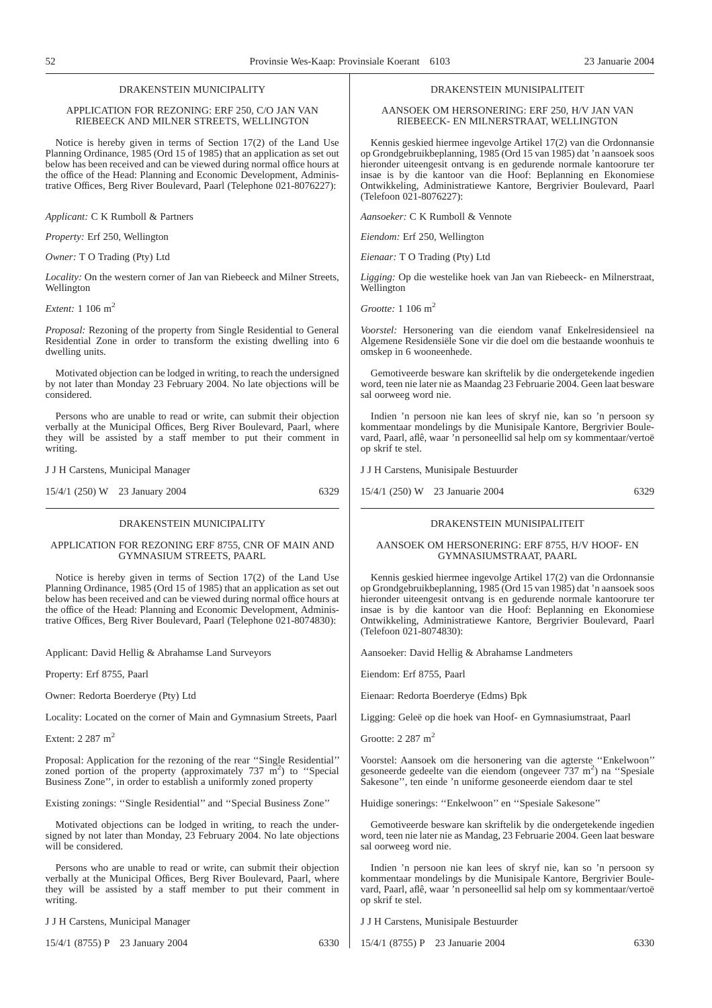#### DRAKENSTEIN MUNICIPALITY

#### APPLICATION FOR REZONING: ERF 250, C/O JAN VAN RIEBEECK AND MILNER STREETS, WELLINGTON

Notice is hereby given in terms of Section 17(2) of the Land Use Planning Ordinance, 1985 (Ord 15 of 1985) that an application as set out below has been received and can be viewed during normal office hours at the office of the Head: Planning and Economic Development, Administrative Offices, Berg River Boulevard, Paarl (Telephone 021-8076227):

*Applicant:* C K Rumboll & Partners

*Property:* Erf 250, Wellington

*Owner:* T O Trading (Pty) Ltd

*Locality:* On the western corner of Jan van Riebeeck and Milner Streets, Wellington

*Extent:* 1 106 m2

*Proposal:* Rezoning of the property from Single Residential to General Residential Zone in order to transform the existing dwelling into 6 dwelling units.

Motivated objection can be lodged in writing, to reach the undersigned by not later than Monday 23 February 2004. No late objections will be considered.

Persons who are unable to read or write, can submit their objection verbally at the Municipal Offices, Berg River Boulevard, Paarl, where they will be assisted by a staff member to put their comment in writing.

J J H Carstens, Municipal Manager

15/4/1 (250) W 23 January 2004 6329

#### DRAKENSTEIN MUNICIPALITY

#### APPLICATION FOR REZONING ERF 8755, CNR OF MAIN AND GYMNASIUM STREETS, PAARL

Notice is hereby given in terms of Section 17(2) of the Land Use Planning Ordinance, 1985 (Ord 15 of 1985) that an application as set out below has been received and can be viewed during normal office hours at the office of the Head: Planning and Economic Development, Administrative Offices, Berg River Boulevard, Paarl (Telephone 021-8074830):

Applicant: David Hellig & Abrahamse Land Surveyors

Property: Erf 8755, Paarl

Owner: Redorta Boerderye (Pty) Ltd

Locality: Located on the corner of Main and Gymnasium Streets, Paarl

Extent: 2 287 m<sup>2</sup>

Proposal: Application for the rezoning of the rear ''Single Residential'' zoned portion of the property (approximately  $737 \text{ m}^2$ ) to "Special Business Zone'', in order to establish a uniformly zoned property

Existing zonings: ''Single Residential'' and ''Special Business Zone''

Motivated objections can be lodged in writing, to reach the undersigned by not later than Monday, 23 February 2004. No late objections will be considered.

Persons who are unable to read or write, can submit their objection verbally at the Municipal Offices, Berg River Boulevard, Paarl, where they will be assisted by a staff member to put their comment in writing.

J J H Carstens, Municipal Manager

15/4/1 (8755) P 23 January 2004 6330

#### DRAKENSTEIN MUNISIPALITEIT

AANSOEK OM HERSONERING: ERF 250, H/V JAN VAN RIEBEECK- EN MILNERSTRAAT, WELLINGTON

Kennis geskied hiermee ingevolge Artikel 17(2) van die Ordonnansie op Grondgebruikbeplanning, 1985 (Ord 15 van 1985) dat 'n aansoek soos hieronder uiteengesit ontvang is en gedurende normale kantoorure ter insae is by die kantoor van die Hoof: Beplanning en Ekonomiese Ontwikkeling, Administratiewe Kantore, Bergrivier Boulevard, Paarl (Telefoon 021-8076227):

*Aansoeker:* C K Rumboll & Vennote

*Eiendom:* Erf 250, Wellington

*Eienaar:* T O Trading (Pty) Ltd

*Ligging:* Op die westelike hoek van Jan van Riebeeck- en Milnerstraat, Wellington

*Grootte:* 1 106 m2

*Voorstel:* Hersonering van die eiendom vanaf Enkelresidensieel na Algemene Residensiële Sone vir die doel om die bestaande woonhuis te omskep in 6 wooneenhede.

Gemotiveerde besware kan skriftelik by die ondergetekende ingedien word, teen nie later nie as Maandag 23 Februarie 2004. Geen laat besware sal oorweeg word nie.

Indien 'n persoon nie kan lees of skryf nie, kan so 'n persoon sy kommentaar mondelings by die Munisipale Kantore, Bergrivier Boulevard, Paarl, aflê, waar 'n personeellid sal help om sy kommentaar/vertoë op skrif te stel.

J J H Carstens, Munisipale Bestuurder

15/4/1 (250) W 23 Januarie 2004 6329

#### DRAKENSTEIN MUNISIPALITEIT

#### AANSOEK OM HERSONERING: ERF 8755, H/V HOOF- EN GYMNASIUMSTRAAT, PAARL

Kennis geskied hiermee ingevolge Artikel 17(2) van die Ordonnansie op Grondgebruikbeplanning, 1985 (Ord 15 van 1985) dat 'n aansoek soos hieronder uiteengesit ontvang is en gedurende normale kantoorure ter insae is by die kantoor van die Hoof: Beplanning en Ekonomiese Ontwikkeling, Administratiewe Kantore, Bergrivier Boulevard, Paarl (Telefoon 021-8074830):

Aansoeker: David Hellig & Abrahamse Landmeters

Eiendom: Erf 8755, Paarl

Eienaar: Redorta Boerderye (Edms) Bpk

Ligging: Geleë op die hoek van Hoof- en Gymnasiumstraat, Paarl

Grootte: 2 287 m2

Voorstel: Aansoek om die hersonering van die agterste "Enkelwoon" gesoneerde gedeelte van die eiendom (ongeveer 737 m<sup>2</sup>) na "Spesiale Sakesone'', ten einde 'n uniforme gesoneerde eiendom daar te stel

Huidige sonerings: ''Enkelwoon'' en ''Spesiale Sakesone''

Gemotiveerde besware kan skriftelik by die ondergetekende ingedien word, teen nie later nie as Mandag, 23 Februarie 2004. Geen laat besware sal oorweeg word nie.

Indien 'n persoon nie kan lees of skryf nie, kan so 'n persoon sy kommentaar mondelings by die Munisipale Kantore, Bergrivier Boulevard, Paarl, aflê, waar 'n personeellid sal help om sy kommentaar/vertoë op skrif te stel.

J J H Carstens, Munisipale Bestuurder

15/4/1 (8755) P 23 Januarie 2004 6330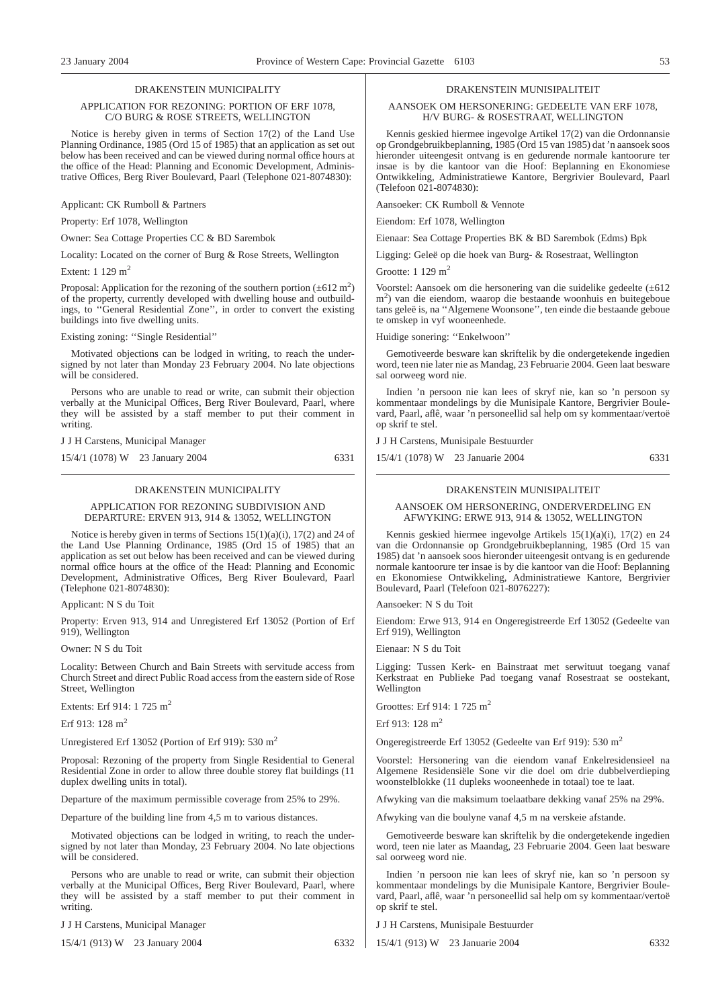#### DRAKENSTEIN MUNICIPALITY

#### APPLICATION FOR REZONING: PORTION OF ERF 1078, C/O BURG & ROSE STREETS, WELLINGTON

Notice is hereby given in terms of Section 17(2) of the Land Use Planning Ordinance, 1985 (Ord 15 of 1985) that an application as set out below has been received and can be viewed during normal office hours at the office of the Head: Planning and Economic Development, Administrative Offices, Berg River Boulevard, Paarl (Telephone 021-8074830):

Applicant: CK Rumboll & Partners

Property: Erf 1078, Wellington

Owner: Sea Cottage Properties CC & BD Sarembok

Locality: Located on the corner of Burg & Rose Streets, Wellington

Extent:  $1\ 129\ m^2$ 

Proposal: Application for the rezoning of the southern portion  $(\pm 612 \text{ m}^2)$ of the property, currently developed with dwelling house and outbuildings, to ''General Residential Zone'', in order to convert the existing buildings into five dwelling units.

Existing zoning: ''Single Residential''

Motivated objections can be lodged in writing, to reach the undersigned by not later than Monday 23 February 2004. No late objections will be considered.

Persons who are unable to read or write, can submit their objection verbally at the Municipal Offices, Berg River Boulevard, Paarl, where they will be assisted by a staff member to put their comment in writing.

J J H Carstens, Municipal Manager

15/4/1 (1078) W 23 January 2004 6331

#### DRAKENSTEIN MUNICIPALITY

#### APPLICATION FOR REZONING SUBDIVISION AND DEPARTURE: ERVEN 913, 914 & 13052, WELLINGTON

Notice is hereby given in terms of Sections 15(1)(a)(i), 17(2) and 24 of the Land Use Planning Ordinance, 1985 (Ord 15 of 1985) that an application as set out below has been received and can be viewed during normal office hours at the office of the Head: Planning and Economic Development, Administrative Offices, Berg River Boulevard, Paarl (Telephone 021-8074830):

Applicant: N S du Toit

Property: Erven 913, 914 and Unregistered Erf 13052 (Portion of Erf 919), Wellington

Owner: N S du Toit

Locality: Between Church and Bain Streets with servitude access from Church Street and direct Public Road access from the eastern side of Rose Street, Wellington

Extents: Erf 914: 1 725 m2

Erf 913: 128 m<sup>2</sup>

Unregistered Erf 13052 (Portion of Erf 919): 530 m2

Proposal: Rezoning of the property from Single Residential to General Residential Zone in order to allow three double storey flat buildings (11 duplex dwelling units in total).

Departure of the maximum permissible coverage from 25% to 29%.

Departure of the building line from 4,5 m to various distances.

Motivated objections can be lodged in writing, to reach the undersigned by not later than Monday,  $2\overline{3}$  February 2004. No late objections will be considered.

Persons who are unable to read or write, can submit their objection verbally at the Municipal Offices, Berg River Boulevard, Paarl, where they will be assisted by a staff member to put their comment in writing.

J J H Carstens, Municipal Manager

15/4/1 (913) W 23 January 2004 6332

#### DRAKENSTEIN MUNISIPALITEIT

AANSOEK OM HERSONERING: GEDEELTE VAN ERF 1078, H/V BURG- & ROSESTRAAT, WELLINGTON

Kennis geskied hiermee ingevolge Artikel 17(2) van die Ordonnansie op Grondgebruikbeplanning, 1985 (Ord 15 van 1985) dat 'n aansoek soos hieronder uiteengesit ontvang is en gedurende normale kantoorure ter insae is by die kantoor van die Hoof: Beplanning en Ekonomiese Ontwikkeling, Administratiewe Kantore, Bergrivier Boulevard, Paarl (Telefoon 021-8074830):

Aansoeker: CK Rumboll & Vennote

Eiendom: Erf 1078, Wellington

Eienaar: Sea Cottage Properties BK & BD Sarembok (Edms) Bpk

Ligging: Geleë op die hoek van Burg- & Rosestraat, Wellington

Grootte: 1 129 m<sup>2</sup>

Voorstel: Aansoek om die hersonering van die suidelike gedeelte (±612 m<sup>2</sup>) van die eiendom, waarop die bestaande woonhuis en buitegeboue tans geleë is, na ''Algemene Woonsone'', ten einde die bestaande geboue te omskep in vyf wooneenhede.

Huidige sonering: ''Enkelwoon''

Gemotiveerde besware kan skriftelik by die ondergetekende ingedien word, teen nie later nie as Mandag, 23 Februarie 2004. Geen laat besware sal oorweeg word nie.

Indien 'n persoon nie kan lees of skryf nie, kan so 'n persoon sy kommentaar mondelings by die Munisipale Kantore, Bergrivier Boulevard, Paarl, aflê, waar 'n personeellid sal help om sy kommentaar/vertoë op skrif te stel.

J J H Carstens, Munisipale Bestuurder

15/4/1 (1078) W 23 Januarie 2004 6331

#### DRAKENSTEIN MUNISIPALITEIT

#### AANSOEK OM HERSONERING, ONDERVERDELING EN AFWYKING: ERWE 913, 914 & 13052, WELLINGTON

Kennis geskied hiermee ingevolge Artikels 15(1)(a)(i), 17(2) en 24 van die Ordonnansie op Grondgebruikbeplanning, 1985 (Ord 15 van 1985) dat 'n aansoek soos hieronder uiteengesit ontvang is en gedurende normale kantoorure ter insae is by die kantoor van die Hoof: Beplanning en Ekonomiese Ontwikkeling, Administratiewe Kantore, Bergrivier Boulevard, Paarl (Telefoon 021-8076227):

Aansoeker: N S du Toit

Eiendom: Erwe 913, 914 en Ongeregistreerde Erf 13052 (Gedeelte van Erf 919), Wellington

Eienaar: N S du Toit

Ligging: Tussen Kerk- en Bainstraat met serwituut toegang vanaf Kerkstraat en Publieke Pad toegang vanaf Rosestraat se oostekant, Wellington

Groottes: Erf 914: 1 725 m2

Erf 913:  $128 \text{ m}^2$ 

Ongeregistreerde Erf 13052 (Gedeelte van Erf 919): 530 m2

Voorstel: Hersonering van die eiendom vanaf Enkelresidensieel na Algemene Residensiële Sone vir die doel om drie dubbelverdieping woonstelblokke (11 dupleks wooneenhede in totaal) toe te laat.

Afwyking van die maksimum toelaatbare dekking vanaf 25% na 29%.

Afwyking van die boulyne vanaf 4,5 m na verskeie afstande.

Gemotiveerde besware kan skriftelik by die ondergetekende ingedien word, teen nie later as Maandag, 23 Februarie 2004. Geen laat besware sal oorweeg word nie.

Indien 'n persoon nie kan lees of skryf nie, kan so 'n persoon sy kommentaar mondelings by die Munisipale Kantore, Bergrivier Boulevard, Paarl, aflê, waar 'n personeellid sal help om sy kommentaar/vertoë op skrif te stel.

J J H Carstens, Munisipale Bestuurder

15/4/1 (913) W 23 Januarie 2004 6332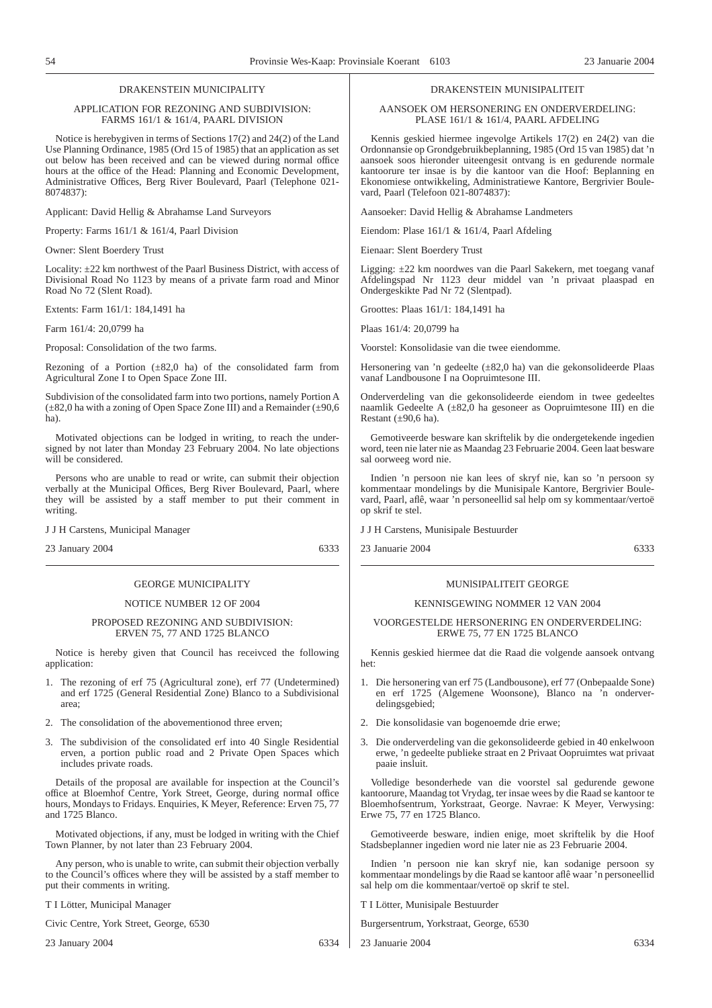#### DRAKENSTEIN MUNICIPALITY

#### APPLICATION FOR REZONING AND SUBDIVISION: FARMS 161/1 & 161/4, PAARL DIVISION

Notice is herebygiven in terms of Sections 17(2) and 24(2) of the Land Use Planning Ordinance, 1985 (Ord 15 of 1985) that an application as set out below has been received and can be viewed during normal office hours at the office of the Head: Planning and Economic Development, Administrative Offices, Berg River Boulevard, Paarl (Telephone 021- 8074837):

Applicant: David Hellig & Abrahamse Land Surveyors

Property: Farms 161/1 & 161/4, Paarl Division

Owner: Slent Boerdery Trust

Locality: ±22 km northwest of the Paarl Business District, with access of Divisional Road No 1123 by means of a private farm road and Minor Road No 72 (Slent Road).

Extents: Farm 161/1: 184,1491 ha

Farm 161/4: 20,0799 ha

Proposal: Consolidation of the two farms.

Rezoning of a Portion  $(\pm 82,0)$  ha) of the consolidated farm from Agricultural Zone I to Open Space Zone III.

Subdivision of the consolidated farm into two portions, namely Portion A  $(\pm 82,0)$  ha with a zoning of Open Space Zone III) and a Remainder  $(\pm 90,6)$ ha).

Motivated objections can be lodged in writing, to reach the undersigned by not later than Monday 23 February 2004. No late objections will be considered.

Persons who are unable to read or write, can submit their objection verbally at the Municipal Offices, Berg River Boulevard, Paarl, where they will be assisted by a staff member to put their comment in writing.

J J H Carstens, Municipal Manager

23 January 2004 6333

#### GEORGE MUNICIPALITY

#### NOTICE NUMBER 12 OF 2004

#### PROPOSED REZONING AND SUBDIVISION: ERVEN 75, 77 AND 1725 BLANCO

Notice is hereby given that Council has receivced the following application:

- 1. The rezoning of erf 75 (Agricultural zone), erf 77 (Undetermined) and erf 1725 (General Residential Zone) Blanco to a Subdivisional area;
- 2. The consolidation of the abovementionod three erven;
- 3. The subdivision of the consolidated erf into 40 Single Residential erven, a portion public road and 2 Private Open Spaces which includes private roads.

Details of the proposal are available for inspection at the Council's office at Bloemhof Centre, York Street, George, during normaI office hours, Mondays to Fridays. Enquiries, K Meyer, Reference: Erven 75, 77 and 1725 Blanco.

Motivated objections, if any, must be lodged in writing with the Chief Town Planner, by not later than 23 February 2004.

Any person, who is unable to write, can submit their objection verbally to the Council's offices where they will be assisted by a staff member to put their comments in writing.

T I Lötter, Municipal Manager

Civic Centre, York Street, George, 6530

23 January 2004 6334

#### DRAKENSTEIN MUNISIPALITEIT

AANSOEK OM HERSONERING EN ONDERVERDELING: PLASE 161/1 & 161/4, PAARL AFDELING

Kennis geskied hiermee ingevolge Artikels 17(2) en 24(2) van die Ordonnansie op Grondgebruikbeplanning, 1985 (Ord 15 van 1985) dat 'n aansoek soos hieronder uiteengesit ontvang is en gedurende normale kantoorure ter insae is by die kantoor van die Hoof: Beplanning en Ekonomiese ontwikkeling, Administratiewe Kantore, Bergrivier Boulevard, Paarl (Telefoon 021-8074837):

Aansoeker: David Hellig & Abrahamse Landmeters

Eiendom: Plase 161/1 & 161/4, Paarl Afdeling

Eienaar: Slent Boerdery Trust

Ligging: ±22 km noordwes van die Paarl Sakekern, met toegang vanaf Afdelingspad Nr 1123 deur middel van 'n privaat plaaspad en Ondergeskikte Pad Nr 72 (Slentpad).

Groottes: Plaas 161/1: 184,1491 ha

Plaas 161/4: 20,0799 ha

Voorstel: Konsolidasie van die twee eiendomme.

Hersonering van 'n gedeelte (±82,0 ha) van die gekonsolideerde Plaas vanaf Landbousone I na Oopruimtesone III.

Onderverdeling van die gekonsolideerde eiendom in twee gedeeltes naamlik Gedeelte A (±82,0 ha gesoneer as Oopruimtesone III) en die Restant  $(\pm 90, 6 \text{ ha})$ .

Gemotiveerde besware kan skriftelik by die ondergetekende ingedien word, teen nie later nie as Maandag 23 Februarie 2004. Geen laat besware sal oorweeg word nie.

Indien 'n persoon nie kan lees of skryf nie, kan so 'n persoon sy kommentaar mondelings by die Munisipale Kantore, Bergrivier Boulevard, Paarl, aflê, waar 'n personeellid sal help om sy kommentaar/vertoë op skrif te stel.

J J H Carstens, Munisipale Bestuurder

23 Januarie 2004 6333

#### MUNlSIPALITEIT GEORGE

#### KENNISGEWING NOMMER 12 VAN 2004

#### VOORGESTELDE HERSONERING EN ONDERVERDELING: ERWE 75, 77 EN 1725 BLANCO

Kennis geskied hiermee dat die Raad die volgende aansoek ontvang het:

- 1. Die hersonering van erf 75 (Landbousone), erf 77 (Onbepaalde Sone) en erf 1725 (Algemene Woonsone), Blanco na 'n onderverdelingsgebied;
- 2. Die konsolidasie van bogenoemde drie erwe;
- 3. Die onderverdeling van die gekonsolideerde gebied in 40 enkelwoon erwe, 'n gedeelte publieke straat en 2 Privaat Oopruimtes wat privaat paaie insluit.

Volledige besonderhede van die voorstel sal gedurende gewone kantoorure, Maandag tot Vrydag, ter insae wees by die Raad se kantoor te Bloemhofsentrum, Yorkstraat, George. Navrae: K Meyer, Verwysing: Erwe 75, 77 en 1725 Blanco.

Gemotiveerde besware, indien enige, moet skriftelik by die Hoof Stadsbeplanner ingedien word nie later nie as 23 Februarie 2004.

Indien 'n persoon nie kan skryf nie, kan sodanige persoon sy kommentaar mondelings by die Raad se kantoor aflê waar 'n personeellid sal help om die kommentaar/vertoë op skrif te stel.

T I Lötter, Munisipale Bestuurder

Burgersentrum, Yorkstraat, George, 6530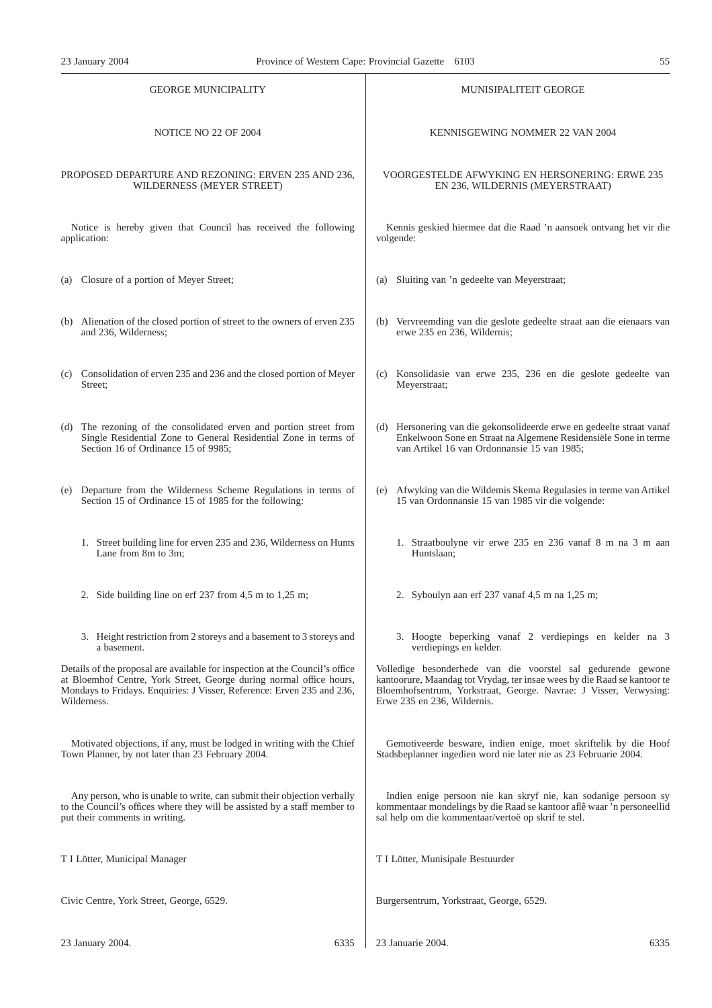| <b>GEORGE MUNICIPALITY</b>                                                                                                | <b>MUNISIPALITEIT GEORGE</b>                                                                                               |  |
|---------------------------------------------------------------------------------------------------------------------------|----------------------------------------------------------------------------------------------------------------------------|--|
| NOTICE NO 22 OF 2004                                                                                                      | KENNISGEWING NOMMER 22 VAN 2004                                                                                            |  |
| PROPOSED DEPARTURE AND REZONING: ERVEN 235 AND 236,                                                                       | VOORGESTELDE AFWYKING EN HERSONERING: ERWE 235                                                                             |  |
| WILDERNESS (MEYER STREET)                                                                                                 | EN 236, WILDERNIS (MEYERSTRAAT)                                                                                            |  |
| Notice is hereby given that Council has received the following                                                            | Kennis geskied hiermee dat die Raad 'n aansoek ontvang het vir die                                                         |  |
| application:                                                                                                              | volgende:                                                                                                                  |  |
| (a) Closure of a portion of Meyer Street;                                                                                 | Sluiting van 'n gedeelte van Meyerstraat;<br>(a)                                                                           |  |
| (b) Alienation of the closed portion of street to the owners of erven 235                                                 | (b) Vervreemding van die geslote gedeelte straat aan die eienaars van                                                      |  |
| and 236, Wilderness;                                                                                                      | erwe 235 en 236, Wildernis;                                                                                                |  |
| (c) Consolidation of erven 235 and 236 and the closed portion of Meyer                                                    | (c) Konsolidasie van erwe 235, 236 en die geslote gedeelte van                                                             |  |
| Street;                                                                                                                   | Meyerstraat;                                                                                                               |  |
| (d) The rezoning of the consolidated erven and portion street from                                                        | (d) Hersonering van die gekonsolideerde erwe en gedeelte straat vanaf                                                      |  |
| Single Residential Zone to General Residential Zone in terms of                                                           | Enkelwoon Sone en Straat na Algemene Residensiële Sone in terme                                                            |  |
| Section 16 of Ordinance 15 of 9985;                                                                                       | van Artikel 16 van Ordonnansie 15 van 1985;                                                                                |  |
| (e) Departure from the Wilderness Scheme Regulations in terms of<br>Section 15 of Ordinance 15 of 1985 for the following: | Afwyking van die Wildemis Skema Regulasies in terme van Artikel<br>(e)<br>15 van Ordonnansie 15 van 1985 vir die volgende: |  |
| 1. Street building line for erven 235 and 236, Wilderness on Hunts                                                        | 1. Straatboulyne vir erwe 235 en 236 vanaf 8 m na 3 m aan                                                                  |  |
| Lane from 8m to 3m;                                                                                                       | Huntslaan;                                                                                                                 |  |
| 2. Side building line on erf 237 from 4,5 m to 1,25 m;                                                                    | 2. Syboulyn aan erf 237 vanaf 4,5 m na 1,25 m;                                                                             |  |
| 3. Height restriction from 2 storeys and a basement to 3 storeys and                                                      | 3. Hoogte beperking vanaf 2 verdiepings en kelder na 3                                                                     |  |
| a basement.                                                                                                               | verdiepings en kelder.                                                                                                     |  |
| Details of the proposal are available for inspection at the Council's office                                              | Volledige besonderhede van die voorstel sal gedurende gewone                                                               |  |
| at Bloemhof Centre, York Street, George during normal office hours,                                                       | kantoorure, Maandag tot Vrydag, ter insae wees by die Raad se kantoor te                                                   |  |
| Mondays to Fridays. Enquiries: J Visser, Reference: Erven 235 and 236,                                                    | Bloemhofsentrum, Yorkstraat, George. Navrae: J Visser, Verwysing:                                                          |  |
| Wilderness.                                                                                                               | Erwe 235 en 236, Wildernis.                                                                                                |  |
| Motivated objections, if any, must be lodged in writing with the Chief                                                    | Gemotiveerde besware, indien enige, moet skriftelik by die Hoof                                                            |  |
| Town Planner, by not later than 23 February 2004.                                                                         | Stadsbeplanner ingedien word nie later nie as 23 Februarie 2004.                                                           |  |
| Any person, who is unable to write, can submit their objection verbally                                                   | Indien enige persoon nie kan skryf nie, kan sodanige persoon sy                                                            |  |
| to the Council's offices where they will be assisted by a staff member to                                                 | kommentaar mondelings by die Raad se kantoor aflê waar 'n personeellid                                                     |  |
| put their comments in writing.                                                                                            | sal help om die kommentaar/vertoë op skrif te stel.                                                                        |  |
| T I Lötter, Municipal Manager                                                                                             | T I Lötter, Munisipale Bestuurder                                                                                          |  |
| Civic Centre, York Street, George, 6529.                                                                                  | Burgersentrum, Yorkstraat, George, 6529.                                                                                   |  |
| 23 January 2004.                                                                                                          | 23 Januarie 2004.                                                                                                          |  |
| 6335                                                                                                                      | 6335                                                                                                                       |  |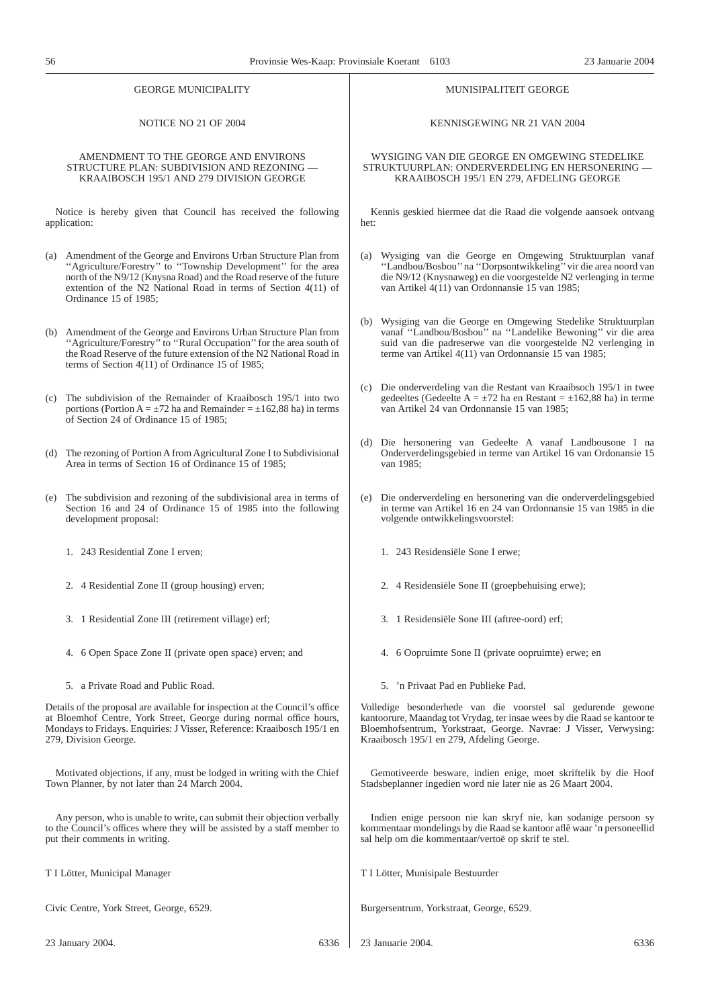| <b>GEORGE MUNICIPALITY</b>                                                                                                                                                                                                                              |                                                                                                                                                                                                                                                                                                       | MUNISIPALITEIT GEORGE                                                                                                                                                                                                                                      |  |
|---------------------------------------------------------------------------------------------------------------------------------------------------------------------------------------------------------------------------------------------------------|-------------------------------------------------------------------------------------------------------------------------------------------------------------------------------------------------------------------------------------------------------------------------------------------------------|------------------------------------------------------------------------------------------------------------------------------------------------------------------------------------------------------------------------------------------------------------|--|
| NOTICE NO 21 OF 2004                                                                                                                                                                                                                                    |                                                                                                                                                                                                                                                                                                       | KENNISGEWING NR 21 VAN 2004                                                                                                                                                                                                                                |  |
| AMENDMENT TO THE GEORGE AND ENVIRONS<br>STRUCTURE PLAN: SUBDIVISION AND REZONING -<br>KRAAIBOSCH 195/1 AND 279 DIVISION GEORGE                                                                                                                          |                                                                                                                                                                                                                                                                                                       | WYSIGING VAN DIE GEORGE EN OMGEWING STEDELIKE<br>STRUKTUURPLAN: ONDERVERDELING EN HERSONERING -<br>KRAAIBOSCH 195/1 EN 279, AFDELING GEORGE                                                                                                                |  |
| Notice is hereby given that Council has received the following<br>application:                                                                                                                                                                          |                                                                                                                                                                                                                                                                                                       | Kennis geskied hiermee dat die Raad die volgende aansoek ontvang<br>het:                                                                                                                                                                                   |  |
|                                                                                                                                                                                                                                                         | (a) Amendment of the George and Environs Urban Structure Plan from<br>"Agriculture/Forestry" to "Township Development" for the area<br>north of the N9/12 (Knysna Road) and the Road reserve of the future<br>extention of the N2 National Road in terms of Section 4(11) of<br>Ordinance 15 of 1985; | (a) Wysiging van die George en Omgewing Struktuurplan vanaf<br>"Landbou/Bosbou" na "Dorpsontwikkeling" vir die area noord van<br>die N9/12 (Knysnaweg) en die voorgestelde N2 verlenging in terme<br>van Artikel 4(11) van Ordonnansie 15 van 1985;        |  |
|                                                                                                                                                                                                                                                         | (b) Amendment of the George and Environs Urban Structure Plan from<br>"Agriculture/Forestry" to "Rural Occupation" for the area south of<br>the Road Reserve of the future extension of the N2 National Road in<br>terms of Section $4(11)$ of Ordinance 15 of 1985;                                  | (b) Wysiging van die George en Omgewing Stedelike Struktuurplan<br>vanaf "Landbou/Bosbou" na "Landelike Bewoning" vir die area<br>suid van die padreserwe van die voorgestelde N2 verlenging in<br>terme van Artikel 4(11) van Ordonnansie 15 van 1985;    |  |
| (c)                                                                                                                                                                                                                                                     | The subdivision of the Remainder of Kraaibosch 195/1 into two<br>portions (Portion A = $\pm$ 72 ha and Remainder = $\pm$ 162,88 ha) in terms<br>of Section 24 of Ordinance 15 of 1985;                                                                                                                | (c) Die onderverdeling van die Restant van Kraaibsoch 195/1 in twee<br>gedeeltes (Gedeelte A = $\pm$ 72 ha en Restant = $\pm$ 162,88 ha) in terme<br>van Artikel 24 van Ordonnansie 15 van 1985;                                                           |  |
|                                                                                                                                                                                                                                                         | (d) The rezoning of Portion A from Agricultural Zone I to Subdivisional<br>Area in terms of Section 16 of Ordinance 15 of 1985;                                                                                                                                                                       | (d) Die hersonering van Gedeelte A vanaf Landbousone I na<br>Onderverdelingsgebied in terme van Artikel 16 van Ordonansie 15<br>van 1985;                                                                                                                  |  |
|                                                                                                                                                                                                                                                         | (e) The subdivision and rezoning of the subdivisional area in terms of<br>Section 16 and 24 of Ordinance 15 of 1985 into the following<br>development proposal:                                                                                                                                       | (e) Die onderverdeling en hersonering van die onderverdelingsgebied<br>in terme van Artikel 16 en 24 van Ordonnansie 15 van 1985 in die<br>volgende ontwikkelingsvoorstel:                                                                                 |  |
|                                                                                                                                                                                                                                                         | 1. 243 Residential Zone I erven;                                                                                                                                                                                                                                                                      | 1. 243 Residensiële Sone I erwe;                                                                                                                                                                                                                           |  |
|                                                                                                                                                                                                                                                         | 2. 4 Residential Zone II (group housing) erven;                                                                                                                                                                                                                                                       | 2. 4 Residensiële Sone II (groepbehuising erwe);                                                                                                                                                                                                           |  |
|                                                                                                                                                                                                                                                         | 3. 1 Residential Zone III (retirement village) erf;                                                                                                                                                                                                                                                   | 3. 1 Residensiële Sone III (aftree-oord) erf;                                                                                                                                                                                                              |  |
|                                                                                                                                                                                                                                                         | 4. 6 Open Space Zone II (private open space) erven; and                                                                                                                                                                                                                                               | 4. 6 Oopruimte Sone II (private oopruimte) erwe; en                                                                                                                                                                                                        |  |
|                                                                                                                                                                                                                                                         | 5. a Private Road and Public Road.                                                                                                                                                                                                                                                                    | 5. 'n Privaat Pad en Publieke Pad.                                                                                                                                                                                                                         |  |
| Details of the proposal are available for inspection at the Council's office<br>at Bloemhof Centre, York Street, George during normal office hours,<br>Mondays to Fridays. Enquiries: J Visser, Reference: Kraaibosch 195/1 en<br>279, Division George. |                                                                                                                                                                                                                                                                                                       | Volledige besonderhede van die voorstel sal gedurende gewone<br>kantoorure, Maandag tot Vrydag, ter insae wees by die Raad se kantoor te<br>Bloemhofsentrum, Yorkstraat, George. Navrae: J Visser, Verwysing:<br>Kraaibosch 195/1 en 279, Afdeling George. |  |
| Motivated objections, if any, must be lodged in writing with the Chief<br>Town Planner, by not later than 24 March 2004.                                                                                                                                |                                                                                                                                                                                                                                                                                                       | Gemotiveerde besware, indien enige, moet skriftelik by die Hoof<br>Stadsbeplanner ingedien word nie later nie as 26 Maart 2004.                                                                                                                            |  |
| Any person, who is unable to write, can submit their objection verbally<br>to the Council's offices where they will be assisted by a staff member to<br>put their comments in writing.                                                                  |                                                                                                                                                                                                                                                                                                       | Indien enige persoon nie kan skryf nie, kan sodanige persoon sy<br>kommentaar mondelings by die Raad se kantoor aflê waar 'n personeellid<br>sal help om die kommentaar/vertoë op skrif te stel.                                                           |  |
| T I Lötter, Municipal Manager                                                                                                                                                                                                                           |                                                                                                                                                                                                                                                                                                       | T I Lötter, Munisipale Bestuurder                                                                                                                                                                                                                          |  |
| Civic Centre, York Street, George, 6529.                                                                                                                                                                                                                |                                                                                                                                                                                                                                                                                                       | Burgersentrum, Yorkstraat, George, 6529.                                                                                                                                                                                                                   |  |
|                                                                                                                                                                                                                                                         | 23 January 2004.<br>6336                                                                                                                                                                                                                                                                              | 23 Januarie 2004.<br>6336                                                                                                                                                                                                                                  |  |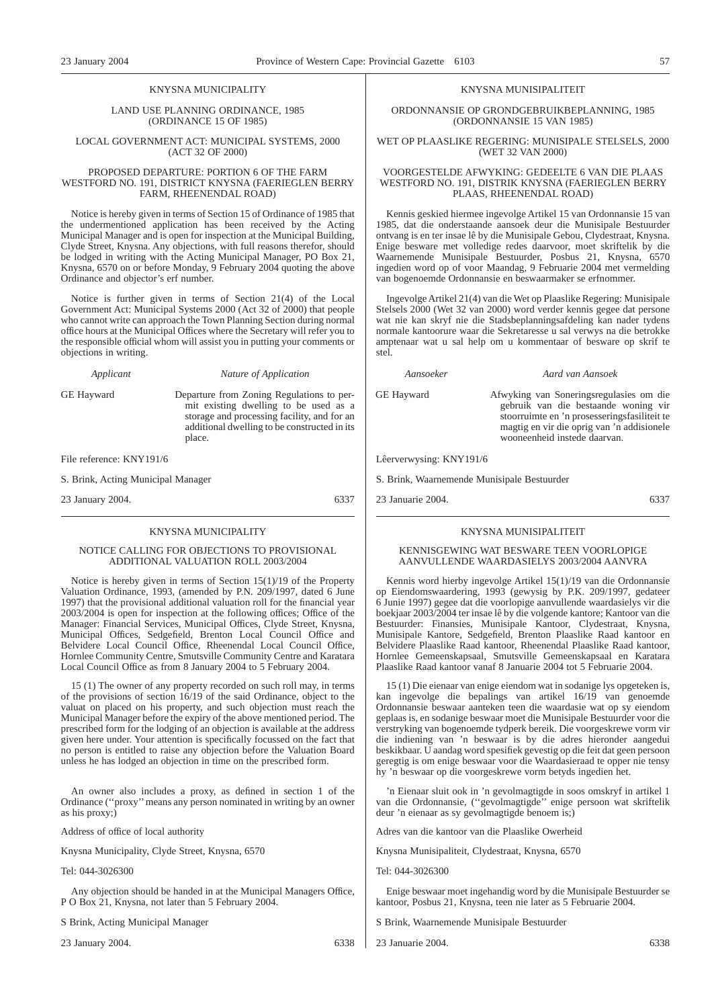#### KNYSNA MUNICIPALITY

LAND USE PLANNING ORDINANCE, 1985 (ORDINANCE 15 OF 1985)

#### LOCAL GOVERNMENT ACT: MUNICIPAL SYSTEMS, 2000 (ACT 32 OF 2000)

#### PROPOSED DEPARTURE: PORTION 6 OF THE FARM WESTFORD NO. 191, DISTRICT KNYSNA (FAERIEGLEN BERRY FARM, RHEENENDAL ROAD)

Notice is hereby given in terms of Section 15 of Ordinance of 1985 that the undermentioned application has been received by the Acting Municipal Manager and is open for inspection at the Municipal Building, Clyde Street, Knysna. Any objections, with full reasons therefor, should be lodged in writing with the Acting Municipal Manager, PO Box 21, Knysna, 6570 on or before Monday, 9 February 2004 quoting the above Ordinance and objector's erf number.

Notice is further given in terms of Section 21(4) of the Local Government Act: Municipal Systems 2000 (Act 32 of 2000) that people who cannot write can approach the Town Planning Section during normal office hours at the Municipal Offices where the Secretary will refer you to the responsible official whom will assist you in putting your comments or objections in writing.

*Applicant Nature of Application*

GE Hayward Departure from Zoning Regulations to permit existing dwelling to be used as a storage and processing facility, and for an additional dwelling to be constructed in its place.

File reference: KNY191/6

S. Brink, Acting Municipal Manager

23 January 2004. 6337

#### KNYSNA MUNICIPALITY

#### NOTICE CALLING FOR OBJECTIONS TO PROVISIONAL ADDITIONAL VALUATION ROLL 2003/2004

Notice is hereby given in terms of Section 15(1)/19 of the Property Valuation Ordinance, 1993, (amended by P.N. 209/1997, dated 6 June 1997) that the provisional additional valuation roll for the financial year 2003/2004 is open for inspection at the following offices; Office of the Manager: Financial Services, Municipal Offices, Clyde Street, Knysna, Municipal Offices, Sedgefield, Brenton Local Council Office and Belvidere Local Council Office, Rheenendal Local Council Office, Hornlee Community Centre, Smutsville Community Centre and Karatara Local Council Office as from 8 January 2004 to 5 February 2004.

15 (1) The owner of any property recorded on such roll may, in terms of the provisions of section 16/19 of the said Ordinance, object to the valuat on placed on his property, and such objection must reach the Municipal Manager before the expiry of the above mentioned period. The prescribed form for the lodging of an objection is available at the address given here under. Your attention is specifically focussed on the fact that no person is entitled to raise any objection before the Valuation Board unless he has lodged an objection in time on the prescribed form.

An owner also includes a proxy, as defined in section 1 of the Ordinance (''proxy'' means any person nominated in writing by an owner as his proxy;)

Address of office of local authority

Knysna Municipality, Clyde Street, Knysna, 6570

Tel: 044-3026300

Any objection should be handed in at the Municipal Managers Office, P O Box 21, Knysna, not later than 5 February 2004.

S Brink, Acting Municipal Manager

23 January 2004. 6338

#### KNYSNA MUNISIPALITEIT

ORDONNANSIE OP GRONDGEBRUIKBEPLANNING, 1985 (ORDONNANSIE 15 VAN 1985)

WET OP PLAASLIKE REGERING: MUNISIPALE STELSELS, 2000 (WET 32 VAN 2000)

#### VOORGESTELDE AFWYKING: GEDEELTE 6 VAN DIE PLAAS WESTFORD NO. 191, DISTRIK KNYSNA (FAERIEGLEN BERRY PLAAS, RHEENENDAL ROAD)

Kennis geskied hiermee ingevolge Artikel 15 van Ordonnansie 15 van 1985, dat die onderstaande aansoek deur die Munisipale Bestuurder ontvang is en ter insae lê by die Munisipale Gebou, Clydestraat, Knysna. Enige besware met volledige redes daarvoor, moet skriftelik by die Waarnemende Munisipale Bestuurder, Posbus 21, Knysna, 6570 ingedien word op of voor Maandag, 9 Februarie 2004 met vermelding van bogenoemde Ordonnansie en beswaarmaker se erfnommer.

Ingevolge Artikel 21(4) van die Wet op Plaaslike Regering: Munisipale Stelsels 2000 (Wet 32 van 2000) word verder kennis gegee dat persone wat nie kan skryf nie die Stadsbeplanningsafdeling kan nader tydens normale kantoorure waar die Sekretaresse u sal verwys na die betrokke amptenaar wat u sal help om u kommentaar of besware op skrif te stel.

*Aansoeker Aard van Aansoek*

wooneenheid instede daarvan.

GE Hayward Afwyking van Soneringsregulasies om die gebruik van die bestaande woning vir stoorruimte en 'n prosesseringsfasiliteit te magtig en vir die oprig van 'n addisionele

Lêerverwysing: KNY191/6

S. Brink, Waarnemende Munisipale Bestuurder

23 Januarie 2004. 6337

#### KNYSNA MUNISIPALITEIT

#### KENNISGEWING WAT BESWARE TEEN VOORLOPIGE AANVULLENDE WAARDASIELYS 2003/2004 AANVRA

Kennis word hierby ingevolge Artikel 15(1)/19 van die Ordonnansie op Eiendomswaardering, 1993 (gewysig by P.K. 209/1997, gedateer 6 Junie 1997) gegee dat die voorlopige aanvullende waardasielys vir die boekjaar 2003/2004 ter insae lê by die volgende kantore; Kantoor van die Bestuurder: Finansies, Munisipale Kantoor, Clydestraat, Knysna, Munisipale Kantore, Sedgefield, Brenton Plaaslike Raad kantoor en Belvidere Plaaslike Raad kantoor, Rheenendal Plaaslike Raad kantoor, Hornlee Gemeenskapsaal, Smutsville Gemeenskapsaal en Karatara Plaaslike Raad kantoor vanaf 8 Januarie 2004 tot 5 Februarie 2004.

15 (1) Die eienaar van enige eiendom wat in sodanige lys opgeteken is, kan ingevolge die bepalings van artikel 16/19 van genoemde Ordonnansie beswaar aanteken teen die waardasie wat op sy eiendom geplaas is, en sodanige beswaar moet die Munisipale Bestuurder voor die verstryking van bogenoemde tydperk bereik. Die voorgeskrewe vorm vir die indiening van 'n beswaar is by die adres hieronder aangedui beskikbaar. U aandag word spesifiek gevestig op die feit dat geen persoon geregtig is om enige beswaar voor die Waardasieraad te opper nie tensy hy 'n beswaar op die voorgeskrewe vorm betyds ingedien het.

'n Eienaar sluit ook in 'n gevolmagtigde in soos omskryf in artikel 1 van die Ordonnansie, (''gevolmagtigde'' enige persoon wat skriftelik deur 'n eienaar as sy gevolmagtigde benoem is;)

Adres van die kantoor van die Plaaslike Owerheid

Knysna Munisipaliteit, Clydestraat, Knysna, 6570

Tel: 044-3026300

Enige beswaar moet ingehandig word by die Munisipale Bestuurder se kantoor, Posbus 21, Knysna, teen nie later as 5 Februarie 2004.

S Brink, Waarnemende Munisipale Bestuurder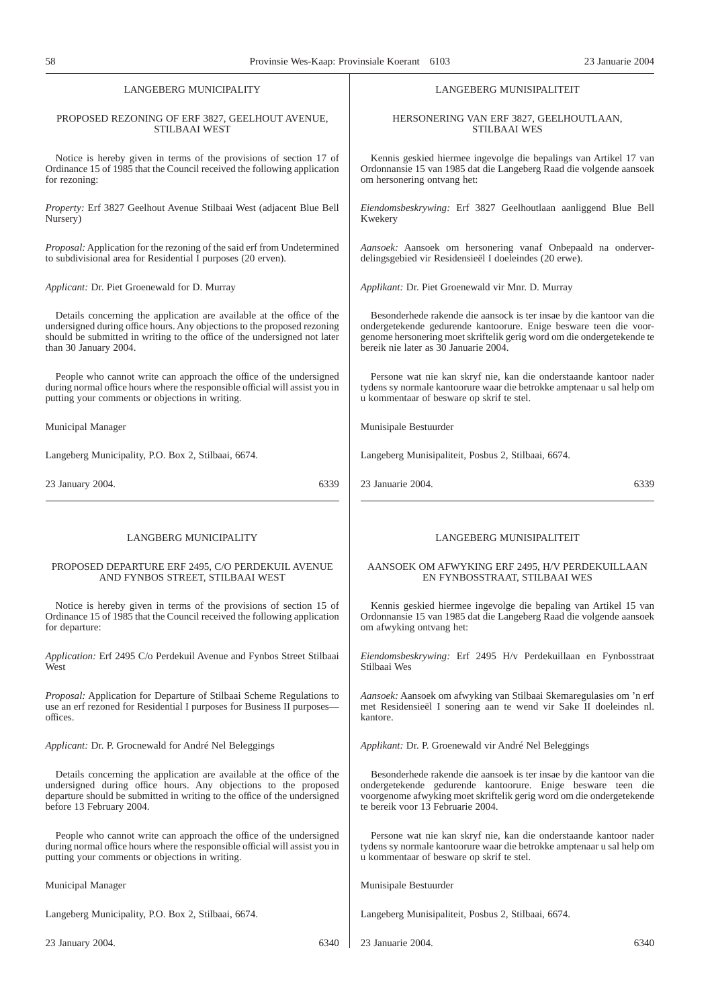| LANGEBERG MUNICIPALITY                                                          | LANGEBERG MUNISIPALITEIT                                               |
|---------------------------------------------------------------------------------|------------------------------------------------------------------------|
| PROPOSED REZONING OF ERF 3827, GEELHOUT AVENUE,                                 | HERSONERING VAN ERF 3827, GEELHOUTLAAN,                                |
| <b>STILBAAI WEST</b>                                                            | <b>STILBAAI WES</b>                                                    |
| Notice is hereby given in terms of the provisions of section 17 of              | Kennis geskied hiermee ingevolge die bepalings van Artikel 17 van      |
| Ordinance 15 of 1985 that the Council received the following application        | Ordonnansie 15 van 1985 dat die Langeberg Raad die volgende aansoek    |
| for rezoning:                                                                   | om hersonering ontvang het:                                            |
| Property: Erf 3827 Geelhout Avenue Stilbaai West (adjacent Blue Bell            | Eiendomsbeskrywing: Erf 3827 Geelhoutlaan aanliggend Blue Bell         |
| Nursery)                                                                        | Kwekery                                                                |
| <i>Proposal:</i> Application for the rezoning of the said erf from Undetermined | Aansoek: Aansoek om hersonering vanaf Onbepaald na onderver-           |
| to subdivisional area for Residential I purposes (20 erven).                    | delingsgebied vir Residensieël I doeleindes (20 erwe).                 |
| Applicant: Dr. Piet Groenewald for D. Murray                                    | Applikant: Dr. Piet Groenewald vir Mnr. D. Murray                      |
| Details concerning the application are available at the office of the           | Besonderhede rakende die aansock is ter insae by die kantoor van die   |
| undersigned during office hours. Any objections to the proposed rezoning        | ondergetekende gedurende kantoorure. Enige besware teen die voor-      |
| should be submitted in writing to the office of the undersigned not later       | genome hersonering moet skriftelik gerig word om die ondergetekende te |
| than 30 January 2004.                                                           | bereik nie later as 30 Januarie 2004.                                  |
| People who cannot write can approach the office of the undersigned              | Persone wat nie kan skryf nie, kan die onderstaande kantoor nader      |
| during normal office hours where the responsible official will assist you in    | tydens sy normale kantoorure waar die betrokke amptenaar u sal help om |
| putting your comments or objections in writing.                                 | u kommentaar of besware op skrif te stel.                              |
| Municipal Manager                                                               | Munisipale Bestuurder                                                  |
| Langeberg Municipality, P.O. Box 2, Stilbaai, 6674.                             | Langeberg Munisipaliteit, Posbus 2, Stilbaai, 6674.                    |
| 23 January 2004.                                                                | 23 Januarie 2004.                                                      |
| 6339                                                                            | 6339                                                                   |
|                                                                                 |                                                                        |
|                                                                                 |                                                                        |
| LANGBERG MUNICIPALITY                                                           | LANGEBERG MUNISIPALITEIT                                               |
| PROPOSED DEPARTURE ERF 2495, C/O PERDEKUIL AVENUE                               | AANSOEK OM AFWYKING ERF 2495, H/V PERDEKUILLAAN                        |
| AND FYNBOS STREET, STILBAAI WEST                                                | EN FYNBOSSTRAAT, STILBAAI WES                                          |
| Notice is hereby given in terms of the provisions of section 15 of              | Kennis geskied hiermee ingevolge die bepaling van Artikel 15 van       |
| Ordinance 15 of 1985 that the Council received the following application        | Ordonnansie 15 van 1985 dat die Langeberg Raad die volgende aansoek    |
| for departure:                                                                  | om afwyking ontvang het:                                               |
| Application: Erf 2495 C/o Perdekuil Avenue and Fynbos Street Stilbaai           | Eiendomsbeskrywing: Erf 2495 H/v Perdekuillaan en Fynbosstraat         |
| West                                                                            | Stilbaai Wes                                                           |
| <i>Proposal:</i> Application for Departure of Stilbaai Scheme Regulations to    | Aansoek: Aansoek om afwyking van Stilbaai Skemaregulasies om 'n erf    |
| use an erf rezoned for Residential I purposes for Business II purposes—         | met Residensieël I sonering aan te wend vir Sake II doeleindes nl.     |
| offices.                                                                        | kantore.                                                               |
| Applicant: Dr. P. Grocnewald for André Nel Beleggings                           | Applikant: Dr. P. Groenewald vir André Nel Beleggings                  |
| Details concerning the application are available at the office of the           | Besonderhede rakende die aansoek is ter insae by die kantoor van die   |
| undersigned during office hours. Any objections to the proposed                 | ondergetekende gedurende kantoorure. Enige besware teen die            |
| departure should be submitted in writing to the office of the undersigned       | voorgenome afwyking moet skriftelik gerig word om die ondergetekende   |
| before 13 February 2004.                                                        | te bereik voor 13 Februarie 2004.                                      |
| People who cannot write can approach the office of the undersigned              | Persone wat nie kan skryf nie, kan die onderstaande kantoor nader      |
| during normal office hours where the responsible official will assist you in    | tydens sy normale kantoorure waar die betrokke amptenaar u sal help om |
| putting your comments or objections in writing.                                 | u kommentaar of besware op skrif te stel.                              |
| Municipal Manager                                                               | Munisipale Bestuurder                                                  |
| Langeberg Municipality, P.O. Box 2, Stilbaai, 6674.                             | Langeberg Munisipaliteit, Posbus 2, Stilbaai, 6674.                    |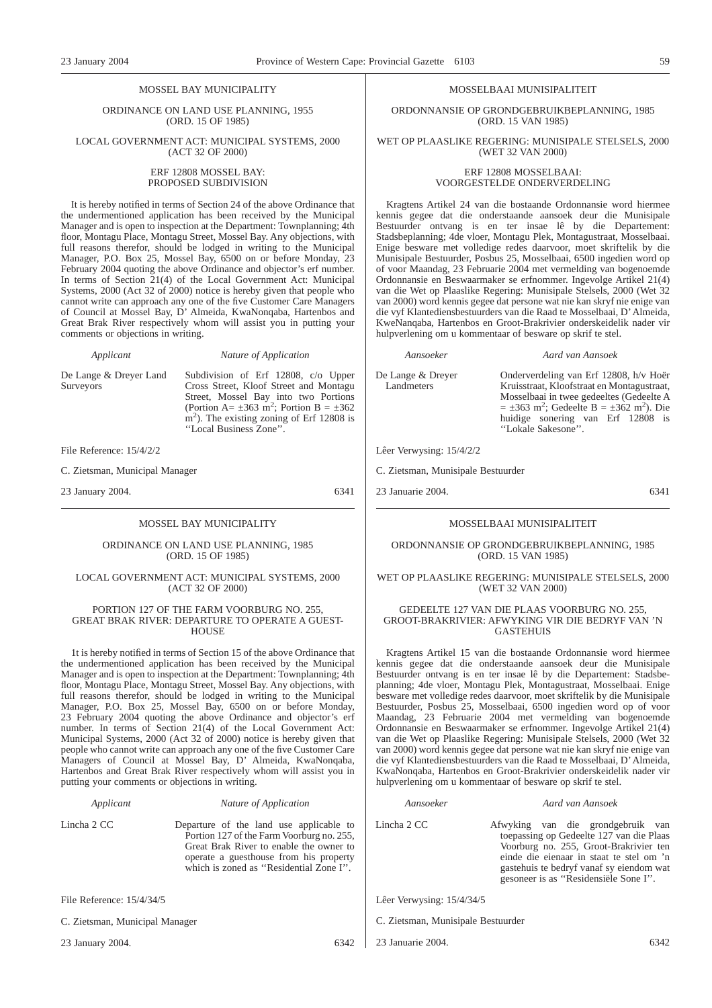#### MOSSEL BAY MUNICIPALITY

ORDINANCE ON LAND USE PLANNING, 1955 (ORD. 15 OF 1985)

#### LOCAL GOVERNMENT ACT: MUNICIPAL SYSTEMS, 2000 (ACT 32 OF 2000)

#### ERF 12808 MOSSEL BAY: PROPOSED SUBDIVISION

It is hereby notified in terms of Section 24 of the above Ordinance that the undermentioned application has been received by the Municipal Manager and is open to inspection at the Department: Townplanning; 4th floor, Montagu Place, Montagu Street, Mossel Bay. Any objections, with full reasons therefor, should be lodged in writing to the Municipal Manager, P.O. Box 25, Mossel Bay, 6500 on or before Monday, 23 February 2004 quoting the above Ordinance and objector's erf number. In terms of Section 21(4) of the Local Government Act: Municipal Systems, 2000 (Act 32 of 2000) notice is hereby given that people who cannot write can approach any one of the five Customer Care Managers of Council at Mossel Bay, D' Almeida, KwaNonqaba, Hartenbos and Great Brak River respectively whom will assist you in putting your comments or objections in writing.

*Applicant Nature of Application*

m<sup>2</sup>). The existing zoning of Erf 12808 is

''Local Business Zone''.

De Lange & Dreyer Land Surveyors

Subdivision of Erf 12808, c/o Upper Cross Street, Kloof Street and Montagu Street, Mossel Bay into two Portions<br>(Portion  $A = \pm 363$  m<sup>2</sup>; Portion  $B = \pm 362$ 

File Reference: 15/4/2/2

C. Zietsman, Municipal Manager

23 January 2004. 6341

#### MOSSEL BAY MUNICIPALITY

#### ORDINANCE ON LAND USE PLANNING, 1985 (ORD. 15 OF 1985)

#### LOCAL GOVERNMENT ACT: MUNICIPAL SYSTEMS, 2000 (ACT 32 OF 2000)

#### PORTION 127 OF THE FARM VOORBURG NO. 255, GREAT BRAK RIVER: DEPARTURE TO OPERATE A GUEST-HOUSE

1t is hereby notified in terms of Section 15 of the above Ordinance that the undermentioned application has been received by the Municipal Manager and is open to inspection at the Department: Townplanning; 4th floor, Montagu Place, Montagu Street, Mossel Bay. Any objections, with full reasons therefor, should be lodged in writing to the Municipal Manager, P.O. Box 25, Mossel Bay, 6500 on or before Monday, 23 February 2004 quoting the above Ordinance and objector's erf number. In terms of Section 21(4) of the Local Government Act: Municipal Systems, 2000 (Act 32 of 2000) notice is hereby given that people who cannot write can approach any one of the five Customer Care Managers of Council at Mossel Bay, D' Almeida, KwaNonqaba, Hartenbos and Great Brak River respectively whom will assist you in putting your comments or objections in writing.

#### *Applicant Nature of Application*

Lincha 2 CC Departure of the land use applicable to Portion 127 of the Farm Voorburg no. 255, Great Brak River to enable the owner to operate a guesthouse from his property which is zoned as "Residential Zone I".

File Reference: 15/4/34/5

C. Zietsman, Municipal Manager

23 January 2004. 6342

## MOSSELBAAI MUNISIPALITEIT

ORDONNANSIE OP GRONDGEBRUIKBEPLANNING, 1985 (ORD. 15 VAN 1985)

WET OP PLAASLIKE REGERING: MUNISIPALE STELSELS, 2000 (WET 32 VAN 2000)

#### ERF 12808 MOSSELBAAI: VOORGESTELDE ONDERVERDELING

Kragtens Artikel 24 van die bostaande Ordonnansie word hiermee kennis gegee dat die onderstaande aansoek deur die Munisipale Bestuurder ontvang is en ter insae lê by die Departement: Stadsbeplanning; 4de vloer, Montagu Plek, Montagustraat, Mosselbaai. Enige besware met volledige redes daarvoor, moet skriftelik by die Munisipale Bestuurder, Posbus 25, Mosselbaai, 6500 ingedien word op of voor Maandag, 23 Februarie 2004 met vermelding van bogenoemde Ordonnansie en Beswaarmaker se erfnommer. Ingevolge Artikel 21(4) van die Wet op Plaaslike Regering: Munisipale Stelsels, 2000 (Wet 32 van 2000) word kennis gegee dat persone wat nie kan skryf nie enige van die vyf Klantediensbestuurders van die Raad te Mosselbaai, D'Almeida, KweNanqaba, Hartenbos en Groot-Brakrivier onderskeidelik nader vir hulpverlening om u kommentaar of besware op skrif te stel.

#### *Aansoeker Aard van Aansoek*

De Lange & Dreyer Landmeters

Onderverdeling van Erf 12808, h/v Hoër Kruisstraat, Kloofstraat en Montagustraat, Mosselbaai in twee gedeeltes (Gedeelte A  $= \pm 363$  m<sup>2</sup>; Gedeelte B =  $\pm 362$  m<sup>2</sup>). Die huidige sonering van Erf 12808 is

Lêer Verwysing: 15/4/2/2

C. Zietsman, Munisipale Bestuurder

23 Januarie 2004. 6341

#### MOSSELBAAI MUNISIPALITEIT

''Lokale Sakesone''.

#### ORDONNANSIE OP GRONDGEBRUIKBEPLANNING, 1985 (ORD. 15 VAN 1985)

#### WET OP PLAASLIKE REGERING: MUNISIPALE STELSELS, 2000 (WET 32 VAN 2000)

#### GEDEELTE 127 VAN DIE PLAAS VOORBURG NO. 255, GROOT-BRAKRIVIER: AFWYKING VIR DIE BEDRYF VAN 'N GASTEHUIS

Kragtens Artikel 15 van die bostaande Ordonnansie word hiermee kennis gegee dat die onderstaande aansoek deur die Munisipale Bestuurder ontvang is en ter insae lê by die Departement: Stadsbeplanning; 4de vloer, Montagu Plek, Montagustraat, Mosselbaai. Enige besware met volledige redes daarvoor, moet skriftelik by die Munisipale Bestuurder, Posbus 25, Mosselbaai, 6500 ingedien word op of voor Maandag, 23 Februarie 2004 met vermelding van bogenoemde Ordonnansie en Beswaarmaker se erfnommer. Ingevolge Artikel 21(4) van die Wet op Plaaslike Regering: Munisipale Stelsels, 2000 (Wet 32 van 2000) word kennis gegee dat persone wat nie kan skryf nie enige van die vyf Klantediensbestuurders van die Raad te Mosselbaai, D'Almeida, KwaNonqaba, Hartenbos en Groot-Brakrivier onderskeidelik nader vir hulpverlening om u kommentaar of besware op skrif te stel.

#### *Aansoeker Aard van Aansoek*

Lincha 2 CC Afwyking van die grondgebruik van toepassing op Gedeelte 127 van die Plaas Voorburg no. 255, Groot-Brakrivier ten einde die eienaar in staat te stel om 'n gastehuis te bedryf vanaf sy eiendom wat gesoneer is as ''Residensiële Sone I''.

Lêer Verwysing: 15/4/34/5

- C. Zietsman, Munisipale Bestuurder
- 23 Januarie 2004. 6342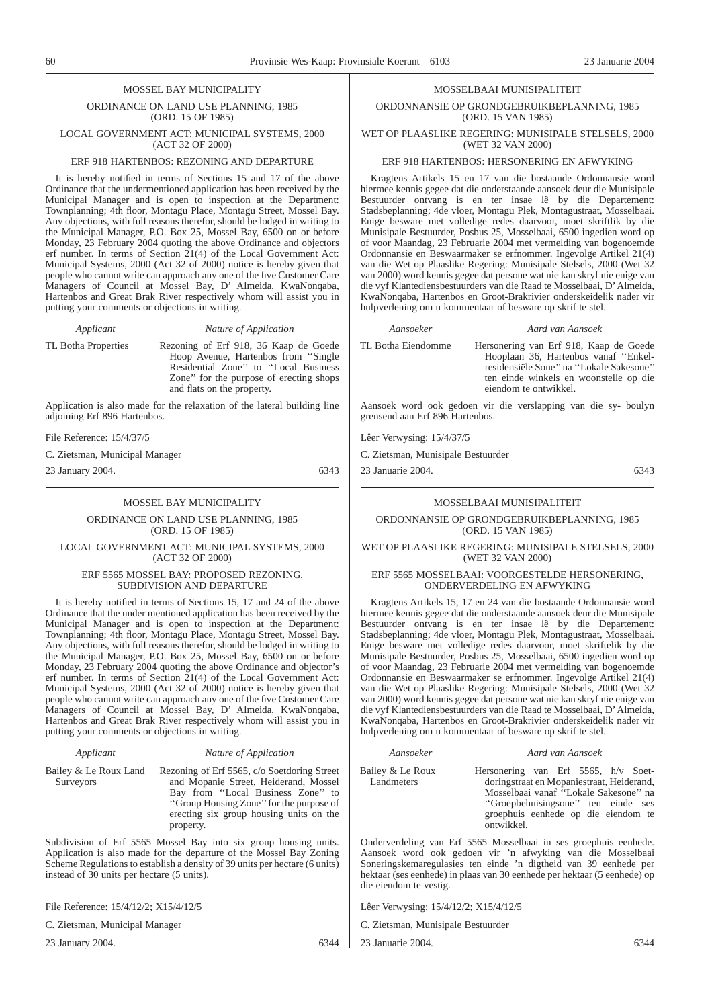#### MOSSEL BAY MUNICIPALITY

ORDINANCE ON LAND USE PLANNING, 1985 (ORD. 15 OF 1985) LOCAL GOVERNMENT ACT: MUNICIPAL SYSTEMS, 2000

## (ACT 32 OF 2000) ERF 918 HARTENBOS: REZONING AND DEPARTURE

It is hereby notified in terms of Sections 15 and 17 of the above Ordinance that the undermentioned application has been received by the Municipal Manager and is open to inspection at the Department: Townplanning; 4th floor, Montagu Place, Montagu Street, Mossel Bay. Any objections, with full reasons therefor, should be lodged in writing to the Municipal Manager, P.O. Box 25, Mossel Bay, 6500 on or before Monday, 23 February 2004 quoting the above Ordinance and objectors erf number. In terms of Section 21(4) of the Local Government Act: Municipal Systems, 2000 (Act 32 of 2000) notice is hereby given that people who cannot write can approach any one of the five Customer Care Managers of Council at Mossel Bay, D' Almeida, KwaNonqaba, Hartenbos and Great Brak River respectively whom will assist you in putting your comments or objections in writing.

*Applicant Nature of Application*

TL Botha Properties Rezoning of Erf 918, 36 Kaap de Goede Hoop Avenue, Hartenbos from ''Single Residential Zone'' to ''Local Business Zone'' for the purpose of erecting shops and flats on the property.

Application is also made for the relaxation of the lateral building line adjoining Erf 896 Hartenbos.

File Reference: 15/4/37/5

C. Zietsman, Municipal Manager

23 January 2004. 6343

#### MOSSEL BAY MUNICIPALITY

ORDINANCE ON LAND USE PLANNING, 1985 (ORD. 15 OF 1985)

LOCAL GOVERNMENT ACT: MUNICIPAL SYSTEMS, 2000 (ACT 32 OF 2000)

#### ERF 5565 MOSSEL BAY: PROPOSED REZONING, SUBDIVISION AND DEPARTURE

It is hereby notified in terms of Sections 15, 17 and 24 of the above Ordinance that the under mentioned application has been received by the Municipal Manager and is open to inspection at the Department: Townplanning; 4th floor, Montagu Place, Montagu Street, Mossel Bay. Any objections, with full reasons therefor, should be lodged in writing to the Municipal Manager, P.O. Box 25, Mossel Bay, 6500 on or before Monday, 23 February 2004 quoting the above Ordinance and objector's erf number. In terms of Section 21(4) of the Local Government Act: Municipal Systems, 2000 (Act 32 of 2000) notice is hereby given that people who cannot write can approach any one of the five Customer Care Managers of Council at Mossel Bay, D' Almeida, KwaNonqaba, Hartenbos and Great Brak River respectively whom will assist you in putting your comments or objections in writing.

### *Applicant Nature of Application*

Bailey & Le Roux Land Rezoning of Erf 5565, c/o Soetdoring Street **Surveyors** 

and Mopanie Street, Heiderand, Mossel Bay from ''Local Business Zone'' to ''Group Housing Zone'' for the purpose of erecting six group housing units on the property.

Subdivision of Erf 5565 Mossel Bay into six group housing units. Application is also made for the departure of the Mossel Bay Zoning Scheme Regulations to establish a density of 39 units per hectare (6 units) instead of 30 units per hectare (5 units).

File Reference: 15/4/12/2; X15/4/12/5

C. Zietsman, Municipal Manager

23 January 2004. 6344

# Bailey & Le Roux Landmeters

Hersonering van Erf 5565, h/v Soetdoringstraat en Mopaniestraat, Heiderand, Mosselbaai vanaf ''Lokale Sakesone'' na ''Groepbehuisingsone'' ten einde ses groephuis eenhede op die eiendom te ontwikkel.

Onderverdeling van Erf 5565 Mosselbaai in ses groephuis eenhede. Aansoek word ook gedoen vir 'n afwyking van die Mosselbaai Soneringskemaregulasies ten einde 'n digtheid van 39 eenhede per hektaar (ses eenhede) in plaas van 30 eenhede per hektaar (5 eenhede) op die eiendom te vestig.

Lêer Verwysing: 15/4/12/2; X15/4/12/5

C. Zietsman, Munisipale Bestuurder

23 Januarie 2004. 6344

#### MOSSELBAAI MUNISIPALITEIT

ORDONNANSIE OP GRONDGEBRUIKBEPLANNING, 1985 (ORD. 15 VAN 1985)

WET OP PLAASLIKE REGERING: MUNISIPALE STELSELS, 2000 (WET 32 VAN 2000)

#### ERF 918 HARTENBOS: HERSONERING EN AFWYKING

Kragtens Artikels 15 en 17 van die bostaande Ordonnansie word hiermee kennis gegee dat die onderstaande aansoek deur die Munisipale Bestuurder ontvang is en ter insae lê by die Departement: Stadsbeplanning; 4de vloer, Montagu Plek, Montagustraat, Mosselbaai. Enige besware met volledige redes daarvoor, moet skriftlik by die Munisipale Bestuurder, Posbus 25, Mosselbaai, 6500 ingedien word op of voor Maandag, 23 Februarie 2004 met vermelding van bogenoemde Ordonnansie en Beswaarmaker se erfnommer. Ingevolge Artikel 21(4) van die Wet op Plaaslike Regering: Munisipale Stelsels, 2000 (Wet 32 van 2000) word kennis gegee dat persone wat nie kan skryf nie enige van die vyf Klantediensbestuurders van die Raad te Mosselbaai, D'Almeida, KwaNonqaba, Hartenbos en Groot-Brakrivier onderskeidelik nader vir hulpverlening om u kommentaar of besware op skrif te stel.

| Aansoeker          | Aard van Aansoek                                                                                                                                                                             |
|--------------------|----------------------------------------------------------------------------------------------------------------------------------------------------------------------------------------------|
| TL Botha Eiendomme | Hersonering van Erf 918, Kaap de Goede<br>Hooplaan 36, Hartenbos vanaf "Enkel-<br>residensiële Sone" na "Lokale Sakesone"<br>ten einde winkels en woonstelle op die<br>eiendom te ontwikkel. |

Aansoek word ook gedoen vir die verslapping van die sy- boulyn grensend aan Erf 896 Hartenbos.

Lêer Verwysing: 15/4/37/5

C. Zietsman, Munisipale Bestuurder

23 Januarie 2004. 6343

#### MOSSELBAAI MUNISIPALITEIT

ORDONNANSIE OP GRONDGEBRUIKBEPLANNING, 1985 (ORD. 15 VAN 1985)

WET OP PLAASLIKE REGERING: MUNISIPALE STELSELS, 2000 (WET 32 VAN 2000)

#### ERF 5565 MOSSELBAAI: VOORGESTELDE HERSONERING, ONDERVERDELING EN AFWYKING

Kragtens Artikels 15, 17 en 24 van die bostaande Ordonnansie word hiermee kennis gegee dat die onderstaande aansoek deur die Munisipale Bestuurder ontvang is en ter insae lê by die Departement: Stadsbeplanning; 4de vloer, Montagu Plek, Montagustraat, Mosselbaai. Enige besware met volledige redes daarvoor, moet skriftelik by die Munisipale Bestuurder, Posbus 25, Mosselbaai, 6500 ingedien word op of voor Maandag, 23 Februarie 2004 met vermelding van bogenoemde Ordonnansie en Beswaarmaker se erfnommer. Ingevolge Artikel 21(4) van die Wet op Plaaslike Regering: Munisipale Stelsels, 2000 (Wet 32 van 2000) word kennis gegee dat persone wat nie kan skryf nie enige van die vyf Klantediensbestuurders van die Raad te Mosselbaai, D'Almeida, KwaNonqaba, Hartenbos en Groot-Brakrivier onderskeidelik nader vir hulpverlening om u kommentaar of besware op skrif te stel.

*Aansoeker Aard van Aansoek*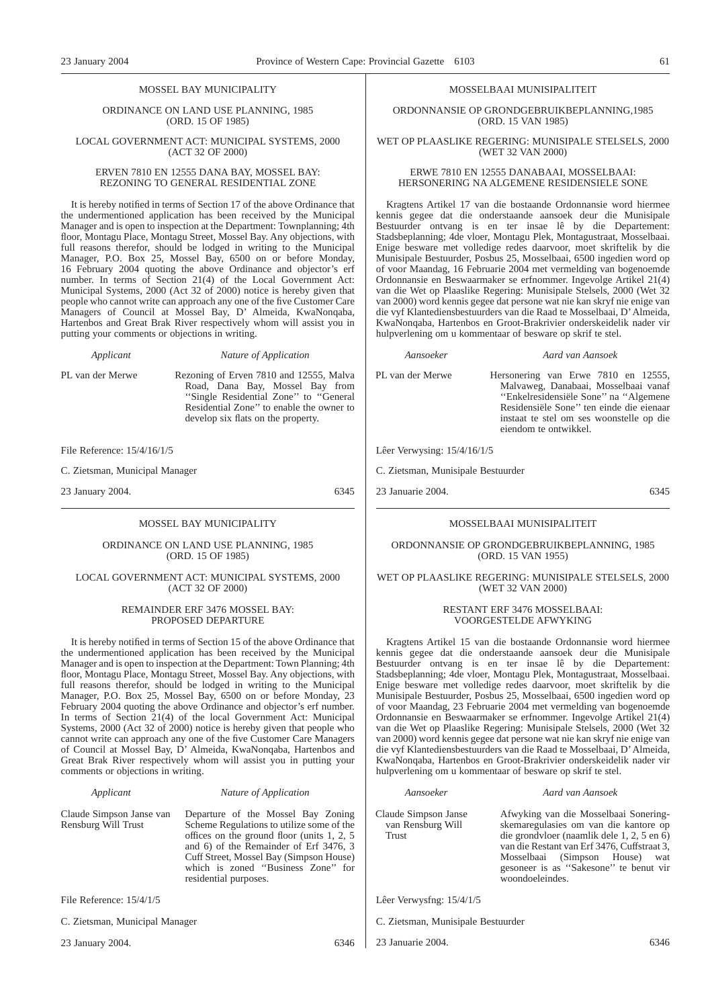#### MOSSEL BAY MUNICIPALITY

ORDINANCE ON LAND USE PLANNING, 1985 (ORD. 15 OF 1985)

#### LOCAL GOVERNMENT ACT: MUNICIPAL SYSTEMS, 2000 (ACT 32 OF 2000)

#### ERVEN 7810 EN 12555 DANA BAY, MOSSEL BAY: REZONING TO GENERAL RESIDENTIAL ZONE

It is hereby notified in terms of Section 17 of the above Ordinance that the undermentioned application has been received by the Municipal Manager and is open to inspection at the Department: Townplanning; 4th floor, Montagu Place, Montagu Street, Mossel Bay. Any objections, with full reasons therefor, should be lodged in writing to the Municipal Manager, P.O. Box 25, Mossel Bay, 6500 on or before Monday, 16 February 2004 quoting the above Ordinance and objector's erf number. In terms of Section 21(4) of the Local Government Act: Municipal Systems, 2000 (Act 32 of 2000) notice is hereby given that people who cannot write can approach any one of the five Customer Care Managers of Council at Mossel Bay, D' Almeida, KwaNonqaba, Hartenbos and Great Brak River respectively whom will assist you in putting your comments or objections in writing.

*Applicant Nature of Application*

PL van der Merwe Rezoning of Erven 7810 and 12555, Malva Road, Dana Bay, Mossel Bay from "Single Residential Zone" to "General

Residential Zone'' to enable the owner to develop six flats on the property.

File Reference: 15/4/16/1/5

C. Zietsman, Municipal Manager

23 January 2004. 6345

#### MOSSEL BAY MUNICIPALITY

#### ORDINANCE ON LAND USE PLANNING, 1985 (ORD. 15 OF 1985)

#### LOCAL GOVERNMENT ACT: MUNICIPAL SYSTEMS, 2000 (ACT 32 OF 2000)

#### REMAINDER ERF 3476 MOSSEL BAY: PROPOSED DEPARTURE

It is hereby notified in terms of Section 15 of the above Ordinance that the undermentioned application has been received by the Municipal Manager and is open to inspection at the Department: Town Planning; 4th floor, Montagu Place, Montagu Street, Mossel Bay. Any objections, with full reasons therefor, should be lodged in writing to the Municipal Manager, P.O. Box 25, Mossel Bay, 6500 on or before Monday, 23 February 2004 quoting the above Ordinance and objector's erf number. In terms of Section 21(4) of the local Government Act: Municipal Systems, 2000 (Act 32 of 2000) notice is hereby given that people who cannot write can approach any one of the five Customer Care Managers of Council at Mossel Bay, D' Almeida, KwaNonqaba, Hartenbos and Great Brak River respectively whom will assist you in putting your comments or objections in writing.

|  | Applicant |
|--|-----------|
|  |           |

#### *Applicant Nature of Application*

Cuff Street, Mossel Bay (Simpson House) which is zoned "Business Zone" for

residential purposes.

Claude Simpson Janse van Rensburg Will Trust Departure of the Mossel Bay Zoning Scheme Regulations to utilize some of the offices on the ground floor (units 1, 2, 5 and 6) of the Remainder of Erf 3476, 3

File Reference: 15/4/1/5

C. Zietsman, Municipal Manager

23 January 2004. 6346

*Aansoeker Aard van Aansoek*

Claude Simpson Janse van Rensburg Will Trust

Afwyking van die Mosselbaai Soneringskemaregulasies om van die kantore op die grondvloer (naamlik dele 1, 2, 5 en 6) van die Restant van Erf 3476, Cuffstraat 3, Mosselbaai (Simpson House) wat gesoneer is as ''Sakesone'' te benut vir woondoeleindes.

Lêer Verwysfng: 15/4/1/5

- C. Zietsman, Munisipale Bestuurder
- 23 Januarie 2004. 6346

#### MOSSELBAAI MUNISIPALITEIT

ORDONNANSIE OP GRONDGEBRUIKBEPLANNING,1985 (ORD. 15 VAN 1985)

WET OP PLAASLIKE REGERING: MUNISIPALE STELSELS, 2000 (WET 32 VAN 2000)

#### ERWE 7810 EN 12555 DANABAAI, MOSSELBAAI: HERSONERING NA ALGEMENE RESIDENSIELE SONE

Kragtens Artikel 17 van die bostaande Ordonnansie word hiermee kennis gegee dat die onderstaande aansoek deur die Munisipale Bestuurder ontvang is en ter insae lê by die Departement: Stadsbeplanning; 4de vloer, Montagu Plek, Montagustraat, Mosselbaai. Enige besware met volledige redes daarvoor, moet skriftelik by die Munisipale Bestuurder, Posbus 25, Mosselbaai, 6500 ingedien word op of voor Maandag, 16 Februarie 2004 met vermelding van bogenoemde Ordonnansie en Beswaarmaker se erfnommer. Ingevolge Artikel 21(4) van die Wet op Plaaslike Regering: Munisipale Stelsels, 2000 (Wet 32 van 2000) word kennis gegee dat persone wat nie kan skryf nie enige van die vyf Klantediensbestuurders van die Raad te Mosselbaai, D'Almeida, KwaNonqaba, Hartenbos en Groot-Brakrivier onderskeidelik nader vir hulpverlening om u kommentaar of besware op skrif te stel.

#### *Aansoeker Aard van Aansoek*

PL van der Merwe Hersonering van Erwe 7810 en 12555, Malvaweg, Danabaai, Mosselbaai vanaf ''Enkelresidensiële Sone'' na ''Algemene Residensiële Sone'' ten einde die eienaar instaat te stel om ses woonstelle op die eiendom te ontwikkel.

#### Lêer Verwysing: 15/4/16/1/5

C. Zietsman, Munisipale Bestuurder

23 Januarie 2004. 6345

#### MOSSELBAAI MUNISIPALITEIT

ORDONNANSIE OP GRONDGEBRUIKBEPLANNING, 1985 (ORD. 15 VAN 1955)

#### WET OP PLAASLIKE REGERING: MUNISIPALE STELSELS, 2000 (WET 32 VAN 2000)

#### RESTANT ERF 3476 MOSSELBAAI: VOORGESTELDE AFWYKING

Kragtens Artikel 15 van die bostaande Ordonnansie word hiermee kennis gegee dat die onderstaande aansoek deur die Munisipale Bestuurder ontvang is en ter insae lê by die Departement: Stadsbeplanning; 4de vloer, Montagu Plek, Montagustraat, Mosselbaai. Enige besware met volledige redes daarvoor, moet skriftelik by die Munisipale Bestuurder, Posbus 25, Mosselbaai, 6500 ingedien word op of voor Maandag, 23 Februarie 2004 met vermelding van bogenoemde Ordonnansie en Beswaarmaker se erfnommer. Ingevolge Artikel 21(4) van die Wet op Plaaslike Regering: Munisipale Stelsels, 2000 (Wet 32 van 2000) word kennis gegee dat persone wat nie kan skryf nie enige van die vyf Klantediensbestuurders van die Raad te Mosselbaai, D'Almeida, KwaNonqaba, Hartenbos en Groot-Brakrivier onderskeidelik nader vir hulpverlening om u kommentaar of besware op skrif te stel.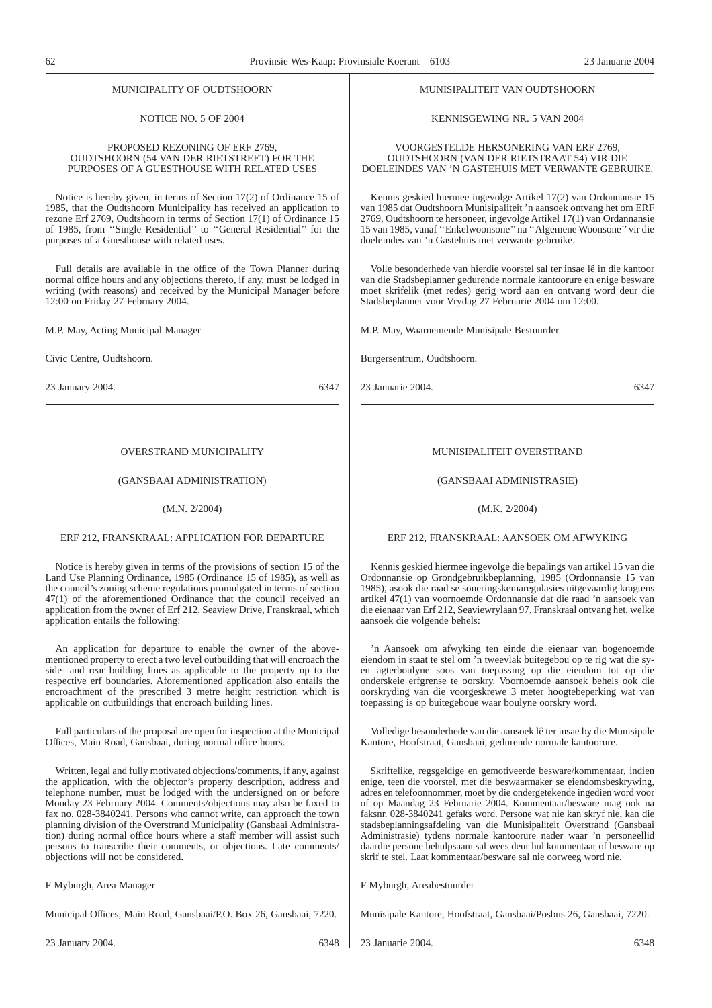#### MUNICIPALITY OF OUDTSHOORN

#### NOTICE NO. 5 OF 2004

#### PROPOSED REZONING OF ERF 2769, OUDTSHOORN (54 VAN DER RIETSTREET) FOR THE PURPOSES OF A GUESTHOUSE WITH RELATED USES

Notice is hereby given, in terms of Section 17(2) of Ordinance 15 of 1985, that the Oudtshoorn Municipality has received an application to rezone Erf 2769, Oudtshoorn in terms of Section 17(1) of Ordinance 15 of 1985, from ''Single Residential'' to ''General Residential'' for the purposes of a Guesthouse with related uses.

Full details are available in the office of the Town Planner during normal office hours and any objections thereto, if any, must be lodged in writing (with reasons) and received by the Municipal Manager before 12:00 on Friday 27 February 2004.

M.P. May, Acting Municipal Manager

Civic Centre, Oudtshoorn.

23 January 2004. 6347

### OVERSTRAND MUNICIPALITY

#### (GANSBAAI ADMINISTRATION)

#### (M.N. 2/2004)

#### ERF 212, FRANSKRAAL: APPLICATION FOR DEPARTURE

Notice is hereby given in terms of the provisions of section 15 of the Land Use Planning Ordinance, 1985 (Ordinance 15 of 1985), as well as the council's zoning scheme regulations promulgated in terms of section 47(1) of the aforementioned Ordinance that the council received an application from the owner of Erf 212, Seaview Drive, Franskraal, which application entails the following:

An application for departure to enable the owner of the abovementioned property to erect a two level outbuilding that will encroach the side- and rear building lines as applicable to the property up to the respective erf boundaries. Aforementioned application also entails the encroachment of the prescribed 3 metre height restriction which is applicable on outbuildings that encroach building lines.

Full particulars of the proposal are open for inspection at the Municipal Offices, Main Road, Gansbaai, during normal office hours.

Written, legal and fully motivated objections/comments, if any, against the application, with the objector's property description, address and telephone number, must be lodged with the undersigned on or before Monday 23 February 2004. Comments/objections may also be faxed to fax no. 028-3840241. Persons who cannot write, can approach the town planning division of the Overstrand Municipality (Gansbaai Administration) during normal office hours where a staff member will assist such persons to transcribe their comments, or objections. Late comments/ objections will not be considered.

F Myburgh, Area Manager

Municipal Offices, Main Road, Gansbaai/P.O. Box 26, Gansbaai, 7220.

MUNISIPALITEIT OVERSTRAND

## (GANSBAAI ADMINISTRASIE)

23 Januarie 2004. 6347

MUNISIPALITEIT VAN OUDTSHOORN

KENNISGEWING NR. 5 VAN 2004

VOORGESTELDE HERSONERING VAN ERF 2769, OUDTSHOORN (VAN DER RIETSTRAAT 54) VIR DIE DOELEINDES VAN 'N GASTEHUIS MET VERWANTE GEBRUIKE.

Kennis geskied hiermee ingevolge Artikel 17(2) van Ordonnansie 15 van 1985 dat Oudtshoorn Munisipaliteit 'n aansoek ontvang het om ERF 2769, Oudtshoorn te hersoneer, ingevolge Artikel 17(1) van Ordannansie 15 van 1985, vanaf ''Enkelwoonsone'' na ''Algemene Woonsone'' vir die

Volle besonderhede van hierdie voorstel sal ter insae lê in die kantoor van die Stadsbeplanner gedurende normale kantoorure en enige besware moet skrifelik (met redes) gerig word aan en ontvang word deur die

doeleindes van 'n Gastehuis met verwante gebruike.

Stadsbeplanner voor Vrydag 27 Februarie 2004 om 12:00.

M.P. May, Waarnemende Munisipale Bestuurder

Burgersentrum, Oudtshoorn.

#### (M.K. 2/2004)

#### ERF 212, FRANSKRAAL: AANSOEK OM AFWYKING

Kennis geskied hiermee ingevolge die bepalings van artikel 15 van die Ordonnansie op Grondgebruikbeplanning, 1985 (Ordonnansie 15 van 1985), asook die raad se soneringskemaregulasies uitgevaardig kragtens artikel 47(1) van voornoemde Ordonnansie dat die raad 'n aansoek van die eienaar van Erf 212, Seaviewrylaan 97, Franskraal ontvang het, welke aansoek die volgende behels:

'n Aansoek om afwyking ten einde die eienaar van bogenoemde eiendom in staat te stel om 'n tweevlak buitegebou op te rig wat die syen agterboulyne soos van toepassing op die eiendom tot op die onderskeie erfgrense te oorskry. Voornoemde aansoek behels ook die oorskryding van die voorgeskrewe 3 meter hoogtebeperking wat van toepassing is op buitegeboue waar boulyne oorskry word.

Volledige besonderhede van die aansoek lê ter insae by die Munisipale Kantore, Hoofstraat, Gansbaai, gedurende normale kantoorure.

Skriftelike, regsgeldige en gemotiveerde besware/kommentaar, indien enige, teen die voorstel, met die beswaarmaker se eiendomsbeskrywing, adres en telefoonnommer, moet by die ondergetekende ingedien word voor of op Maandag 23 Februarie 2004. Kommentaar/besware mag ook na faksnr. 028-3840241 gefaks word. Persone wat nie kan skryf nie, kan die stadsbeplanningsafdeling van die Munisipaliteit Overstrand (Gansbaai Administrasie) tydens normale kantoorure nader waar 'n personeellid daardie persone behulpsaam sal wees deur hul kommentaar of besware op skrif te stel. Laat kommentaar/besware sal nie oorweeg word nie.

F Myburgh, Areabestuurder

Munisipale Kantore, Hoofstraat, Gansbaai/Posbus 26, Gansbaai, 7220.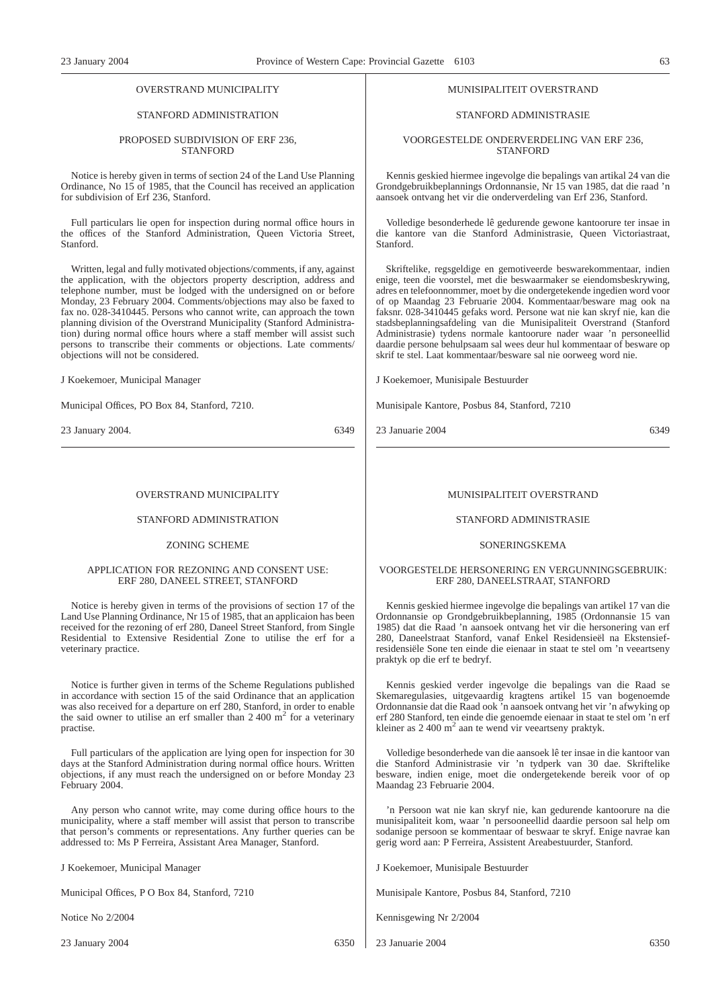### OVERSTRAND MUNICIPALITY

#### STANFORD ADMINISTRATION

#### PROPOSED SUBDIVISION OF ERF 236, **STANFORD**

Notice is hereby given in terms of section 24 of the Land Use Planning Ordinance, No 15 of 1985, that the Council has received an application for subdivision of Erf 236, Stanford.

Full particulars lie open for inspection during normal office hours in the offices of the Stanford Administration, Queen Victoria Street, Stanford.

Written, legal and fully motivated objections/comments, if any, against the application, with the objectors property description, address and telephone number, must be lodged with the undersigned on or before Monday, 23 February 2004. Comments/objections may also be faxed to fax no. 028-3410445. Persons who cannot write, can approach the town planning division of the Overstrand Municipality (Stanford Administration) during normal office hours where a staff member will assist such persons to transcribe their comments or objections. Late comments/ objections will not be considered.

J Koekemoer, Municipal Manager

Municipal Offices, PO Box 84, Stanford, 7210.

23 January 2004. 6349

#### OVERSTRAND MUNICIPALITY

#### STANFORD ADMINISTRATION

## ZONING SCHEME

#### APPLICATION FOR REZONING AND CONSENT USE: ERF 280, DANEEL STREET, STANFORD

Notice is hereby given in terms of the provisions of section 17 of the Land Use Planning Ordinance, Nr 15 of 1985, that an applicaion has been received for the rezoning of erf 280, Daneel Street Stanford, from Single Residential to Extensive Residential Zone to utilise the erf for a veterinary practice.

Notice is further given in terms of the Scheme Regulations published in accordance with section 15 of the said Ordinance that an application was also received for a departure on erf 280, Stanford, in order to enable the said owner to utilise an erf smaller than  $2\,400 \, \text{m}^2$  for a veterinary practise.

Full particulars of the application are lying open for inspection for 30 days at the Stanford Administration during normal office hours. Written objections, if any must reach the undersigned on or before Monday 23 February 2004.

Any person who cannot write, may come during office hours to the municipality, where a staff member will assist that person to transcribe that person's comments or representations. Any further queries can be addressed to: Ms P Ferreira, Assistant Area Manager, Stanford.

J Koekemoer, Municipal Manager

Municipal Offices, P O Box 84, Stanford, 7210

Notice No 2/2004

23 January 2004 6350

#### MUNISIPALITEIT OVERSTRAND

#### STANFORD ADMINISTRASIE

#### VOORGESTELDE ONDERVERDELING VAN ERF 236, STANFORD

Kennis geskied hiermee ingevolge die bepalings van artikal 24 van die Grondgebruikbeplannings Ordonnansie, Nr 15 van 1985, dat die raad 'n aansoek ontvang het vir die onderverdeling van Erf 236, Stanford.

Volledige besonderhede lê gedurende gewone kantoorure ter insae in die kantore van die Stanford Administrasie, Queen Victoriastraat, Stanford.

Skriftelike, regsgeldige en gemotiveerde beswarekommentaar, indien enige, teen die voorstel, met die beswaarmaker se eiendomsbeskrywing, adres en telefoonnommer, moet by die ondergetekende ingedien word voor of op Maandag 23 Februarie 2004. Kommentaar/besware mag ook na faksnr. 028-3410445 gefaks word. Persone wat nie kan skryf nie, kan die stadsbeplanningsafdeling van die Munisipaliteit Overstrand (Stanford Administrasie) tydens normale kantoorure nader waar 'n personeellid daardie persone behulpsaam sal wees deur hul kommentaar of besware op skrif te stel. Laat kommentaar/besware sal nie oorweeg word nie.

J Koekemoer, Munisipale Bestuurder

Munisipale Kantore, Posbus 84, Stanford, 7210

23 Januarie 2004 6349

#### MUNISIPALITEIT OVERSTRAND

#### STANFORD ADMINISTRASIE

#### SONERINGSKEMA

#### VOORGESTELDE HERSONERING EN VERGUNNINGSGEBRUIK: ERF 280, DANEELSTRAAT, STANFORD

Kennis geskied hiermee ingevolge die bepalings van artikel 17 van die Ordonnansie op Grondgebruikbeplanning, 1985 (Ordonnansie 15 van 1985) dat die Raad 'n aansoek ontvang het vir die hersonering van erf 280, Daneelstraat Stanford, vanaf Enkel Residensieël na Ekstensiefresidensiële Sone ten einde die eienaar in staat te stel om 'n veeartseny praktyk op die erf te bedryf.

Kennis geskied verder ingevolge die bepalings van die Raad se Skemaregulasies, uitgevaardig kragtens artikel 15 van bogenoemde Ordonnansie dat die Raad ook 'n aansoek ontvang het vir 'n afwyking op erf 280 Stanford, ten einde die genoemde eienaar in staat te stel om 'n erf kleiner as  $2\,400 \text{ m}^2$  aan te wend vir veeartseny praktyk.

Volledige besonderhede van die aansoek lê ter insae in die kantoor van die Stanford Administrasie vir 'n tydperk van 30 dae. Skriftelike besware, indien enige, moet die ondergetekende bereik voor of op Maandag 23 Februarie 2004.

'n Persoon wat nie kan skryf nie, kan gedurende kantoorure na die munisipaliteit kom, waar 'n persooneellid daardie persoon sal help om sodanige persoon se kommentaar of beswaar te skryf. Enige navrae kan gerig word aan: P Ferreira, Assistent Areabestuurder, Stanford.

J Koekemoer, Munisipale Bestuurder

Munisipale Kantore, Posbus 84, Stanford, 7210

Kennisgewing Nr 2/2004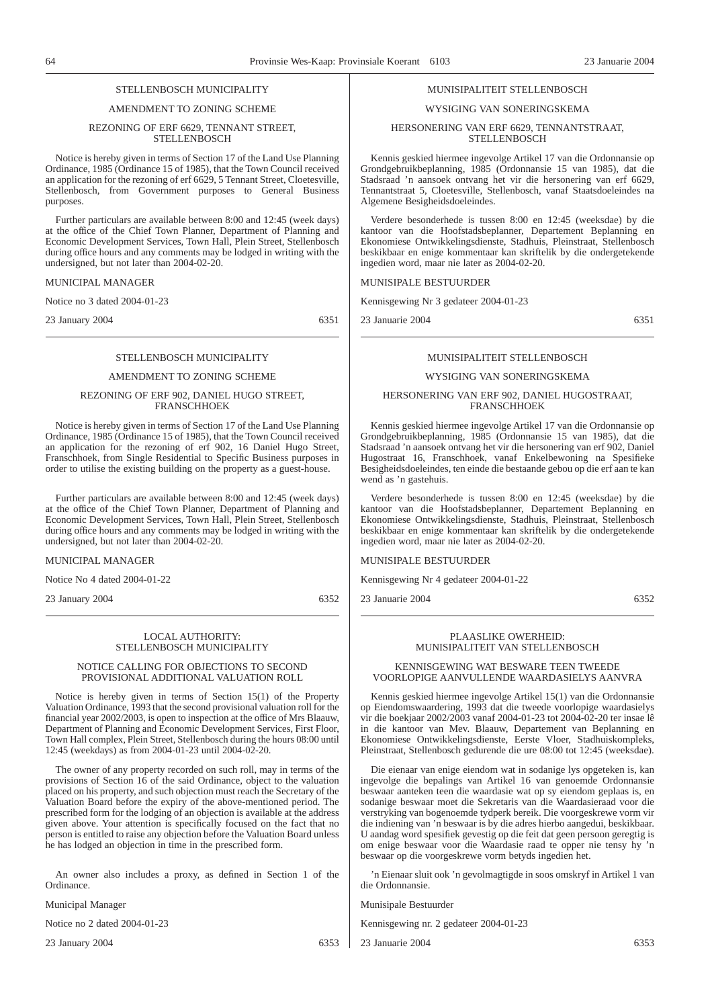## STELL ENBOSCH MUNICIPALITY

#### AMENDMENT TO ZONING SCHEME

#### REZONING OF ERF 6629, TENNANT STREET, **STELLENBOSCH**

Notice is hereby given in terms of Section 17 of the Land Use Planning Ordinance, 1985 (Ordinance 15 of 1985), that the Town Council received an application for the rezoning of erf 6629, 5 Tennant Street, Cloetesville, Stellenbosch, from Government purposes to General Business purposes.

Further particulars are available between 8:00 and 12:45 (week days) at the office of the Chief Town Planner, Department of Planning and Economic Development Services, Town Hall, Plein Street, Stellenbosch during office hours and any comments may be lodged in writing with the undersigned, but not later than 2004-02-20.

#### MUNICIPAL MANAGER

Notice no 3 dated 2004-01-23

23 January 2004 6351

#### STELLENBOSCH MUNICIPALITY

#### AMENDMENT TO ZONING SCHEME

#### REZONING OF ERF 902, DANIEL HUGO STREET, FRANSCHHOEK

Notice is hereby given in terms of Section 17 of the Land Use Planning Ordinance, 1985 (Ordinance 15 of 1985), that the Town Council received an application for the rezoning of erf 902, 16 Daniel Hugo Street, Franschhoek, from Single Residential to Specific Business purposes in order to utilise the existing building on the property as a guest-house.

Further particulars are available between 8:00 and 12:45 (week days) at the office of the Chief Town Planner, Department of Planning and Economic Development Services, Town Hall, Plein Street, Stellenbosch during office hours and any comments may be lodged in writing with the undersigned, but not later than 2004-02-20.

MUNICIPAL MANAGER

Notice No 4 dated 2004-01-22

23 January 2004 6352

#### LOCAL AUTHORITY: STELLENBOSCH MUNICIPALITY

#### NOTICE CALLING FOR OBJECTIONS TO SECOND PROVISIONAL ADDITIONAL VALUATION ROLL

Notice is hereby given in terms of Section 15(1) of the Property Valuation Ordinance, 1993 that the second provisional valuation roll for the financial year 2002/2003, is open to inspection at the office of Mrs Blaauw, Department of Planning and Economic Development Services, First Floor, Town Hall complex, Plein Street, Stellenbosch during the hours 08:00 until 12:45 (weekdays) as from 2004-01-23 until 2004-02-20.

The owner of any property recorded on such roll, may in terms of the provisions of Section 16 of the said Ordinance, object to the valuation placed on his property, and such objection must reach the Secretary of the Valuation Board before the expiry of the above-mentioned period. The prescribed form for the lodging of an objection is available at the address given above. Your attention is specifically focused on the fact that no person is entitled to raise any objection before the Valuation Board unless he has lodged an objection in time in the prescribed form.

An owner also includes a proxy, as defined in Section 1 of the Ordinance.

Municipal Manager

Notice no 2 dated 2004-01-23

23 January 2004 6353

#### MUNISIPALITEIT STELLENBOSCH

#### WYSIGING VAN SONERINGSKEMA

#### HERSONERING VAN ERF 6629, TENNANTSTRAAT, **STELLENBOSCH**

Kennis geskied hiermee ingevolge Artikel 17 van die Ordonnansie op Grondgebruikbeplanning, 1985 (Ordonnansie 15 van 1985), dat die Stadsraad 'n aansoek ontvang het vir die hersonering van erf 6629, Tennantstraat 5, Cloetesville, Stellenbosch, vanaf Staatsdoeleindes na Algemene Besigheidsdoeleindes.

Verdere besonderhede is tussen 8:00 en 12:45 (weeksdae) by die kantoor van die Hoofstadsbeplanner, Departement Beplanning en Ekonomiese Ontwikkelingsdienste, Stadhuis, Pleinstraat, Stellenbosch beskikbaar en enige kommentaar kan skriftelik by die ondergetekende ingedien word, maar nie later as 2004-02-20.

#### MUNISIPALE BESTUURDER

Kennisgewing Nr 3 gedateer 2004-01-23

23 Januarie 2004 6351

#### MUNISIPALITEIT STELLENBOSCH

#### WYSIGING VAN SONERINGSKEMA

#### HERSONERING VAN ERF 902, DANIEL HUGOSTRAAT, FRANSCHHOEK

Kennis geskied hiermee ingevolge Artikel 17 van die Ordonnansie op Grondgebruikbeplanning, 1985 (Ordonnansie 15 van 1985), dat die Stadsraad 'n aansoek ontvang het vir die hersonering van erf 902, Daniel Hugostraat 16, Franschhoek, vanaf Enkelbewoning na Spesifieke Besigheidsdoeleindes, ten einde die bestaande gebou op die erf aan te kan wend as 'n gastehuis.

Verdere besonderhede is tussen 8:00 en 12:45 (weeksdae) by die kantoor van die Hoofstadsbeplanner, Departement Beplanning en Ekonomiese Ontwikkelingsdienste, Stadhuis, Pleinstraat, Stellenbosch beskikbaar en enige kommentaar kan skriftelik by die ondergetekende ingedien word, maar nie later as 2004-02-20.

MUNISIPALE BESTUURDER

Kennisgewing Nr 4 gedateer 2004-01-22

23 Januarie 2004 6352

#### PLAASLIKE OWERHEID: MUNISIPALITEIT VAN STELLENBOSCH

#### KENNISGEWING WAT BESWARE TEEN TWEEDE VOORLOPIGE AANVULLENDE WAARDASIELYS AANVRA

Kennis geskied hiermee ingevolge Artikel 15(1) van die Ordonnansie op Eiendomswaardering, 1993 dat die tweede voorlopige waardasielys vir die boekjaar 2002/2003 vanaf 2004-01-23 tot 2004-02-20 ter insae lê in die kantoor van Mev. Blaauw, Departement van Beplanning en Ekonomiese Ontwikkelingsdienste, Eerste Vloer, Stadhuiskompleks, Pleinstraat, Stellenbosch gedurende die ure 08:00 tot 12:45 (weeksdae).

Die eienaar van enige eiendom wat in sodanige lys opgeteken is, kan ingevolge die bepalings van Artikel 16 van genoemde Ordonnansie beswaar aanteken teen die waardasie wat op sy eiendom geplaas is, en sodanige beswaar moet die Sekretaris van die Waardasieraad voor die verstryking van bogenoemde tydperk bereik. Die voorgeskrewe vorm vir die indiening van 'n beswaar is by die adres hierbo aangedui, beskikbaar. U aandag word spesifiek gevestig op die feit dat geen persoon geregtig is om enige beswaar voor die Waardasie raad te opper nie tensy hy 'n beswaar op die voorgeskrewe vorm betyds ingedien het.

'n Eienaar sluit ook 'n gevolmagtigde in soos omskryf in Artikel 1 van die Ordonnansie.

Munisipale Bestuurder

Kennisgewing nr. 2 gedateer 2004-01-23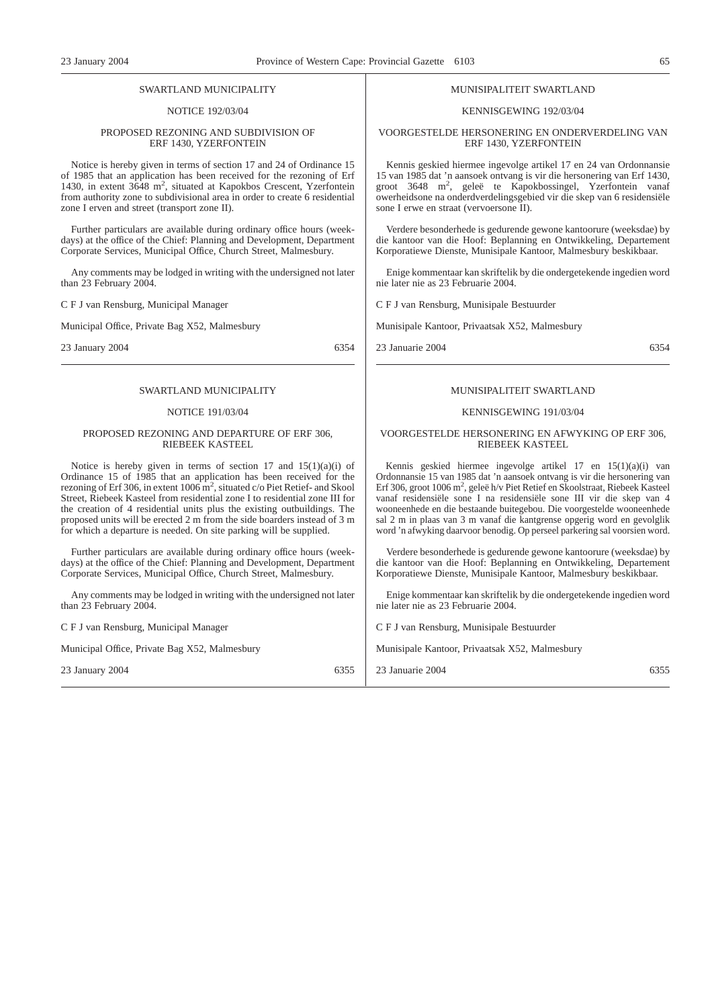#### SWARTLAND MUNICIPALITY

#### NOTICE 192/03/04

#### PROPOSED REZONING AND SUBDIVISION OF ERF 1430, YZERFONTEIN

Notice is hereby given in terms of section 17 and 24 of Ordinance 15 of 1985 that an application has been received for the rezoning of Erf 1430, in extent 3648 m<sup>2</sup>, situated at Kapokbos Crescent, Yzerfontein from authority zone to subdivisional area in order to create 6 residential zone I erven and street (transport zone II).

Further particulars are available during ordinary office hours (weekdays) at the office of the Chief: Planning and Development, Department Corporate Services, Municipal Office, Church Street, Malmesbury.

Any comments may be lodged in writing with the undersigned not later than 23 February 2004.

C F J van Rensburg, Municipal Manager

Municipal Office, Private Bag X52, Malmesbury

23 January 2004 6354

#### SWARTLAND MUNICIPALITY

#### NOTICE 191/03/04

#### PROPOSED REZONING AND DEPARTURE OF ERF 306, RIEBEEK KASTEEL

Notice is hereby given in terms of section 17 and  $15(1)(a)(i)$  of Ordinance 15 of 1985 that an application has been received for the rezoning of Erf 306, in extent  $1006 \text{ m}^2$ , situated c/o Piet Retief- and Skool Street, Riebeek Kasteel from residential zone I to residential zone III for the creation of 4 residential units plus the existing outbuildings. The proposed units will be erected 2 m from the side boarders instead of 3 m for which a departure is needed. On site parking will be supplied.

Further particulars are available during ordinary office hours (weekdays) at the office of the Chief: Planning and Development, Department Corporate Services, Municipal Office, Church Street, Malmesbury.

Any comments may be lodged in writing with the undersigned not later than 23 February 2004.

C F J van Rensburg, Municipal Manager

Municipal Office, Private Bag X52, Malmesbury

23 January 2004 6355

#### MUNISIPALITEIT SWARTLAND

#### KENNISGEWING 192/03/04

#### VOORGESTELDE HERSONERING EN ONDERVERDELING VAN ERF 1430, YZERFONTEIN

Kennis geskied hiermee ingevolge artikel 17 en 24 van Ordonnansie 15 van 1985 dat 'n aansoek ontvang is vir die hersonering van Erf 1430, groot 3648 m<sup>2</sup> , geleë te Kapokbossingel, Yzerfontein vanaf owerheidsone na onderdverdelingsgebied vir die skep van 6 residensiële sone I erwe en straat (vervoersone II).

Verdere besonderhede is gedurende gewone kantoorure (weeksdae) by die kantoor van die Hoof: Beplanning en Ontwikkeling, Departement Korporatiewe Dienste, Munisipale Kantoor, Malmesbury beskikbaar.

Enige kommentaar kan skriftelik by die ondergetekende ingedien word nie later nie as 23 Februarie 2004.

C F J van Rensburg, Munisipale Bestuurder

Munisipale Kantoor, Privaatsak X52, Malmesbury

23 Januarie 2004 6354

#### MUNISIPALITEIT SWARTLAND

#### KENNISGEWING 191/03/04

#### VOORGESTELDE HERSONERING EN AFWYKING OP ERF 306, RIEBEEK KASTEEL

Kennis geskied hiermee ingevolge artikel 17 en 15(1)(a)(i) van Ordonnansie 15 van 1985 dat 'n aansoek ontvang is vir die hersonering van Erf 306, groot 1006 m<sup>2</sup>, geleë h/v Piet Retief en Skoolstraat, Riebeek Kasteel vanaf residensiële sone I na residensiële sone III vir die skep van 4 wooneenhede en die bestaande buitegebou. Die voorgestelde wooneenhede sal 2 m in plaas van 3 m vanaf die kantgrense opgerig word en gevolglik word 'n afwyking daarvoor benodig. Op perseel parkering sal voorsien word.

Verdere besonderhede is gedurende gewone kantoorure (weeksdae) by die kantoor van die Hoof: Beplanning en Ontwikkeling, Departement Korporatiewe Dienste, Munisipale Kantoor, Malmesbury beskikbaar.

Enige kommentaar kan skriftelik by die ondergetekende ingedien word nie later nie as 23 Februarie 2004.

C F J van Rensburg, Munisipale Bestuurder

Munisipale Kantoor, Privaatsak X52, Malmesbury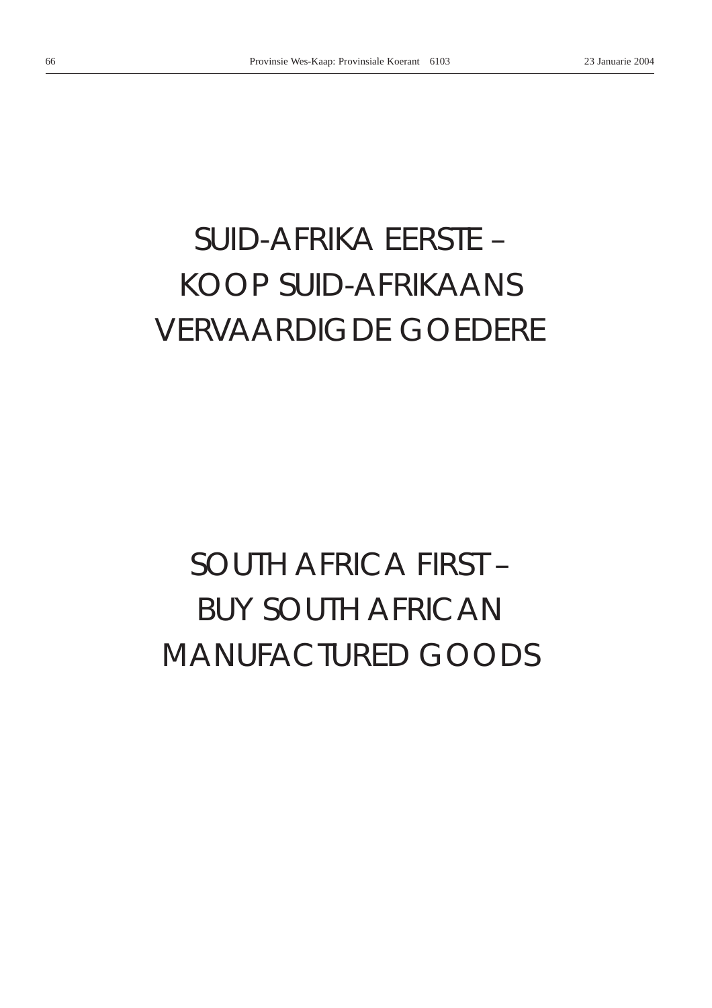# *SUID-AFRIKA EERSTE –* KOOP SUID-AFRIKAANS VERVAARDIGDE GOEDERE

# *SOUTH AFRICA FIRST –* BUY SOUTH AFRICAN MANUFACTURED GOODS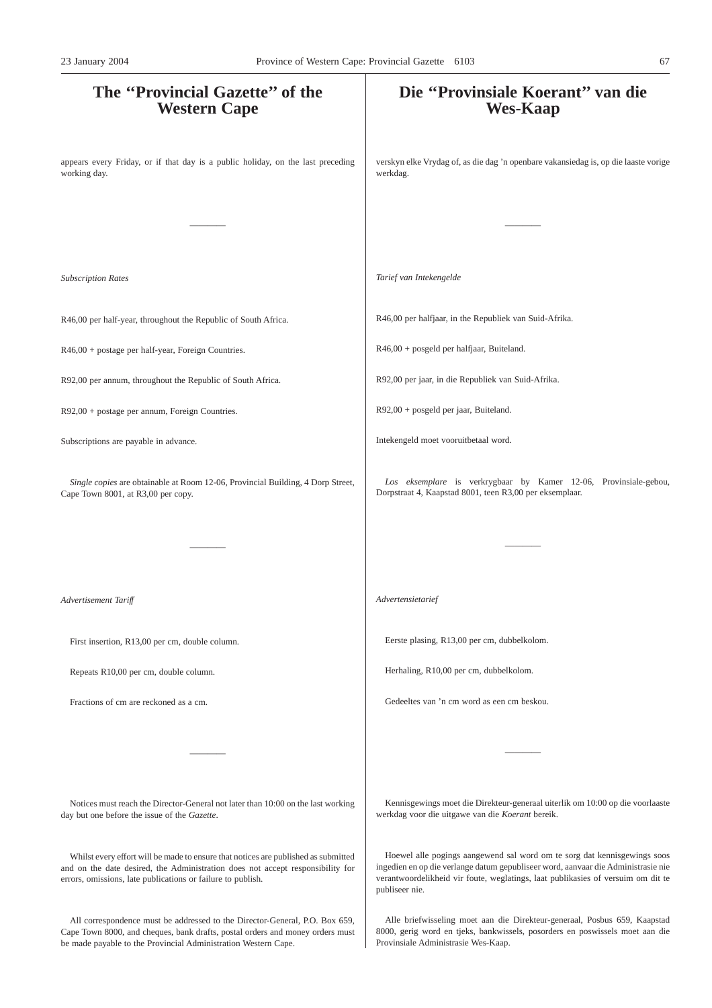# **The ''Provincial Gazette'' of the Western Cape** appears every Friday, or if that day is a public holiday, on the last preceding working day. ———— *Subscription Rates* R46,00 per half-year, throughout the Republic of South Africa. R46,00 + postage per half-year, Foreign Countries. R92,00 per annum, throughout the Republic of South Africa. R92,00 + postage per annum, Foreign Countries. Subscriptions are payable in advance. *Single copies* are obtainable at Room 12-06, Provincial Building, 4 Dorp Street, Cape Town 8001, at R3,00 per copy. ———— *Advertisement Tariff* First insertion, R13,00 per cm, double column. Repeats R10,00 per cm, double column. Fractions of cm are reckoned as a cm. ———— Notices must reach the Director-General not later than 10:00 on the last working day but one before the issue of the *Gazette*. **Die ''Provinsiale Koerant'' van die Wes-Kaap** verskyn elke Vrydag of, as die dag 'n openbare vakansiedag is, op die laaste vorige werkdag. ———— *Tarief van Intekengelde* R46,00 per halfjaar, in the Republiek van Suid-Afrika. R46,00 + posgeld per halfjaar, Buiteland. R92,00 per jaar, in die Republiek van Suid-Afrika. R92,00 + posgeld per jaar, Buiteland. Intekengeld moet vooruitbetaal word. *Los eksemplare* is verkrygbaar by Kamer 12-06, Provinsiale-gebou, Dorpstraat 4, Kaapstad 8001, teen R3,00 per eksemplaar. ———— *Advertensietarief* Eerste plasing, R13,00 per cm, dubbelkolom. Herhaling, R10,00 per cm, dubbelkolom. Gedeeltes van 'n cm word as een cm beskou. ———— Kennisgewings moet die Direkteur-generaal uiterlik om 10:00 op die voorlaaste werkdag voor die uitgawe van die *Koerant* bereik. Hoewel alle pogings aangewend sal word om te sorg dat kennisgewings soos 23 January 2004 Province of Western Cape: Provincial Gazette 6103 67

publiseer nie.

Whilst every effort will be made to ensure that notices are published as submitted and on the date desired, the Administration does not accept responsibility for errors, omissions, late publications or failure to publish.

All correspondence must be addressed to the Director-General, P.O. Box 659, Cape Town 8000, and cheques, bank drafts, postal orders and money orders must be made payable to the Provincial Administration Western Cape.

Alle briefwisseling moet aan die Direkteur-generaal, Posbus 659, Kaapstad 8000, gerig word en tjeks, bankwissels, posorders en poswissels moet aan die Provinsiale Administrasie Wes-Kaap.

ingedien en op die verlange datum gepubliseer word, aanvaar die Administrasie nie verantwoordelikheid vir foute, weglatings, laat publikasies of versuim om dit te